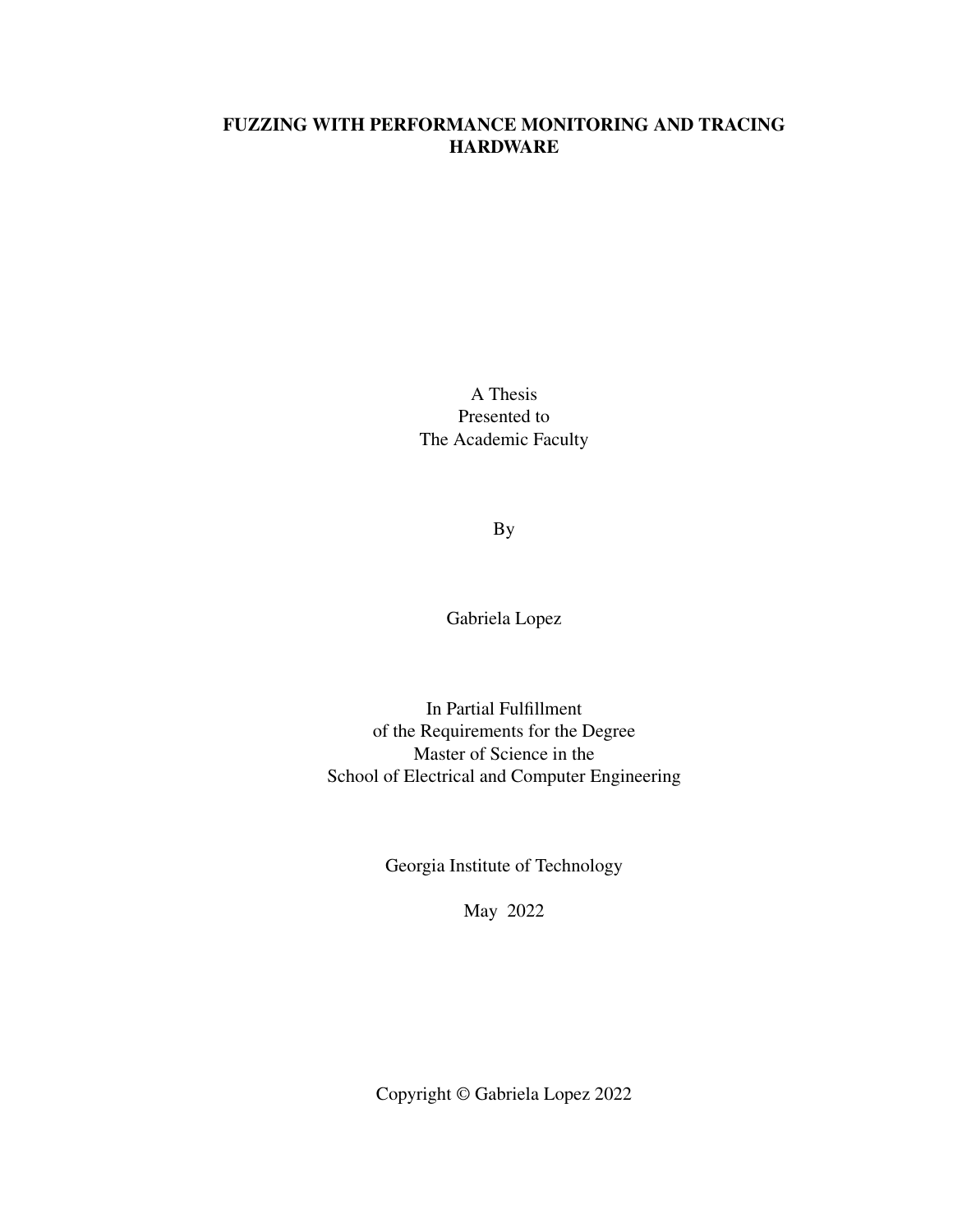# FUZZING WITH PERFORMANCE MONITORING AND TRACING **HARDWARE**

A Thesis Presented to The Academic Faculty

By

Gabriela Lopez

In Partial Fulfillment of the Requirements for the Degree Master of Science in the School of Electrical and Computer Engineering

Georgia Institute of Technology

May 2022

Copyright © Gabriela Lopez 2022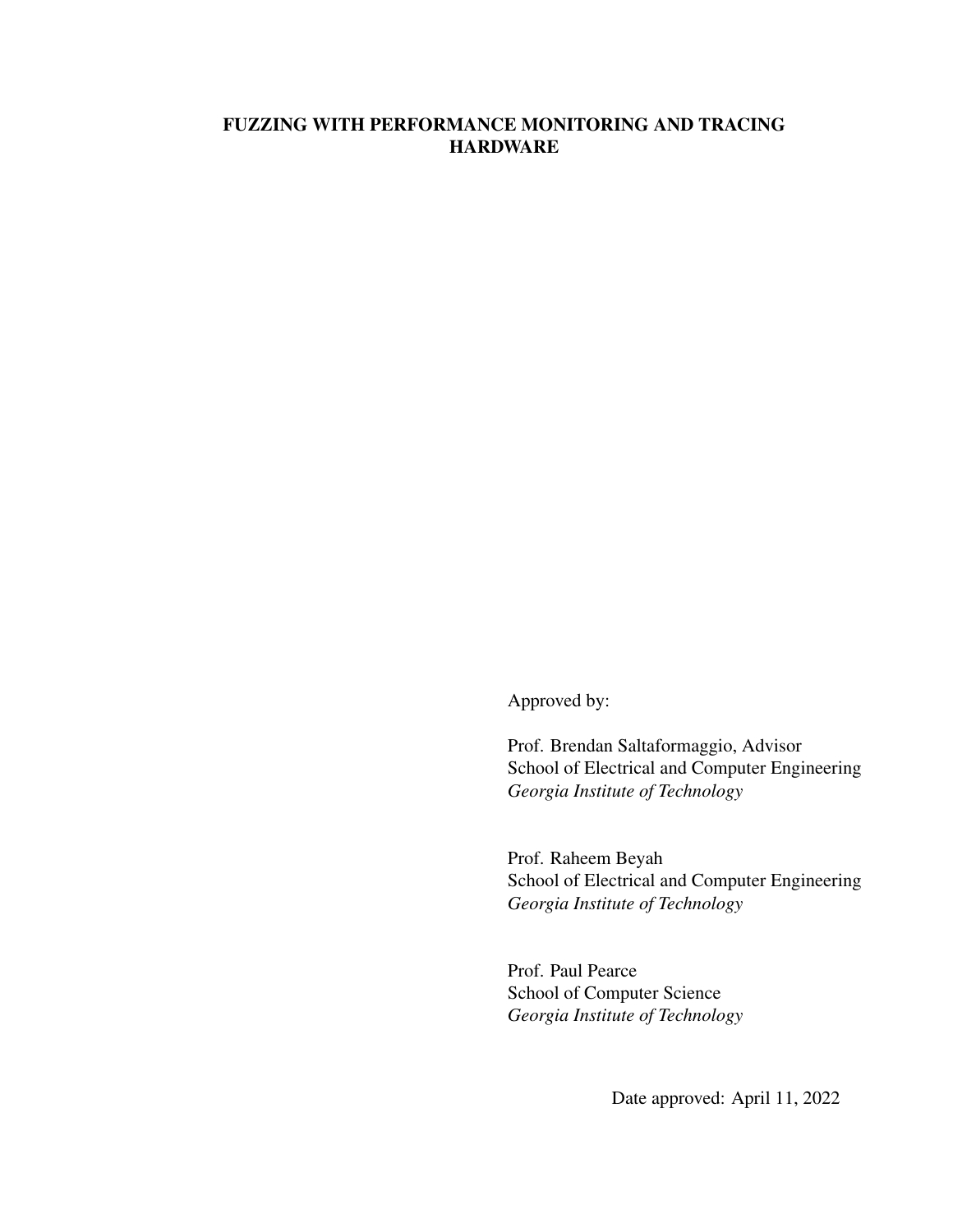# FUZZING WITH PERFORMANCE MONITORING AND TRACING **HARDWARE**

Approved by:

Prof. Brendan Saltaformaggio, Advisor School of Electrical and Computer Engineering *Georgia Institute of Technology*

Prof. Raheem Beyah School of Electrical and Computer Engineering *Georgia Institute of Technology*

Prof. Paul Pearce School of Computer Science *Georgia Institute of Technology*

Date approved: April 11, 2022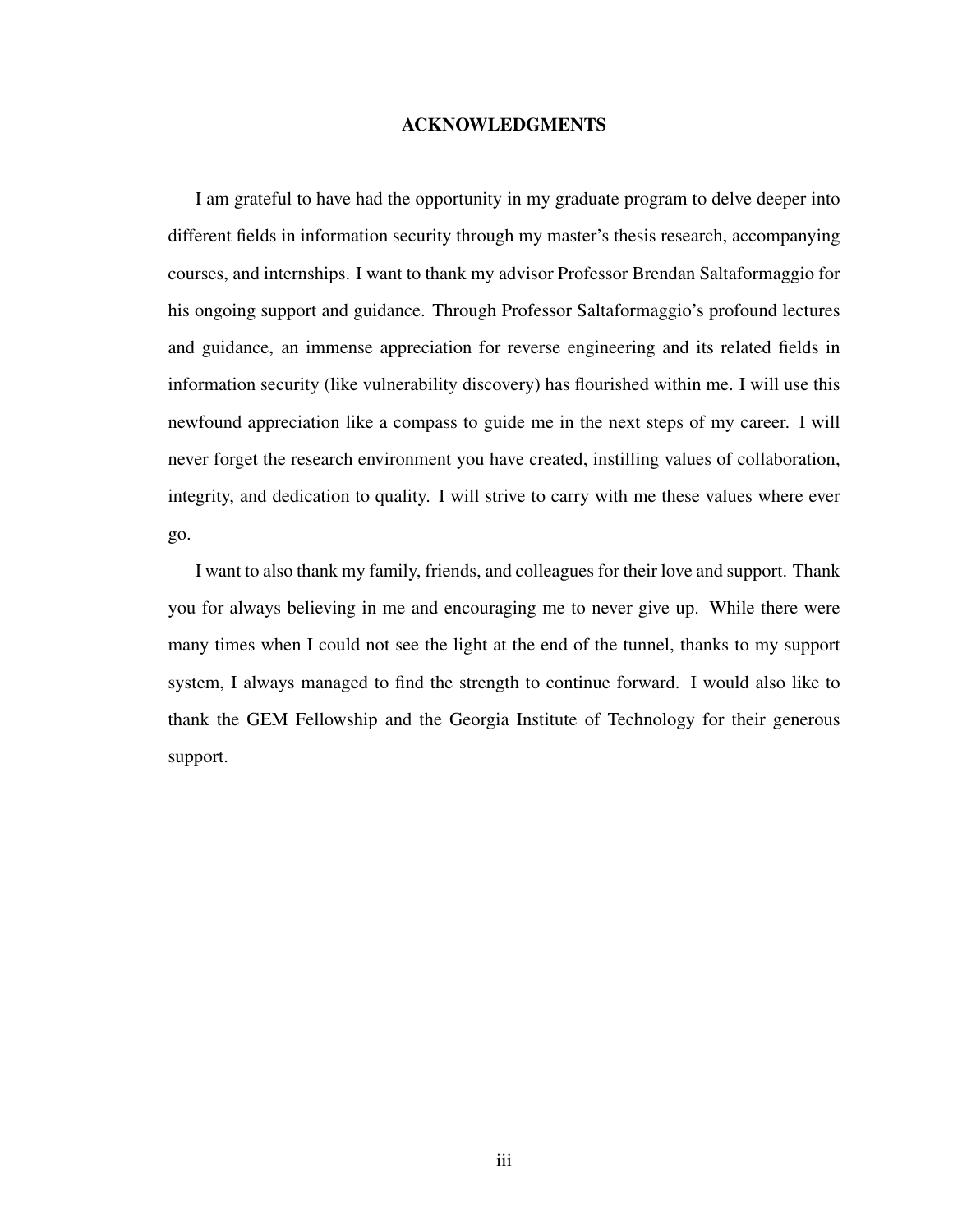#### ACKNOWLEDGMENTS

<span id="page-2-0"></span>I am grateful to have had the opportunity in my graduate program to delve deeper into different fields in information security through my master's thesis research, accompanying courses, and internships. I want to thank my advisor Professor Brendan Saltaformaggio for his ongoing support and guidance. Through Professor Saltaformaggio's profound lectures and guidance, an immense appreciation for reverse engineering and its related fields in information security (like vulnerability discovery) has flourished within me. I will use this newfound appreciation like a compass to guide me in the next steps of my career. I will never forget the research environment you have created, instilling values of collaboration, integrity, and dedication to quality. I will strive to carry with me these values where ever go.

I want to also thank my family, friends, and colleagues for their love and support. Thank you for always believing in me and encouraging me to never give up. While there were many times when I could not see the light at the end of the tunnel, thanks to my support system, I always managed to find the strength to continue forward. I would also like to thank the GEM Fellowship and the Georgia Institute of Technology for their generous support.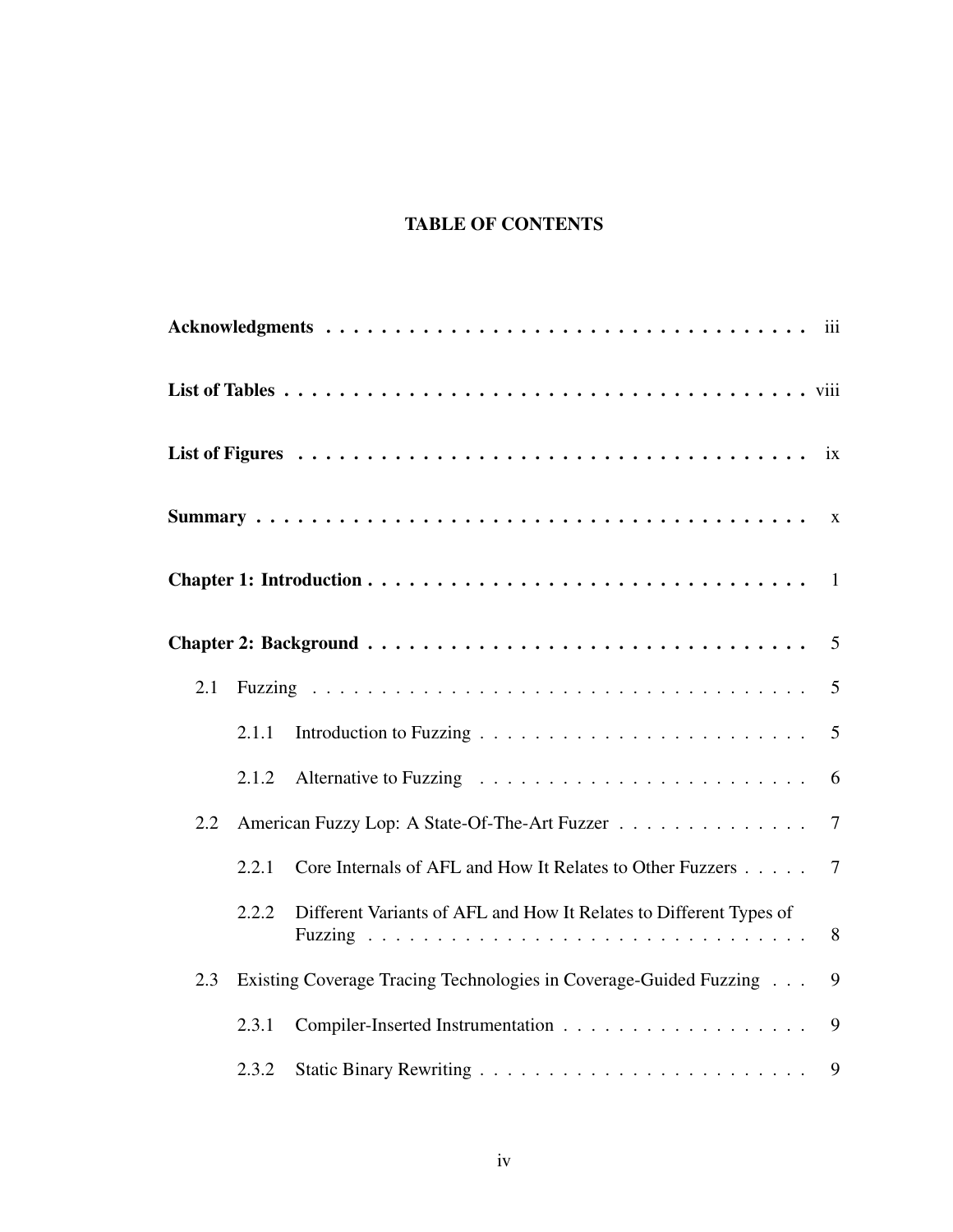# TABLE OF CONTENTS

|     |       |                                                                    | i <b>x</b>     |
|-----|-------|--------------------------------------------------------------------|----------------|
|     |       |                                                                    |                |
|     |       |                                                                    |                |
|     |       |                                                                    |                |
| 2.1 |       |                                                                    | 5              |
|     | 2.1.1 |                                                                    | 5              |
|     | 2.1.2 |                                                                    | 6              |
| 2.2 |       | American Fuzzy Lop: A State-Of-The-Art Fuzzer                      | $\tau$         |
|     | 2.2.1 | Core Internals of AFL and How It Relates to Other Fuzzers          | $\overline{7}$ |
|     | 2.2.2 | Different Variants of AFL and How It Relates to Different Types of | 8              |
| 2.3 |       | Existing Coverage Tracing Technologies in Coverage-Guided Fuzzing  | 9              |
|     | 2.3.1 |                                                                    | 9              |
|     | 2.3.2 |                                                                    | 9              |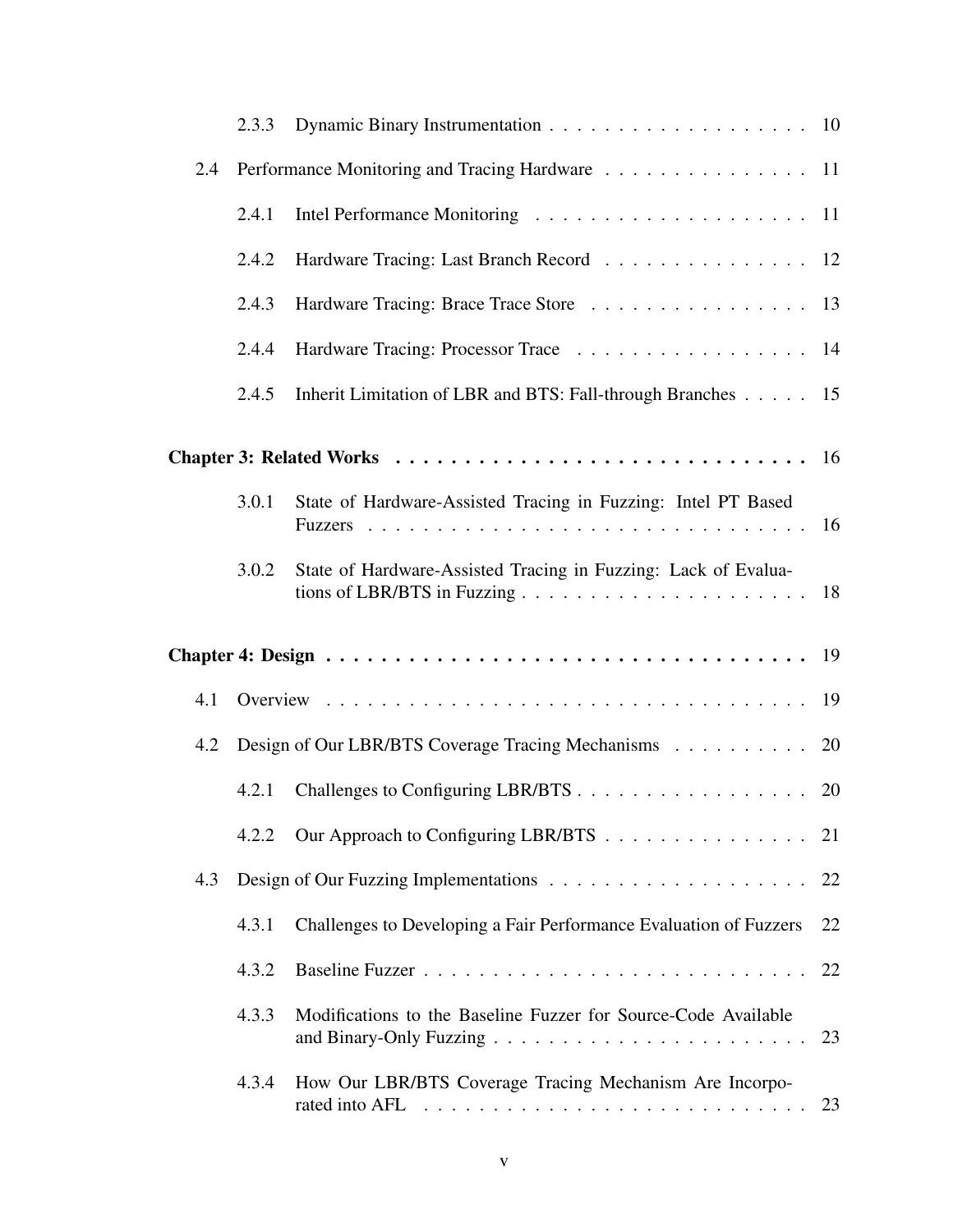| 2.4 |       | Performance Monitoring and Tracing Hardware 11                    |    |
|-----|-------|-------------------------------------------------------------------|----|
|     | 2.4.1 |                                                                   |    |
|     | 2.4.2 | Hardware Tracing: Last Branch Record 12                           |    |
|     | 2.4.3 | Hardware Tracing: Brace Trace Store 13                            |    |
|     | 2.4.4 | Hardware Tracing: Processor Trace 14                              |    |
|     | 2.4.5 | Inherit Limitation of LBR and BTS: Fall-through Branches 15       |    |
|     |       |                                                                   |    |
|     | 3.0.1 | State of Hardware-Assisted Tracing in Fuzzing: Intel PT Based     |    |
|     | 3.0.2 | State of Hardware-Assisted Tracing in Fuzzing: Lack of Evalua-    |    |
|     |       |                                                                   |    |
| 4.1 |       |                                                                   |    |
| 4.2 |       | Design of Our LBR/BTS Coverage Tracing Mechanisms 20              |    |
|     | 4.2.1 | Challenges to Configuring LBR/BTS 20                              |    |
|     | 4.2.2 | Our Approach to Configuring LBR/BTS 21                            |    |
| 4.3 |       |                                                                   |    |
|     | 4.3.1 | Challenges to Developing a Fair Performance Evaluation of Fuzzers | 22 |
|     | 4.3.2 |                                                                   | 22 |
|     | 4.3.3 | Modifications to the Baseline Fuzzer for Source-Code Available    |    |
|     | 4.3.4 | How Our LBR/BTS Coverage Tracing Mechanism Are Incorpo-           | 23 |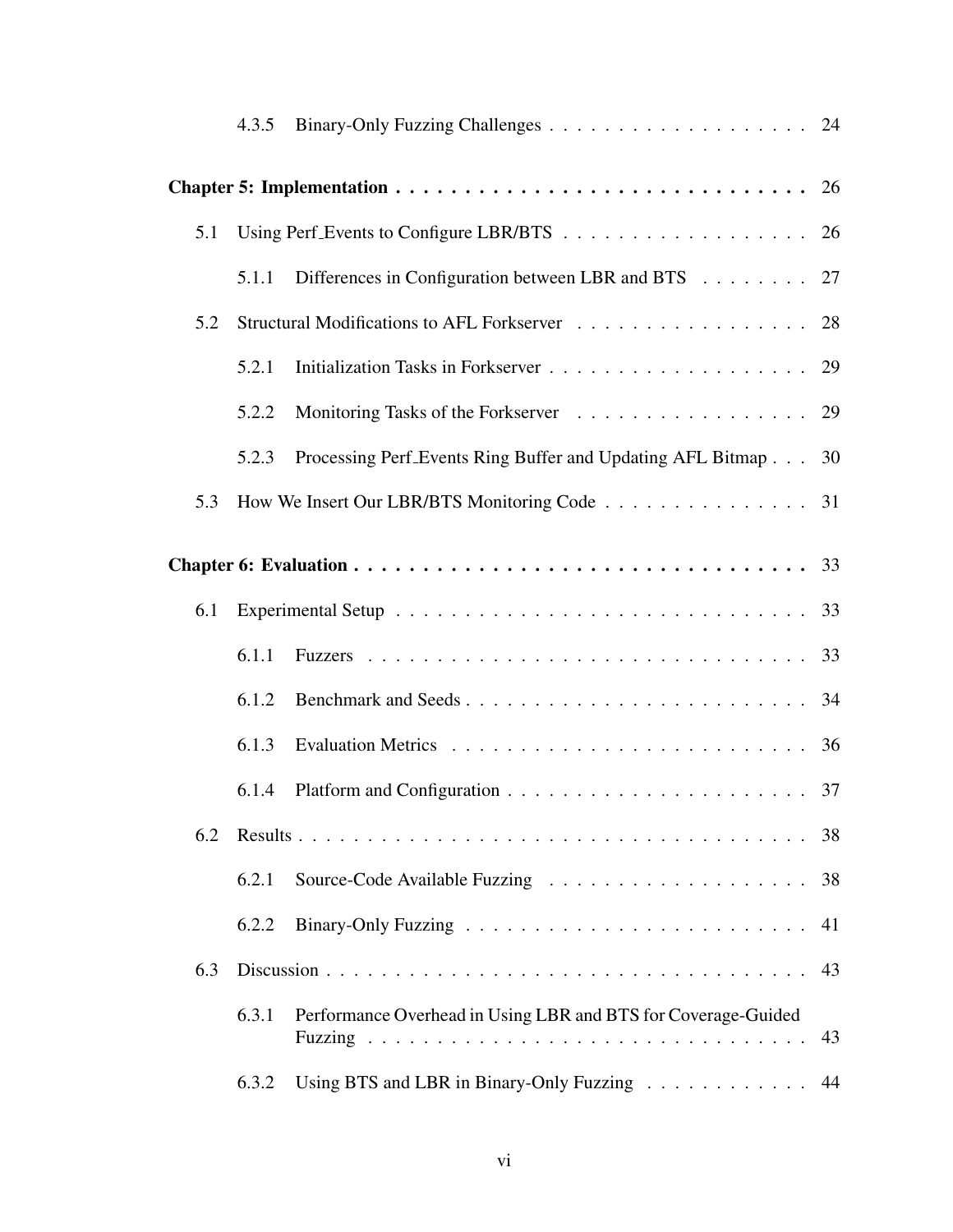|     | 4.3.5 |                                                               |    |  |
|-----|-------|---------------------------------------------------------------|----|--|
|     |       |                                                               |    |  |
| 5.1 |       |                                                               | 26 |  |
|     | 5.1.1 | Differences in Configuration between LBR and BTS 27           |    |  |
| 5.2 |       |                                                               | 28 |  |
|     | 5.2.1 |                                                               |    |  |
|     | 5.2.2 | Monitoring Tasks of the Forkserver 29                         |    |  |
|     | 5.2.3 | Processing Perf Events Ring Buffer and Updating AFL Bitmap    | 30 |  |
| 5.3 |       | How We Insert Our LBR/BTS Monitoring Code 31                  |    |  |
|     |       |                                                               |    |  |
| 6.1 |       |                                                               |    |  |
|     | 6.1.1 |                                                               |    |  |
|     | 6.1.2 |                                                               |    |  |
|     | 6.1.3 |                                                               | 36 |  |
|     | 6.1.4 |                                                               |    |  |
| 6.2 |       |                                                               | 38 |  |
|     | 6.2.1 |                                                               | 38 |  |
|     | 6.2.2 |                                                               | 41 |  |
| 6.3 |       |                                                               | 43 |  |
|     | 6.3.1 | Performance Overhead in Using LBR and BTS for Coverage-Guided | 43 |  |
|     | 6.3.2 | Using BTS and LBR in Binary-Only Fuzzing                      | 44 |  |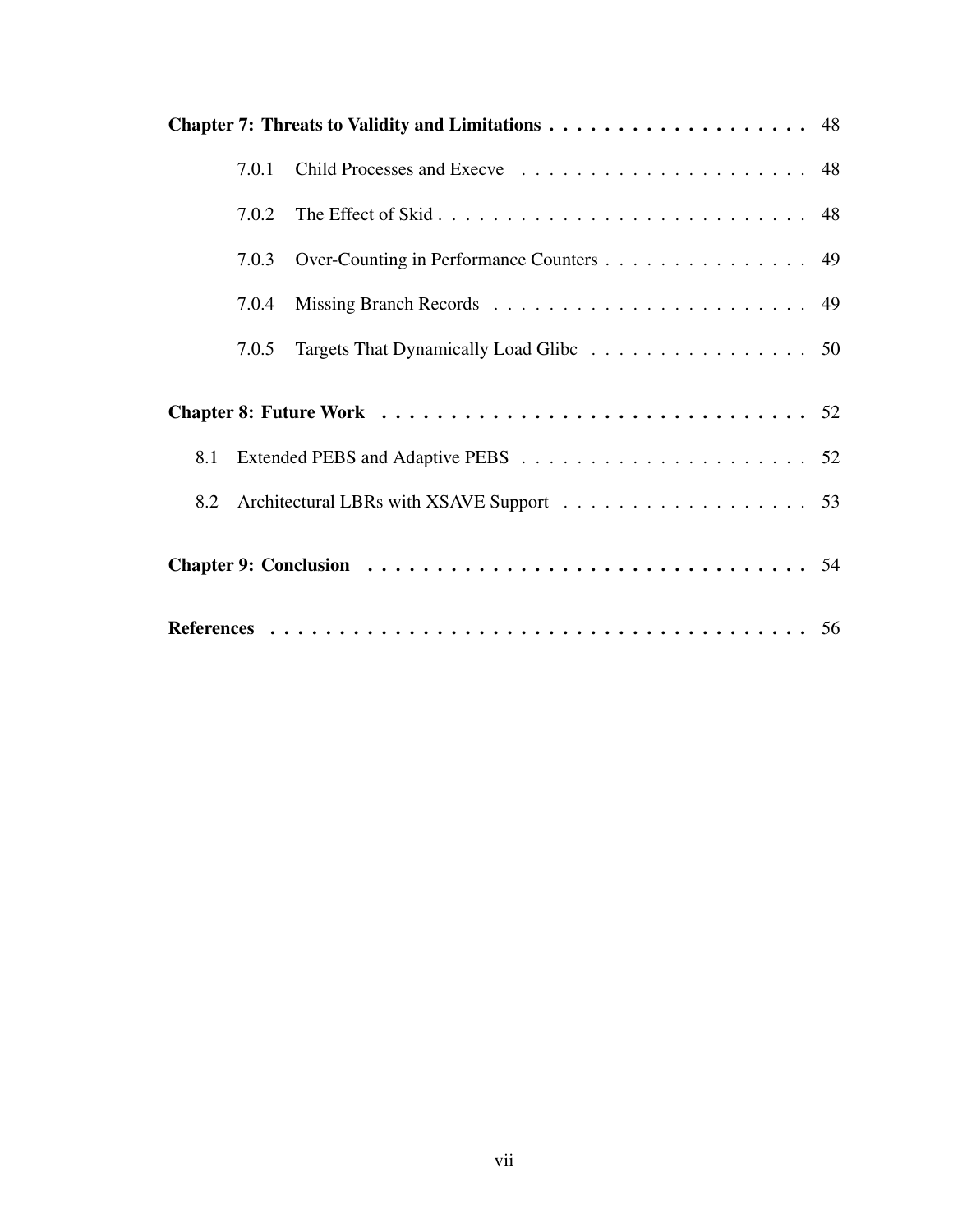|     | 7.0.1 |                                          |  |
|-----|-------|------------------------------------------|--|
|     | 7.0.2 |                                          |  |
|     | 7.0.3 | Over-Counting in Performance Counters 49 |  |
|     | 7.0.4 |                                          |  |
|     | 7.0.5 | Targets That Dynamically Load Glibc 50   |  |
|     |       |                                          |  |
|     |       |                                          |  |
| 8.1 |       |                                          |  |
|     |       |                                          |  |
|     |       |                                          |  |
|     |       |                                          |  |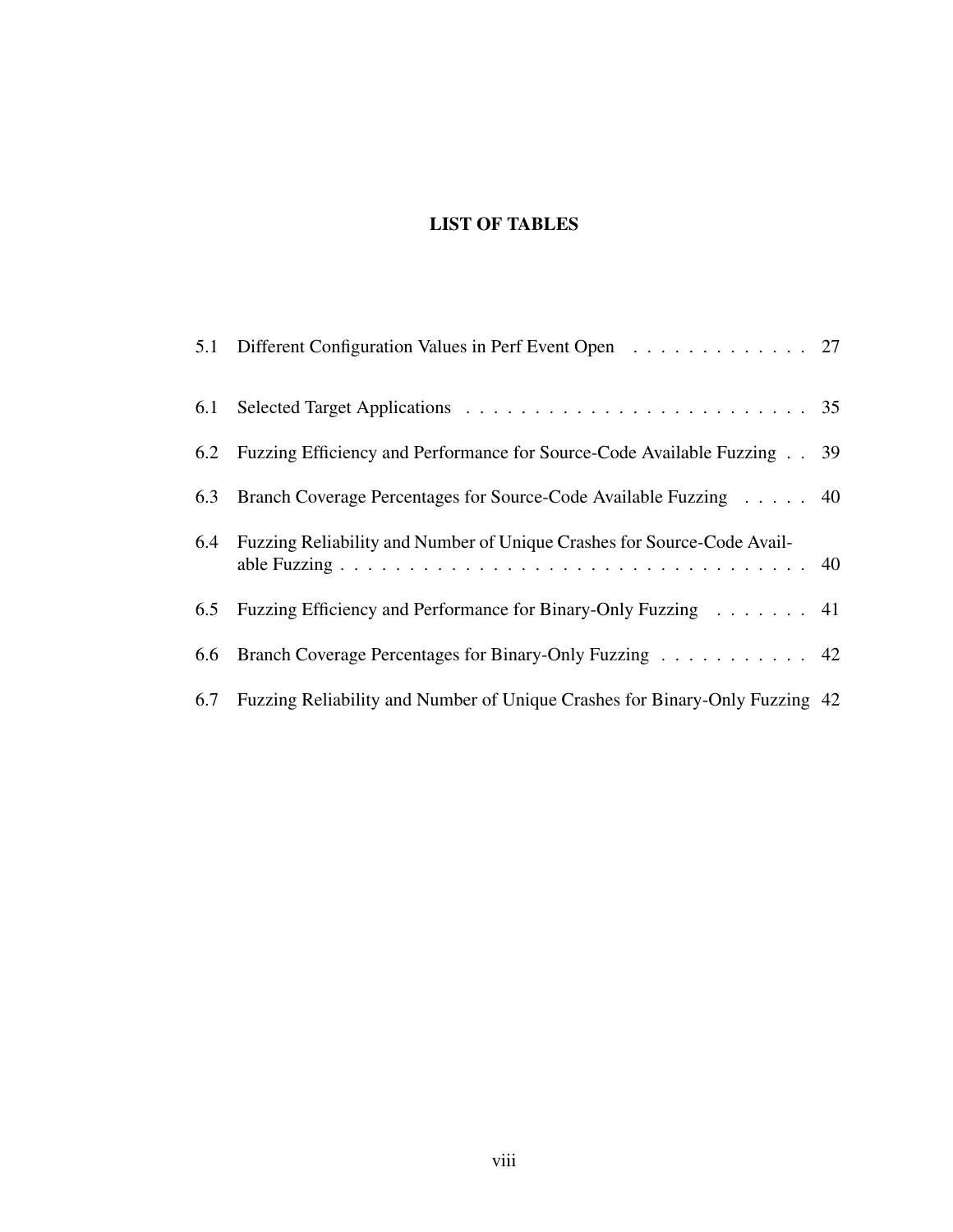# LIST OF TABLES

<span id="page-7-0"></span>

| 5.1 Different Configuration Values in Perf Event Open 27                        |  |
|---------------------------------------------------------------------------------|--|
|                                                                                 |  |
| 6.2 Fuzzing Efficiency and Performance for Source-Code Available Fuzzing 39     |  |
| 6.3 Branch Coverage Percentages for Source-Code Available Fuzzing 40            |  |
| 6.4 Fuzzing Reliability and Number of Unique Crashes for Source-Code Avail-     |  |
| 6.5 Fuzzing Efficiency and Performance for Binary-Only Fuzzing 41               |  |
| 6.6 Branch Coverage Percentages for Binary-Only Fuzzing 42                      |  |
| 6.7 Fuzzing Reliability and Number of Unique Crashes for Binary-Only Fuzzing 42 |  |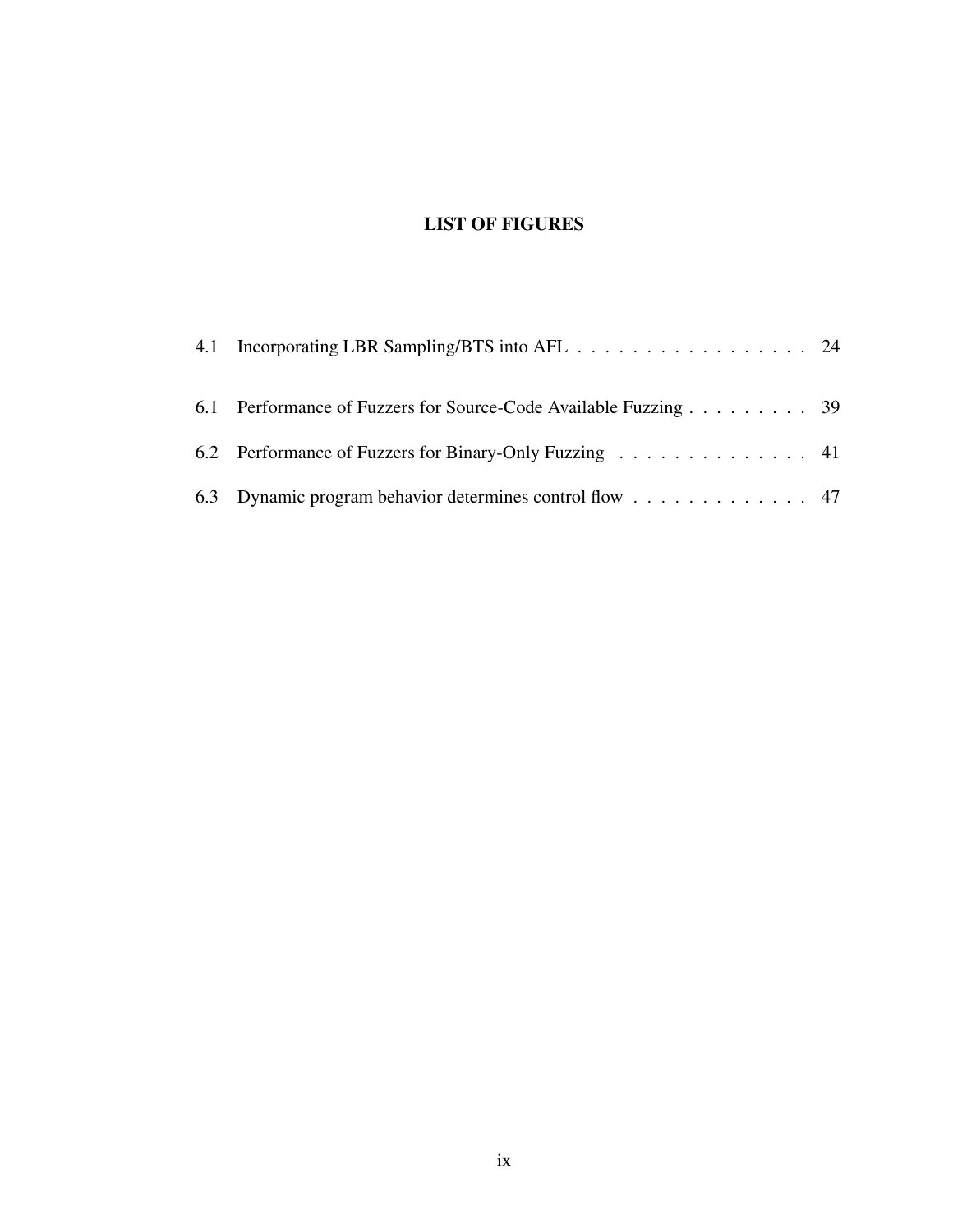# LIST OF FIGURES

<span id="page-8-0"></span>

| 4.1 Incorporating LBR Sampling/BTS into AFL 24                  |  |
|-----------------------------------------------------------------|--|
| 6.1 Performance of Fuzzers for Source-Code Available Fuzzing 39 |  |
| 6.2 Performance of Fuzzers for Binary-Only Fuzzing 41           |  |
| 6.3 Dynamic program behavior determines control flow 47         |  |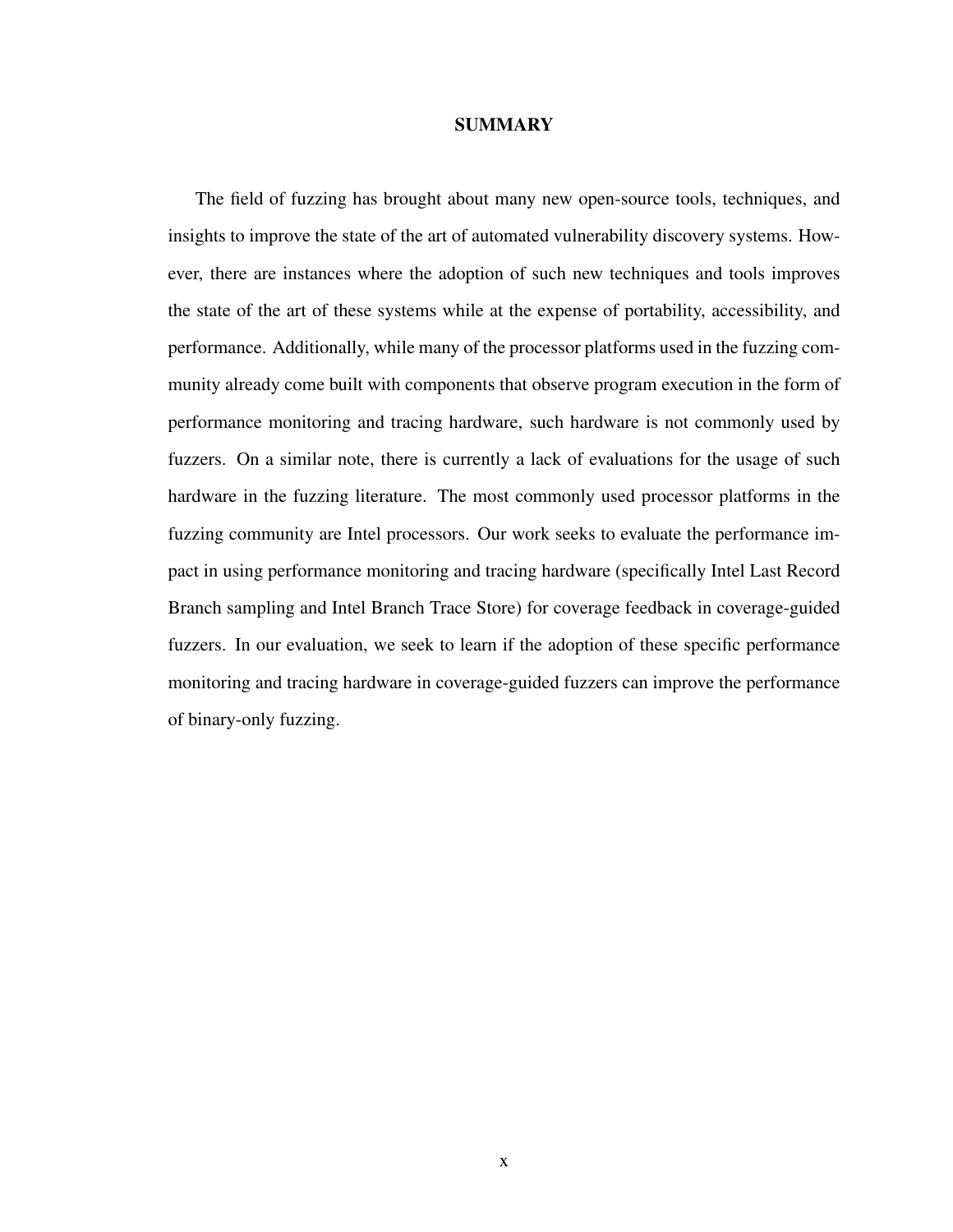#### **SUMMARY**

<span id="page-9-0"></span>The field of fuzzing has brought about many new open-source tools, techniques, and insights to improve the state of the art of automated vulnerability discovery systems. However, there are instances where the adoption of such new techniques and tools improves the state of the art of these systems while at the expense of portability, accessibility, and performance. Additionally, while many of the processor platforms used in the fuzzing community already come built with components that observe program execution in the form of performance monitoring and tracing hardware, such hardware is not commonly used by fuzzers. On a similar note, there is currently a lack of evaluations for the usage of such hardware in the fuzzing literature. The most commonly used processor platforms in the fuzzing community are Intel processors. Our work seeks to evaluate the performance impact in using performance monitoring and tracing hardware (specifically Intel Last Record Branch sampling and Intel Branch Trace Store) for coverage feedback in coverage-guided fuzzers. In our evaluation, we seek to learn if the adoption of these specific performance monitoring and tracing hardware in coverage-guided fuzzers can improve the performance of binary-only fuzzing.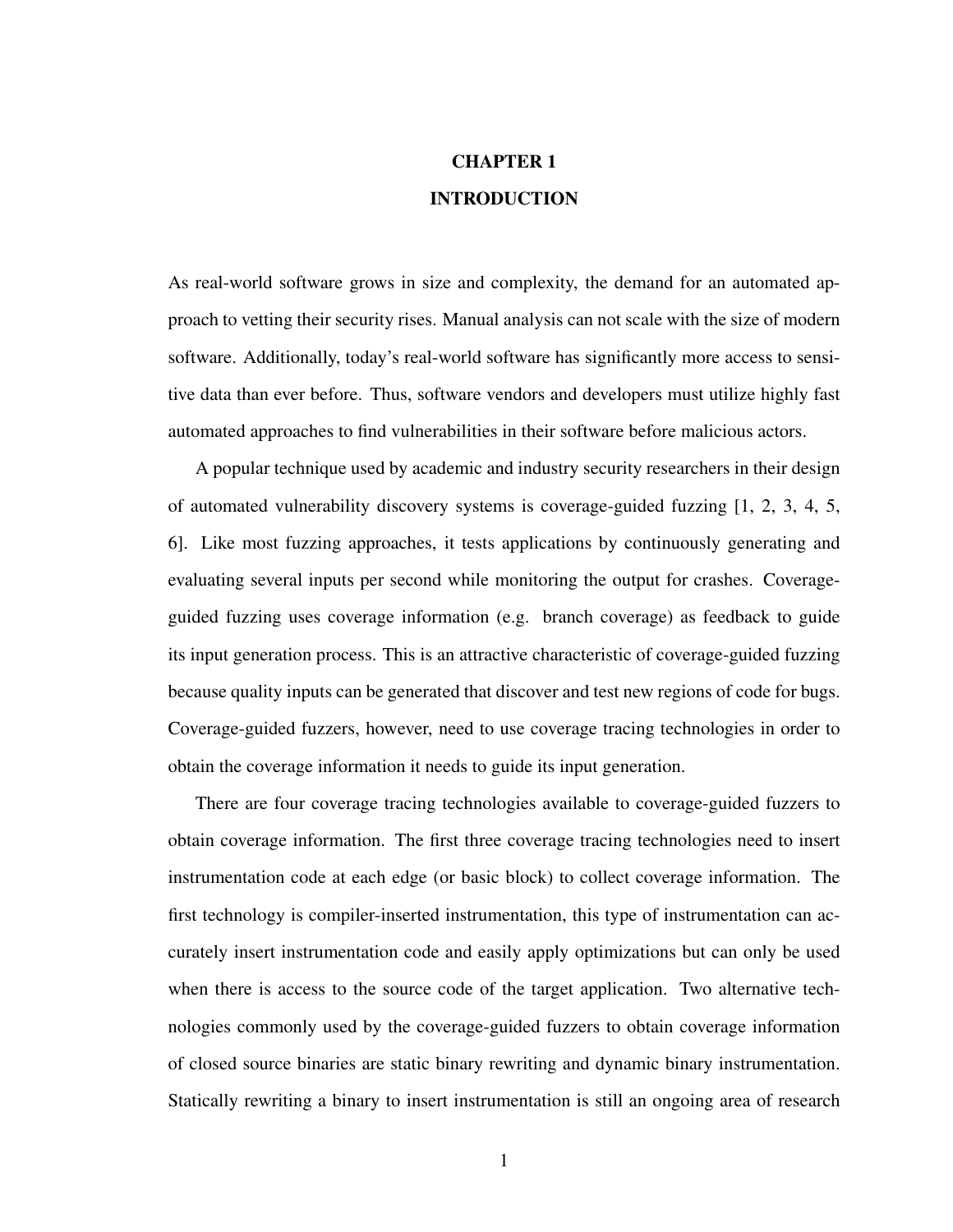# CHAPTER 1 INTRODUCTION

<span id="page-10-0"></span>As real-world software grows in size and complexity, the demand for an automated approach to vetting their security rises. Manual analysis can not scale with the size of modern software. Additionally, today's real-world software has significantly more access to sensitive data than ever before. Thus, software vendors and developers must utilize highly fast automated approaches to find vulnerabilities in their software before malicious actors.

A popular technique used by academic and industry security researchers in their design of automated vulnerability discovery systems is coverage-guided fuzzing [\[1,](#page-65-1) [2,](#page-65-2) [3,](#page-65-3) [4,](#page-65-4) [5,](#page-65-5) [6\]](#page-65-6). Like most fuzzing approaches, it tests applications by continuously generating and evaluating several inputs per second while monitoring the output for crashes. Coverageguided fuzzing uses coverage information (e.g. branch coverage) as feedback to guide its input generation process. This is an attractive characteristic of coverage-guided fuzzing because quality inputs can be generated that discover and test new regions of code for bugs. Coverage-guided fuzzers, however, need to use coverage tracing technologies in order to obtain the coverage information it needs to guide its input generation.

There are four coverage tracing technologies available to coverage-guided fuzzers to obtain coverage information. The first three coverage tracing technologies need to insert instrumentation code at each edge (or basic block) to collect coverage information. The first technology is compiler-inserted instrumentation, this type of instrumentation can accurately insert instrumentation code and easily apply optimizations but can only be used when there is access to the source code of the target application. Two alternative technologies commonly used by the coverage-guided fuzzers to obtain coverage information of closed source binaries are static binary rewriting and dynamic binary instrumentation. Statically rewriting a binary to insert instrumentation is still an ongoing area of research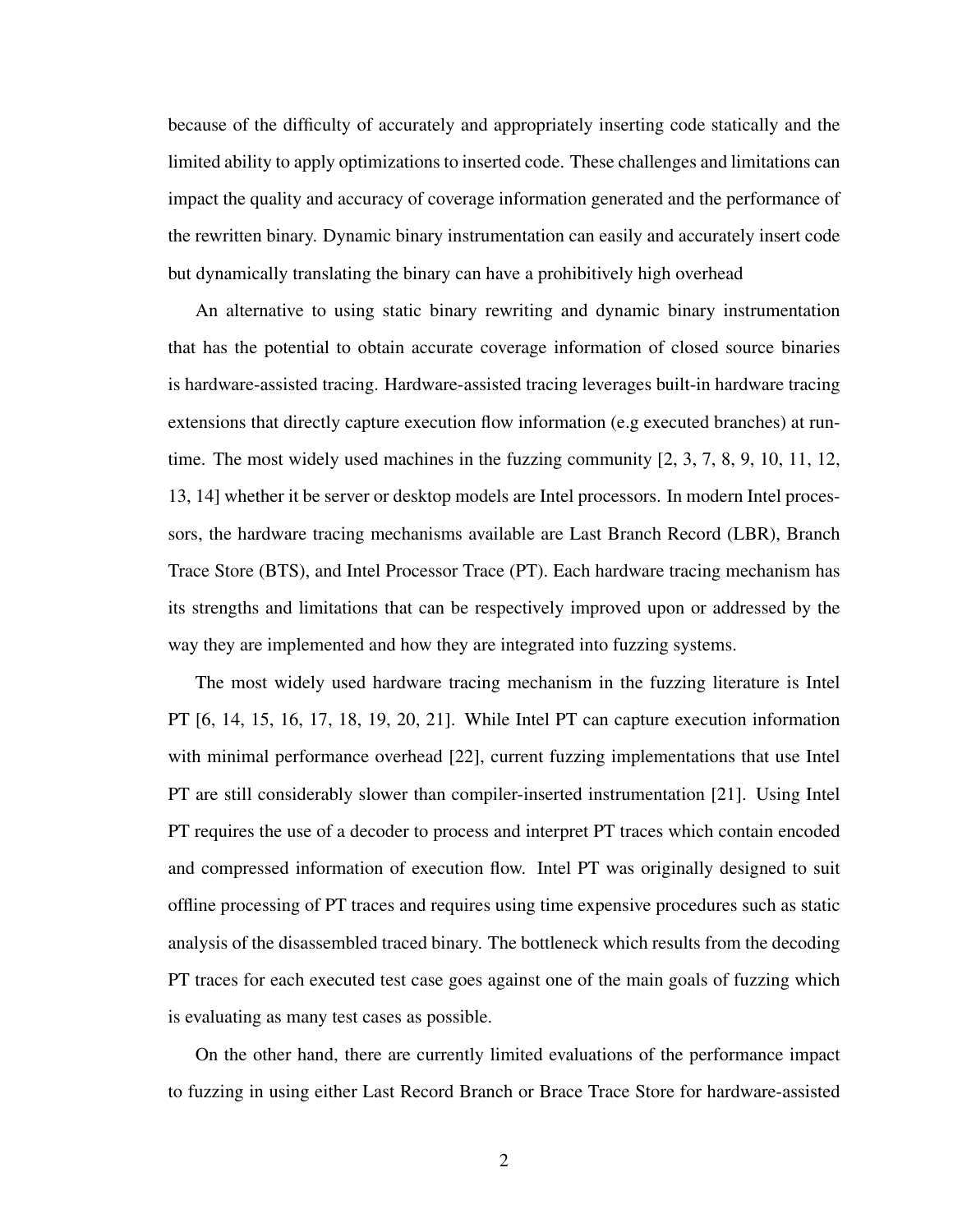because of the difficulty of accurately and appropriately inserting code statically and the limited ability to apply optimizations to inserted code. These challenges and limitations can impact the quality and accuracy of coverage information generated and the performance of the rewritten binary. Dynamic binary instrumentation can easily and accurately insert code but dynamically translating the binary can have a prohibitively high overhead

An alternative to using static binary rewriting and dynamic binary instrumentation that has the potential to obtain accurate coverage information of closed source binaries is hardware-assisted tracing. Hardware-assisted tracing leverages built-in hardware tracing extensions that directly capture execution flow information (e.g executed branches) at runtime. The most widely used machines in the fuzzing community  $[2, 3, 7, 8, 9, 10, 11, 12,$  $[2, 3, 7, 8, 9, 10, 11, 12,$  $[2, 3, 7, 8, 9, 10, 11, 12,$  $[2, 3, 7, 8, 9, 10, 11, 12,$  $[2, 3, 7, 8, 9, 10, 11, 12,$  $[2, 3, 7, 8, 9, 10, 11, 12,$  $[2, 3, 7, 8, 9, 10, 11, 12,$  $[2, 3, 7, 8, 9, 10, 11, 12,$  $[2, 3, 7, 8, 9, 10, 11, 12,$  $[2, 3, 7, 8, 9, 10, 11, 12,$  $[2, 3, 7, 8, 9, 10, 11, 12,$  $[2, 3, 7, 8, 9, 10, 11, 12,$  $[2, 3, 7, 8, 9, 10, 11, 12,$  $[2, 3, 7, 8, 9, 10, 11, 12,$  $[2, 3, 7, 8, 9, 10, 11, 12,$ [13,](#page-66-0) [14\]](#page-66-1) whether it be server or desktop models are Intel processors. In modern Intel processors, the hardware tracing mechanisms available are Last Branch Record (LBR), Branch Trace Store (BTS), and Intel Processor Trace (PT). Each hardware tracing mechanism has its strengths and limitations that can be respectively improved upon or addressed by the way they are implemented and how they are integrated into fuzzing systems.

The most widely used hardware tracing mechanism in the fuzzing literature is Intel PT [\[6,](#page-65-6) [14,](#page-66-1) [15,](#page-66-2) [16,](#page-66-3) [17,](#page-66-4) [18,](#page-66-5) [19,](#page-66-6) [20,](#page-66-7) [21\]](#page-66-8). While Intel PT can capture execution information with minimal performance overhead [\[22\]](#page-66-9), current fuzzing implementations that use Intel PT are still considerably slower than compiler-inserted instrumentation [\[21\]](#page-66-8). Using Intel PT requires the use of a decoder to process and interpret PT traces which contain encoded and compressed information of execution flow. Intel PT was originally designed to suit offline processing of PT traces and requires using time expensive procedures such as static analysis of the disassembled traced binary. The bottleneck which results from the decoding PT traces for each executed test case goes against one of the main goals of fuzzing which is evaluating as many test cases as possible.

On the other hand, there are currently limited evaluations of the performance impact to fuzzing in using either Last Record Branch or Brace Trace Store for hardware-assisted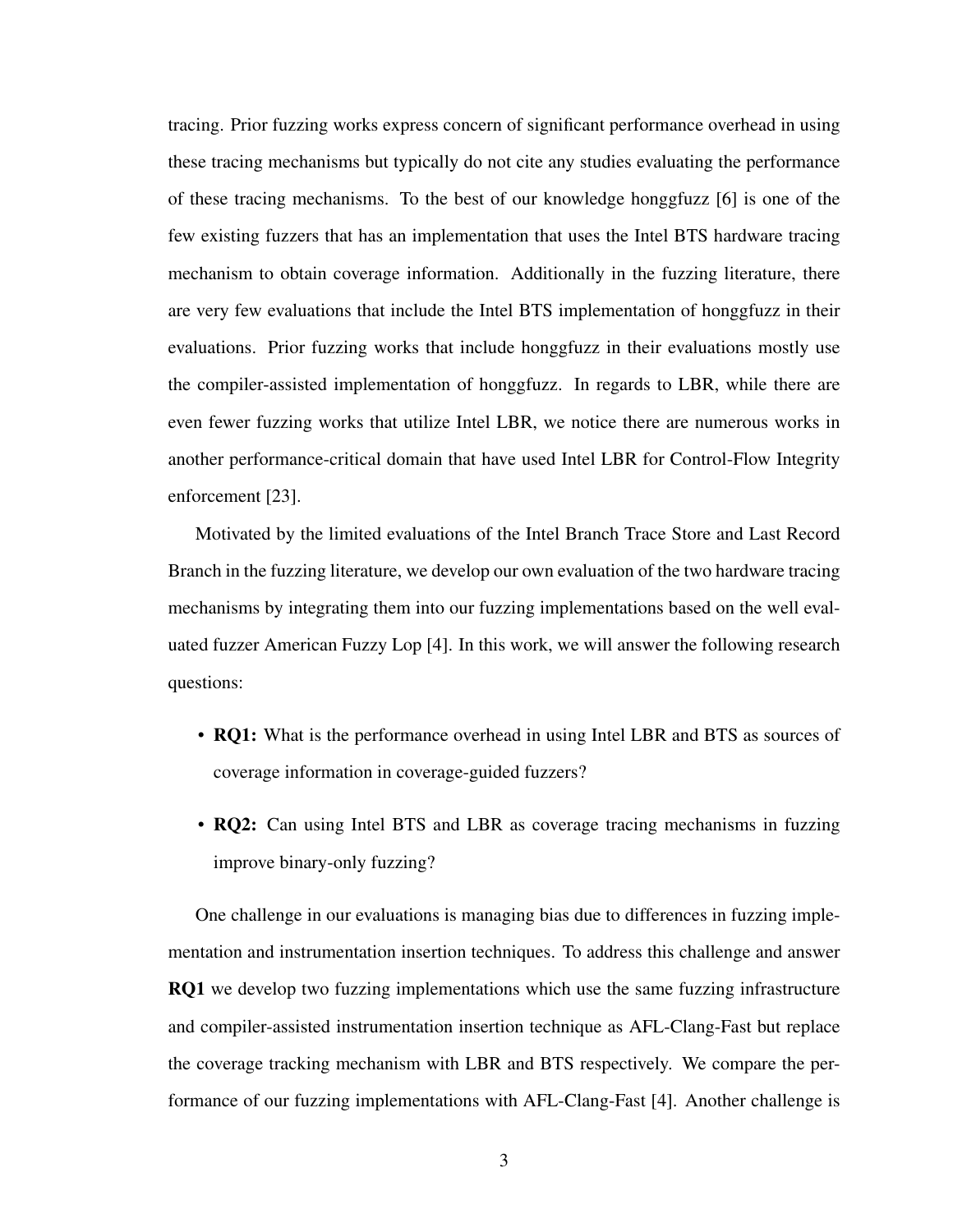tracing. Prior fuzzing works express concern of significant performance overhead in using these tracing mechanisms but typically do not cite any studies evaluating the performance of these tracing mechanisms. To the best of our knowledge honggfuzz [\[6\]](#page-65-6) is one of the few existing fuzzers that has an implementation that uses the Intel BTS hardware tracing mechanism to obtain coverage information. Additionally in the fuzzing literature, there are very few evaluations that include the Intel BTS implementation of honggfuzz in their evaluations. Prior fuzzing works that include honggfuzz in their evaluations mostly use the compiler-assisted implementation of honggfuzz. In regards to LBR, while there are even fewer fuzzing works that utilize Intel LBR, we notice there are numerous works in another performance-critical domain that have used Intel LBR for Control-Flow Integrity enforcement [\[23\]](#page-66-10).

Motivated by the limited evaluations of the Intel Branch Trace Store and Last Record Branch in the fuzzing literature, we develop our own evaluation of the two hardware tracing mechanisms by integrating them into our fuzzing implementations based on the well evaluated fuzzer American Fuzzy Lop [\[4\]](#page-65-4). In this work, we will answer the following research questions:

- RQ1: What is the performance overhead in using Intel LBR and BTS as sources of coverage information in coverage-guided fuzzers?
- RQ2: Can using Intel BTS and LBR as coverage tracing mechanisms in fuzzing improve binary-only fuzzing?

One challenge in our evaluations is managing bias due to differences in fuzzing implementation and instrumentation insertion techniques. To address this challenge and answer RQ1 we develop two fuzzing implementations which use the same fuzzing infrastructure and compiler-assisted instrumentation insertion technique as AFL-Clang-Fast but replace the coverage tracking mechanism with LBR and BTS respectively. We compare the performance of our fuzzing implementations with AFL-Clang-Fast [\[4\]](#page-65-4). Another challenge is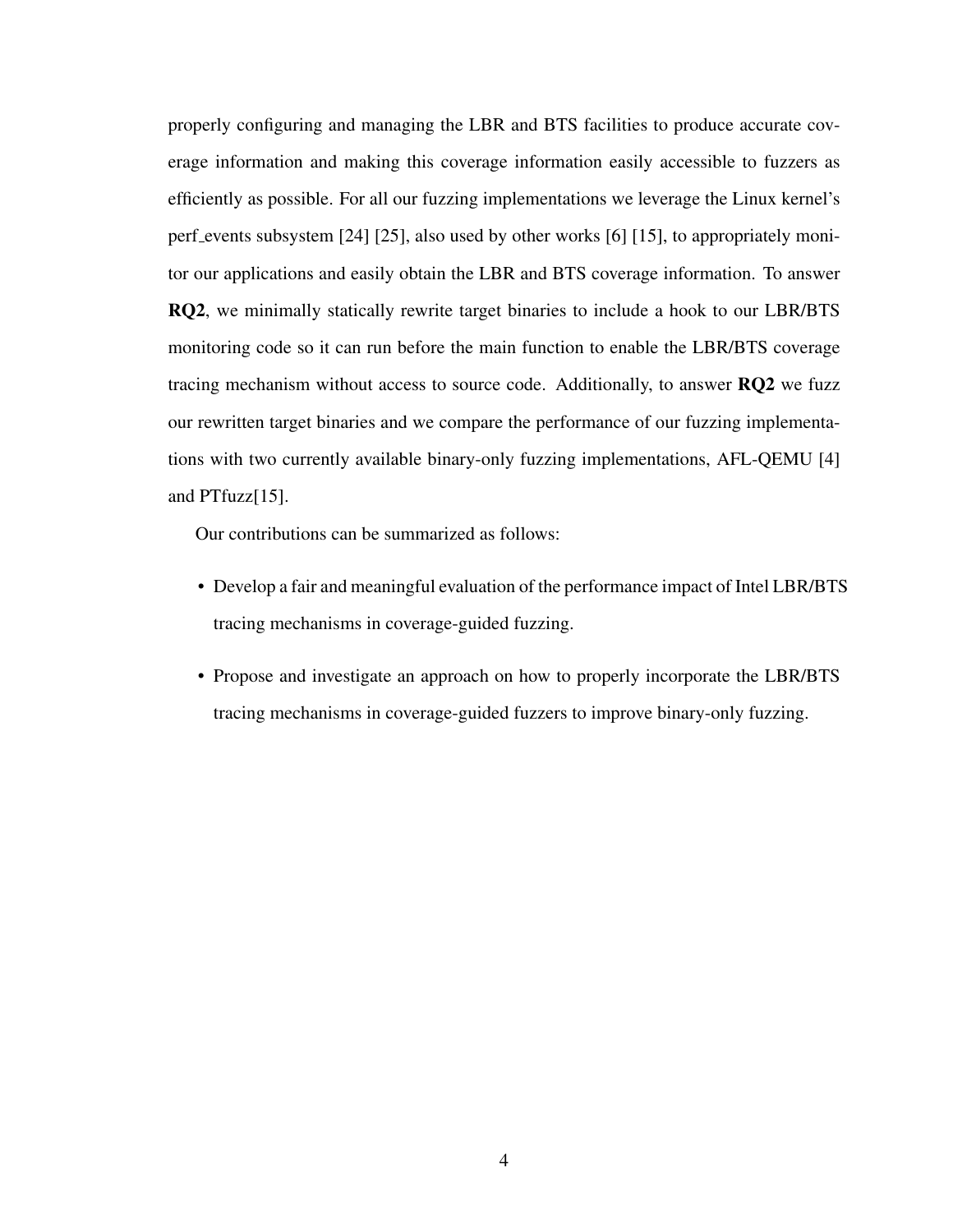properly configuring and managing the LBR and BTS facilities to produce accurate coverage information and making this coverage information easily accessible to fuzzers as efficiently as possible. For all our fuzzing implementations we leverage the Linux kernel's perf events subsystem [\[24\]](#page-66-11) [\[25\]](#page-67-0), also used by other works [\[6\]](#page-65-6) [\[15\]](#page-66-2), to appropriately monitor our applications and easily obtain the LBR and BTS coverage information. To answer RQ2, we minimally statically rewrite target binaries to include a hook to our LBR/BTS monitoring code so it can run before the main function to enable the LBR/BTS coverage tracing mechanism without access to source code. Additionally, to answer RQ2 we fuzz our rewritten target binaries and we compare the performance of our fuzzing implementations with two currently available binary-only fuzzing implementations, AFL-QEMU [\[4\]](#page-65-4) and PTfuzz[\[15\]](#page-66-2).

Our contributions can be summarized as follows:

- Develop a fair and meaningful evaluation of the performance impact of Intel LBR/BTS tracing mechanisms in coverage-guided fuzzing.
- Propose and investigate an approach on how to properly incorporate the LBR/BTS tracing mechanisms in coverage-guided fuzzers to improve binary-only fuzzing.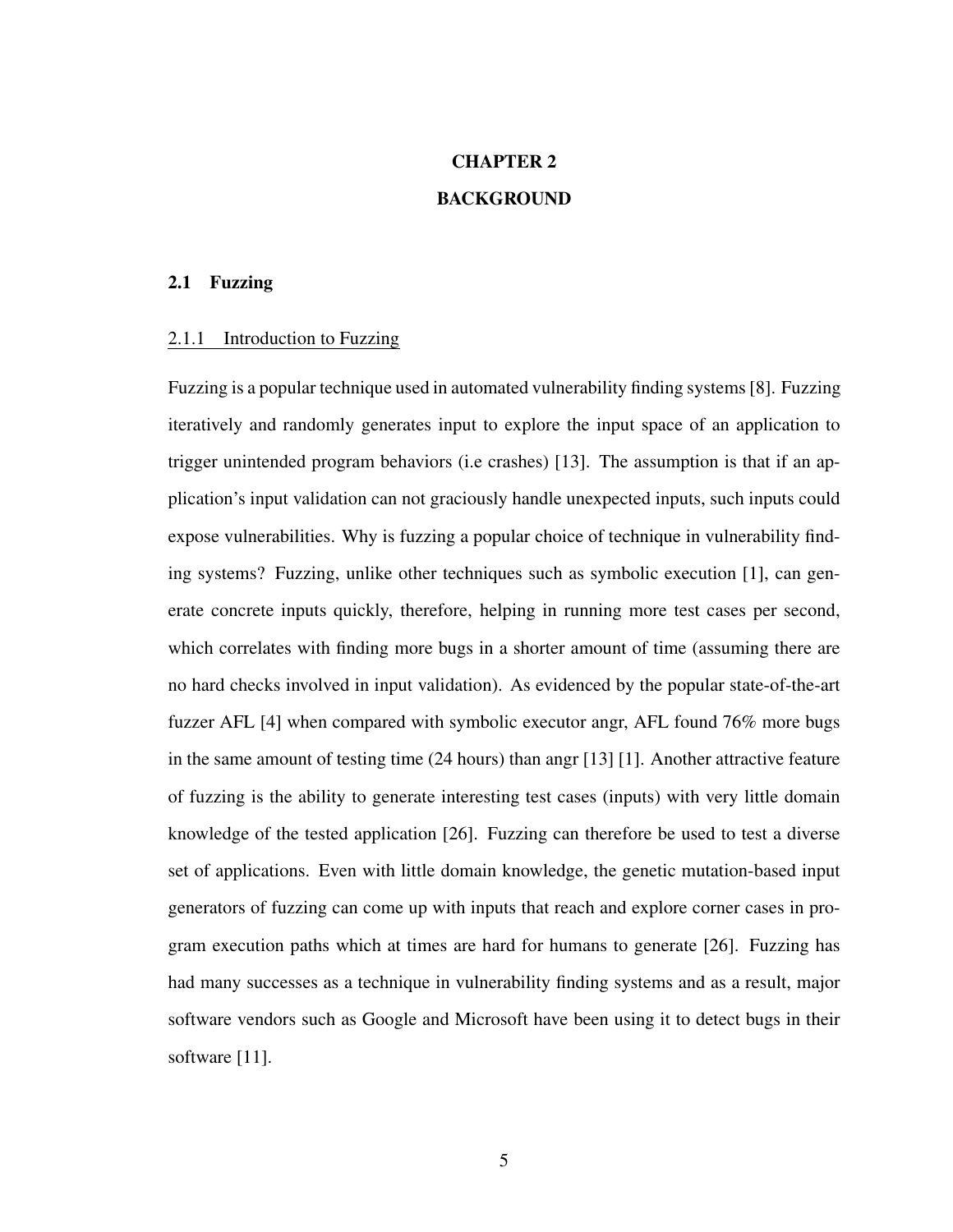# CHAPTER 2 BACKGROUND

## <span id="page-14-1"></span><span id="page-14-0"></span>2.1 Fuzzing

### <span id="page-14-2"></span>2.1.1 Introduction to Fuzzing

Fuzzing is a popular technique used in automated vulnerability finding systems [\[8\]](#page-65-8). Fuzzing iteratively and randomly generates input to explore the input space of an application to trigger unintended program behaviors (i.e crashes) [\[13\]](#page-66-0). The assumption is that if an application's input validation can not graciously handle unexpected inputs, such inputs could expose vulnerabilities. Why is fuzzing a popular choice of technique in vulnerability finding systems? Fuzzing, unlike other techniques such as symbolic execution [\[1\]](#page-65-1), can generate concrete inputs quickly, therefore, helping in running more test cases per second, which correlates with finding more bugs in a shorter amount of time (assuming there are no hard checks involved in input validation). As evidenced by the popular state-of-the-art fuzzer AFL [\[4\]](#page-65-4) when compared with symbolic executor angr, AFL found 76% more bugs in the same amount of testing time (24 hours) than angr [\[13\]](#page-66-0) [\[1\]](#page-65-1). Another attractive feature of fuzzing is the ability to generate interesting test cases (inputs) with very little domain knowledge of the tested application [\[26\]](#page-67-1). Fuzzing can therefore be used to test a diverse set of applications. Even with little domain knowledge, the genetic mutation-based input generators of fuzzing can come up with inputs that reach and explore corner cases in program execution paths which at times are hard for humans to generate [\[26\]](#page-67-1). Fuzzing has had many successes as a technique in vulnerability finding systems and as a result, major software vendors such as Google and Microsoft have been using it to detect bugs in their software [\[11\]](#page-65-11).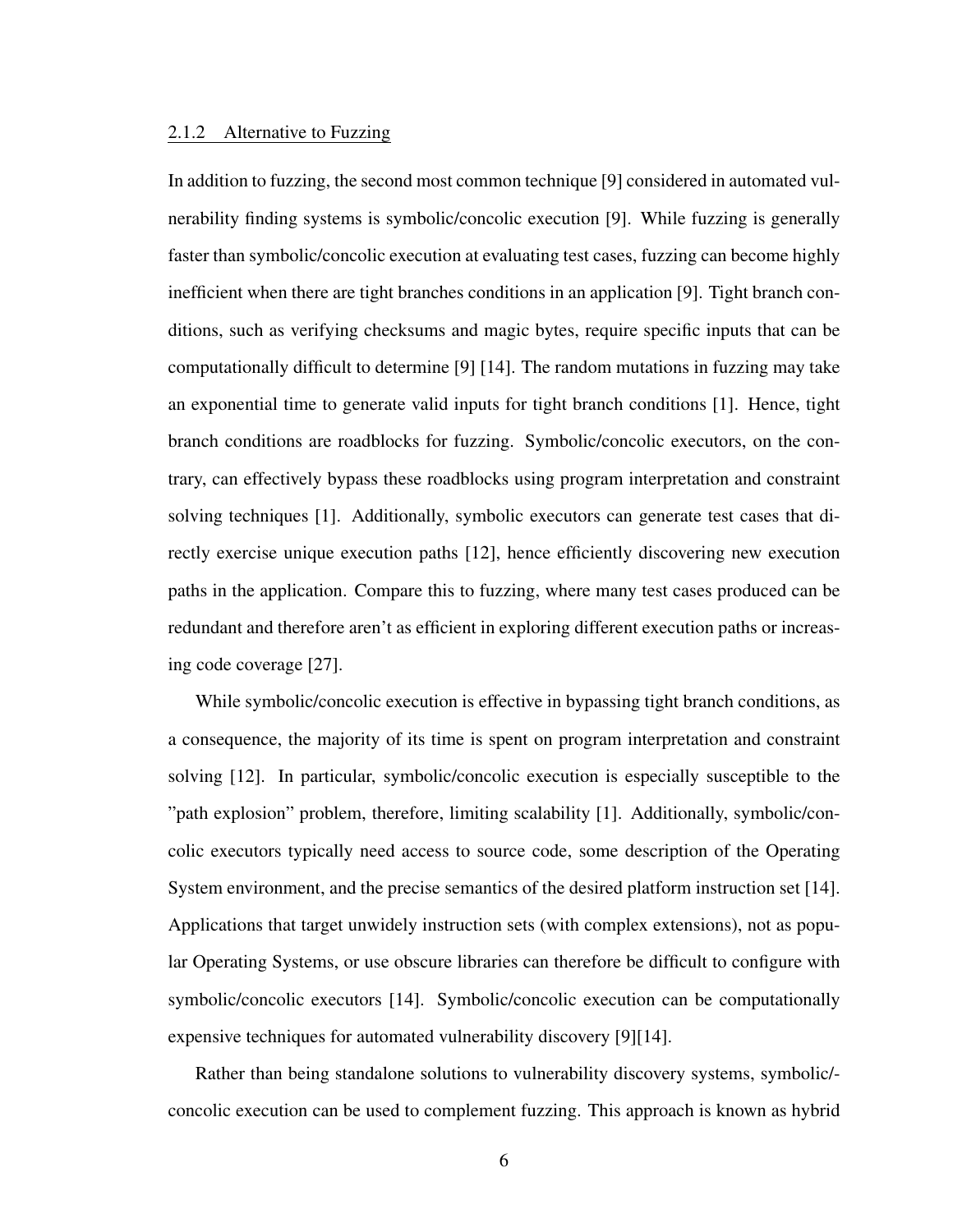#### <span id="page-15-0"></span>2.1.2 Alternative to Fuzzing

In addition to fuzzing, the second most common technique [\[9\]](#page-65-9) considered in automated vulnerability finding systems is symbolic/concolic execution [\[9\]](#page-65-9). While fuzzing is generally faster than symbolic/concolic execution at evaluating test cases, fuzzing can become highly inefficient when there are tight branches conditions in an application [\[9\]](#page-65-9). Tight branch conditions, such as verifying checksums and magic bytes, require specific inputs that can be computationally difficult to determine [\[9\]](#page-65-9) [\[14\]](#page-66-1). The random mutations in fuzzing may take an exponential time to generate valid inputs for tight branch conditions [\[1\]](#page-65-1). Hence, tight branch conditions are roadblocks for fuzzing. Symbolic/concolic executors, on the contrary, can effectively bypass these roadblocks using program interpretation and constraint solving techniques [\[1\]](#page-65-1). Additionally, symbolic executors can generate test cases that directly exercise unique execution paths [\[12\]](#page-65-12), hence efficiently discovering new execution paths in the application. Compare this to fuzzing, where many test cases produced can be redundant and therefore aren't as efficient in exploring different execution paths or increasing code coverage [\[27\]](#page-67-2).

While symbolic/concolic execution is effective in bypassing tight branch conditions, as a consequence, the majority of its time is spent on program interpretation and constraint solving [\[12\]](#page-65-12). In particular, symbolic/concolic execution is especially susceptible to the "path explosion" problem, therefore, limiting scalability [\[1\]](#page-65-1). Additionally, symbolic/concolic executors typically need access to source code, some description of the Operating System environment, and the precise semantics of the desired platform instruction set [\[14\]](#page-66-1). Applications that target unwidely instruction sets (with complex extensions), not as popular Operating Systems, or use obscure libraries can therefore be difficult to configure with symbolic/concolic executors [\[14\]](#page-66-1). Symbolic/concolic execution can be computationally expensive techniques for automated vulnerability discovery [\[9\]](#page-65-9)[\[14\]](#page-66-1).

Rather than being standalone solutions to vulnerability discovery systems, symbolic/ concolic execution can be used to complement fuzzing. This approach is known as hybrid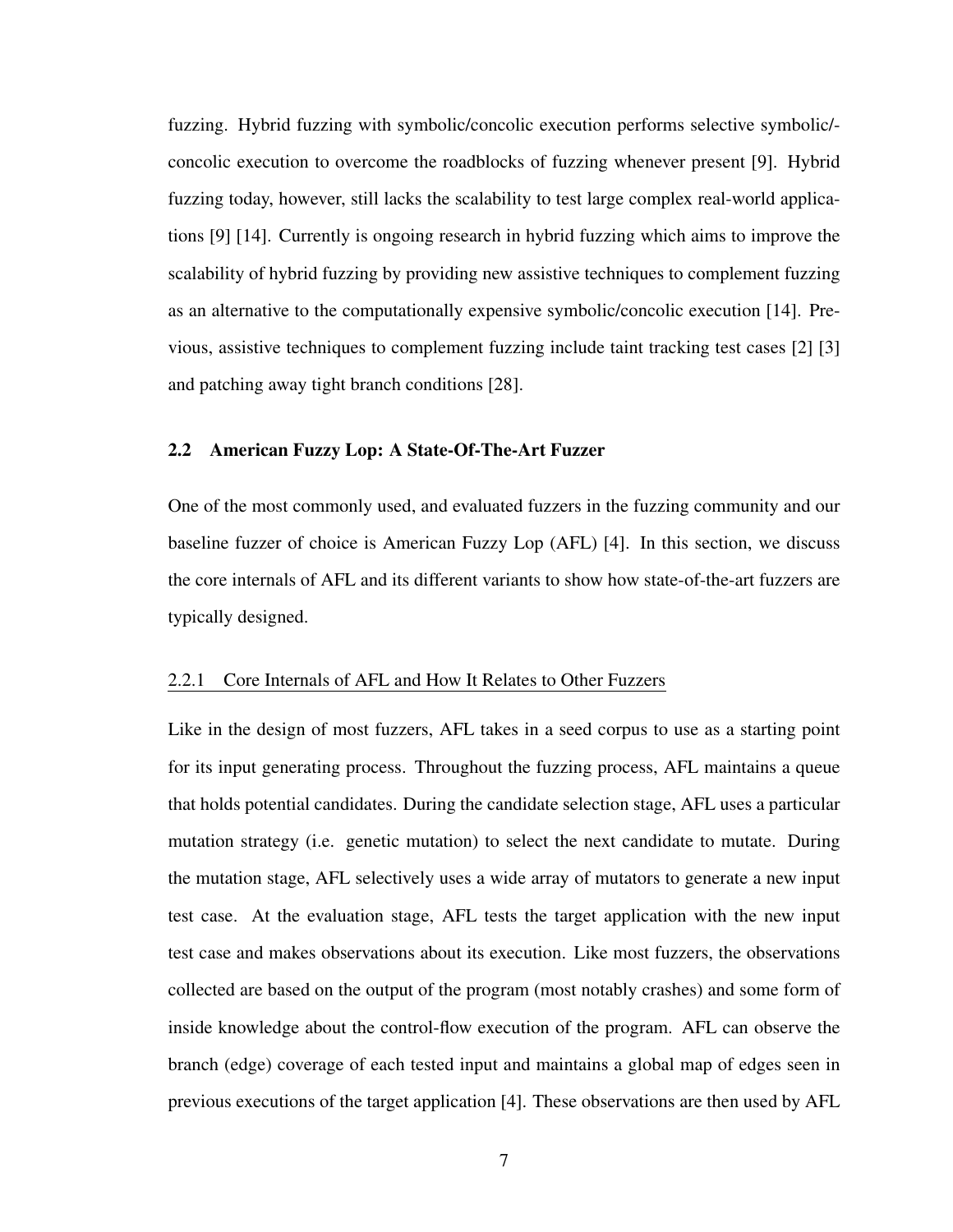fuzzing. Hybrid fuzzing with symbolic/concolic execution performs selective symbolic/ concolic execution to overcome the roadblocks of fuzzing whenever present [\[9\]](#page-65-9). Hybrid fuzzing today, however, still lacks the scalability to test large complex real-world applications [\[9\]](#page-65-9) [\[14\]](#page-66-1). Currently is ongoing research in hybrid fuzzing which aims to improve the scalability of hybrid fuzzing by providing new assistive techniques to complement fuzzing as an alternative to the computationally expensive symbolic/concolic execution [\[14\]](#page-66-1). Previous, assistive techniques to complement fuzzing include taint tracking test cases [\[2\]](#page-65-2) [\[3\]](#page-65-3) and patching away tight branch conditions [\[28\]](#page-67-3).

#### <span id="page-16-0"></span>2.2 American Fuzzy Lop: A State-Of-The-Art Fuzzer

One of the most commonly used, and evaluated fuzzers in the fuzzing community and our baseline fuzzer of choice is American Fuzzy Lop (AFL) [\[4\]](#page-65-4). In this section, we discuss the core internals of AFL and its different variants to show how state-of-the-art fuzzers are typically designed.

#### <span id="page-16-1"></span>2.2.1 Core Internals of AFL and How It Relates to Other Fuzzers

Like in the design of most fuzzers, AFL takes in a seed corpus to use as a starting point for its input generating process. Throughout the fuzzing process, AFL maintains a queue that holds potential candidates. During the candidate selection stage, AFL uses a particular mutation strategy (i.e. genetic mutation) to select the next candidate to mutate. During the mutation stage, AFL selectively uses a wide array of mutators to generate a new input test case. At the evaluation stage, AFL tests the target application with the new input test case and makes observations about its execution. Like most fuzzers, the observations collected are based on the output of the program (most notably crashes) and some form of inside knowledge about the control-flow execution of the program. AFL can observe the branch (edge) coverage of each tested input and maintains a global map of edges seen in previous executions of the target application [\[4\]](#page-65-4). These observations are then used by AFL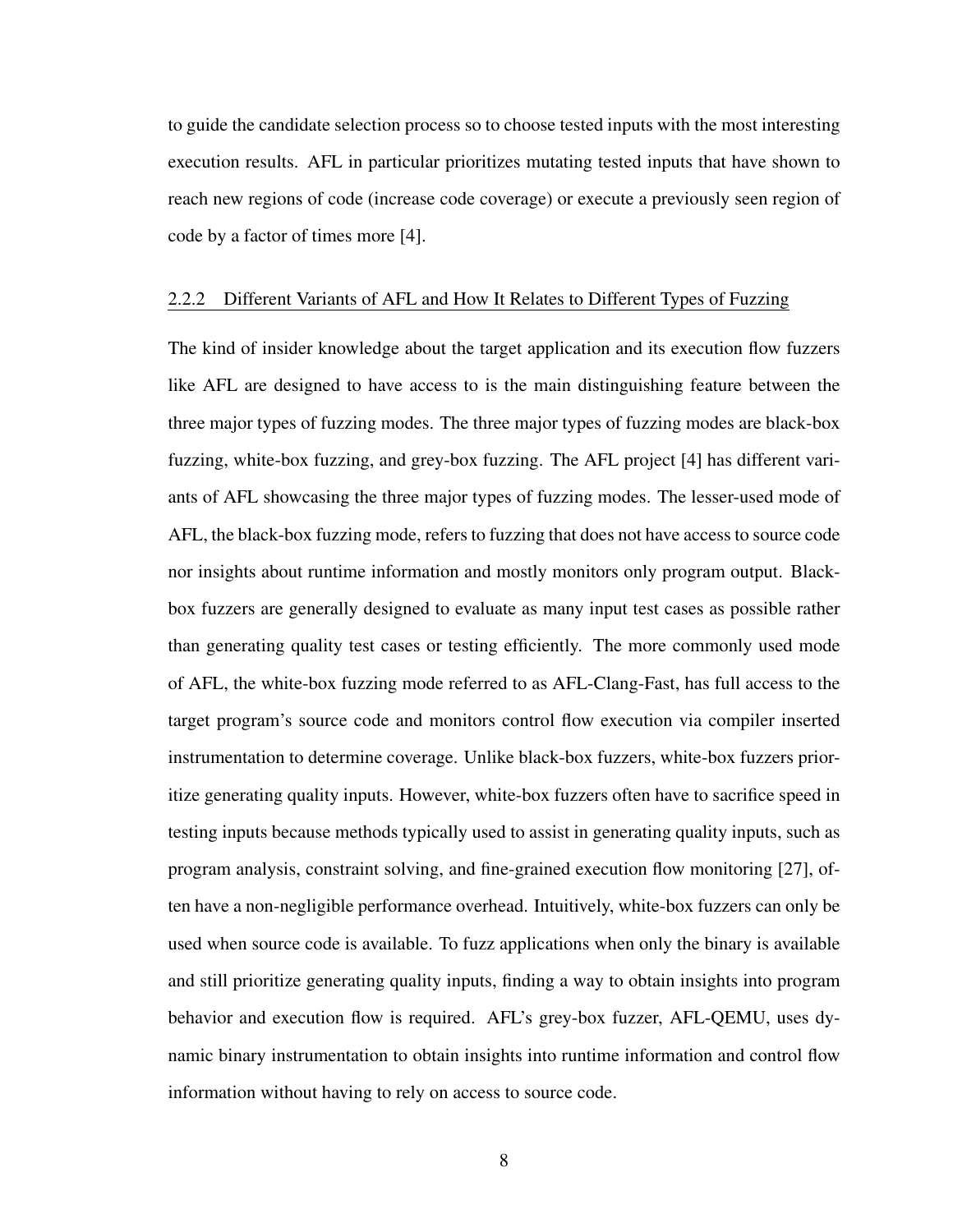to guide the candidate selection process so to choose tested inputs with the most interesting execution results. AFL in particular prioritizes mutating tested inputs that have shown to reach new regions of code (increase code coverage) or execute a previously seen region of code by a factor of times more [\[4\]](#page-65-4).

#### <span id="page-17-0"></span>2.2.2 Different Variants of AFL and How It Relates to Different Types of Fuzzing

The kind of insider knowledge about the target application and its execution flow fuzzers like AFL are designed to have access to is the main distinguishing feature between the three major types of fuzzing modes. The three major types of fuzzing modes are black-box fuzzing, white-box fuzzing, and grey-box fuzzing. The AFL project [\[4\]](#page-65-4) has different variants of AFL showcasing the three major types of fuzzing modes. The lesser-used mode of AFL, the black-box fuzzing mode, refers to fuzzing that does not have access to source code nor insights about runtime information and mostly monitors only program output. Blackbox fuzzers are generally designed to evaluate as many input test cases as possible rather than generating quality test cases or testing efficiently. The more commonly used mode of AFL, the white-box fuzzing mode referred to as AFL-Clang-Fast, has full access to the target program's source code and monitors control flow execution via compiler inserted instrumentation to determine coverage. Unlike black-box fuzzers, white-box fuzzers prioritize generating quality inputs. However, white-box fuzzers often have to sacrifice speed in testing inputs because methods typically used to assist in generating quality inputs, such as program analysis, constraint solving, and fine-grained execution flow monitoring [\[27\]](#page-67-2), often have a non-negligible performance overhead. Intuitively, white-box fuzzers can only be used when source code is available. To fuzz applications when only the binary is available and still prioritize generating quality inputs, finding a way to obtain insights into program behavior and execution flow is required. AFL's grey-box fuzzer, AFL-QEMU, uses dynamic binary instrumentation to obtain insights into runtime information and control flow information without having to rely on access to source code.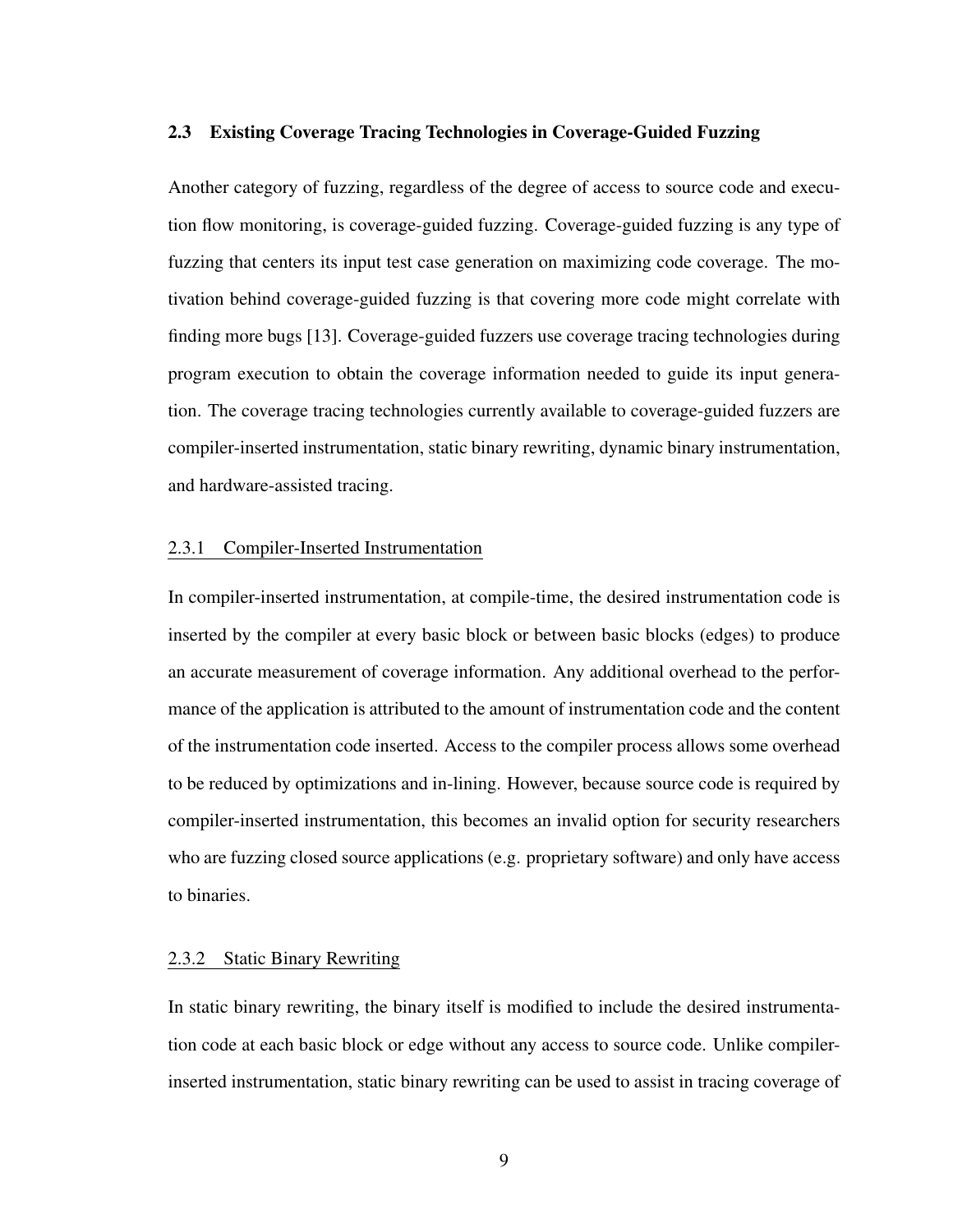#### <span id="page-18-0"></span>2.3 Existing Coverage Tracing Technologies in Coverage-Guided Fuzzing

Another category of fuzzing, regardless of the degree of access to source code and execution flow monitoring, is coverage-guided fuzzing. Coverage-guided fuzzing is any type of fuzzing that centers its input test case generation on maximizing code coverage. The motivation behind coverage-guided fuzzing is that covering more code might correlate with finding more bugs [\[13\]](#page-66-0). Coverage-guided fuzzers use coverage tracing technologies during program execution to obtain the coverage information needed to guide its input generation. The coverage tracing technologies currently available to coverage-guided fuzzers are compiler-inserted instrumentation, static binary rewriting, dynamic binary instrumentation, and hardware-assisted tracing.

## <span id="page-18-1"></span>2.3.1 Compiler-Inserted Instrumentation

In compiler-inserted instrumentation, at compile-time, the desired instrumentation code is inserted by the compiler at every basic block or between basic blocks (edges) to produce an accurate measurement of coverage information. Any additional overhead to the performance of the application is attributed to the amount of instrumentation code and the content of the instrumentation code inserted. Access to the compiler process allows some overhead to be reduced by optimizations and in-lining. However, because source code is required by compiler-inserted instrumentation, this becomes an invalid option for security researchers who are fuzzing closed source applications (e.g. proprietary software) and only have access to binaries.

## <span id="page-18-2"></span>2.3.2 Static Binary Rewriting

In static binary rewriting, the binary itself is modified to include the desired instrumentation code at each basic block or edge without any access to source code. Unlike compilerinserted instrumentation, static binary rewriting can be used to assist in tracing coverage of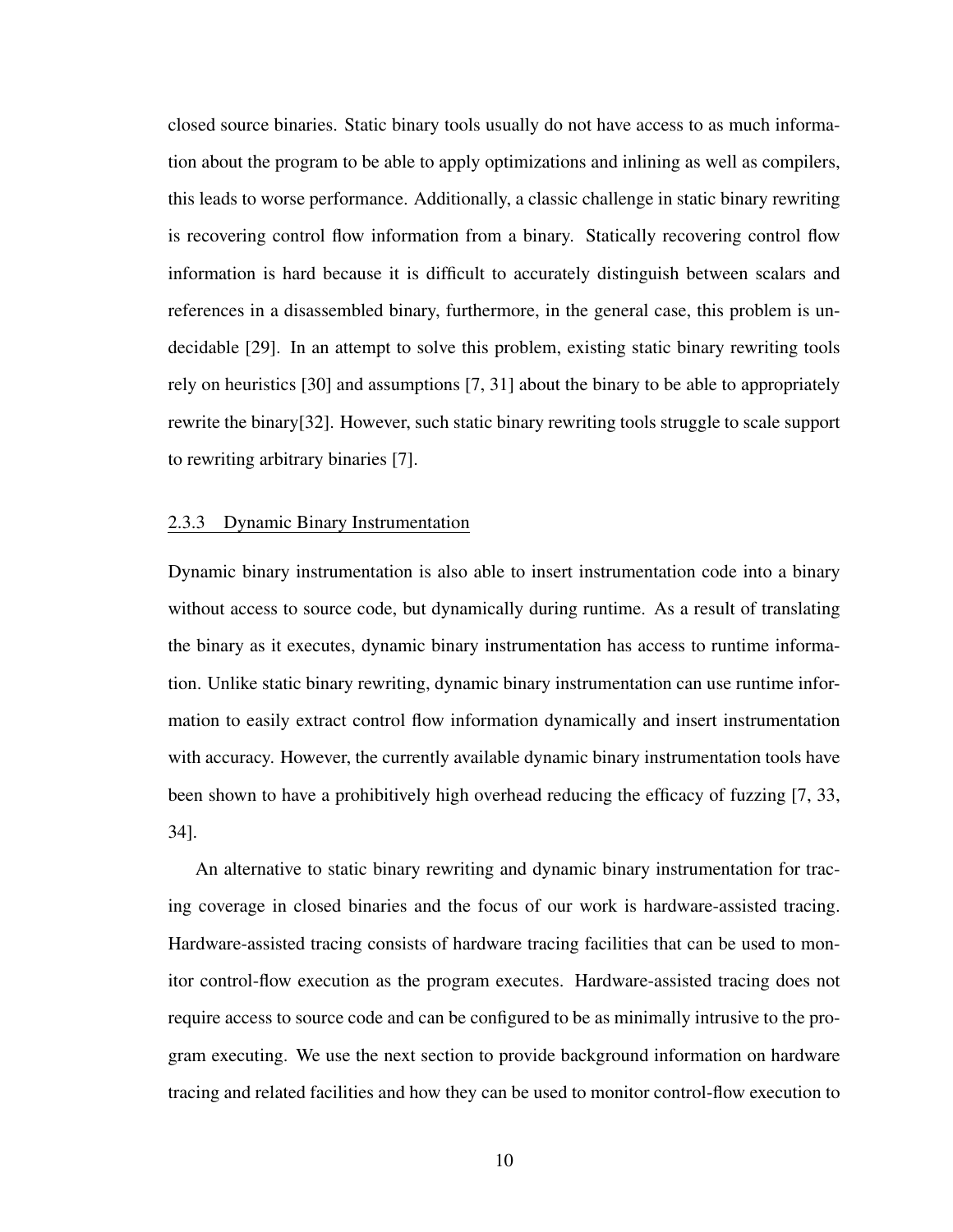closed source binaries. Static binary tools usually do not have access to as much information about the program to be able to apply optimizations and inlining as well as compilers, this leads to worse performance. Additionally, a classic challenge in static binary rewriting is recovering control flow information from a binary. Statically recovering control flow information is hard because it is difficult to accurately distinguish between scalars and references in a disassembled binary, furthermore, in the general case, this problem is undecidable [\[29\]](#page-67-4). In an attempt to solve this problem, existing static binary rewriting tools rely on heuristics [\[30\]](#page-67-5) and assumptions [\[7,](#page-65-7) [31\]](#page-67-6) about the binary to be able to appropriately rewrite the binary[\[32\]](#page-67-7). However, such static binary rewriting tools struggle to scale support to rewriting arbitrary binaries [\[7\]](#page-65-7).

## <span id="page-19-0"></span>2.3.3 Dynamic Binary Instrumentation

Dynamic binary instrumentation is also able to insert instrumentation code into a binary without access to source code, but dynamically during runtime. As a result of translating the binary as it executes, dynamic binary instrumentation has access to runtime information. Unlike static binary rewriting, dynamic binary instrumentation can use runtime information to easily extract control flow information dynamically and insert instrumentation with accuracy. However, the currently available dynamic binary instrumentation tools have been shown to have a prohibitively high overhead reducing the efficacy of fuzzing [\[7,](#page-65-7) [33,](#page-67-8) [34\]](#page-67-9).

An alternative to static binary rewriting and dynamic binary instrumentation for tracing coverage in closed binaries and the focus of our work is hardware-assisted tracing. Hardware-assisted tracing consists of hardware tracing facilities that can be used to monitor control-flow execution as the program executes. Hardware-assisted tracing does not require access to source code and can be configured to be as minimally intrusive to the program executing. We use the next section to provide background information on hardware tracing and related facilities and how they can be used to monitor control-flow execution to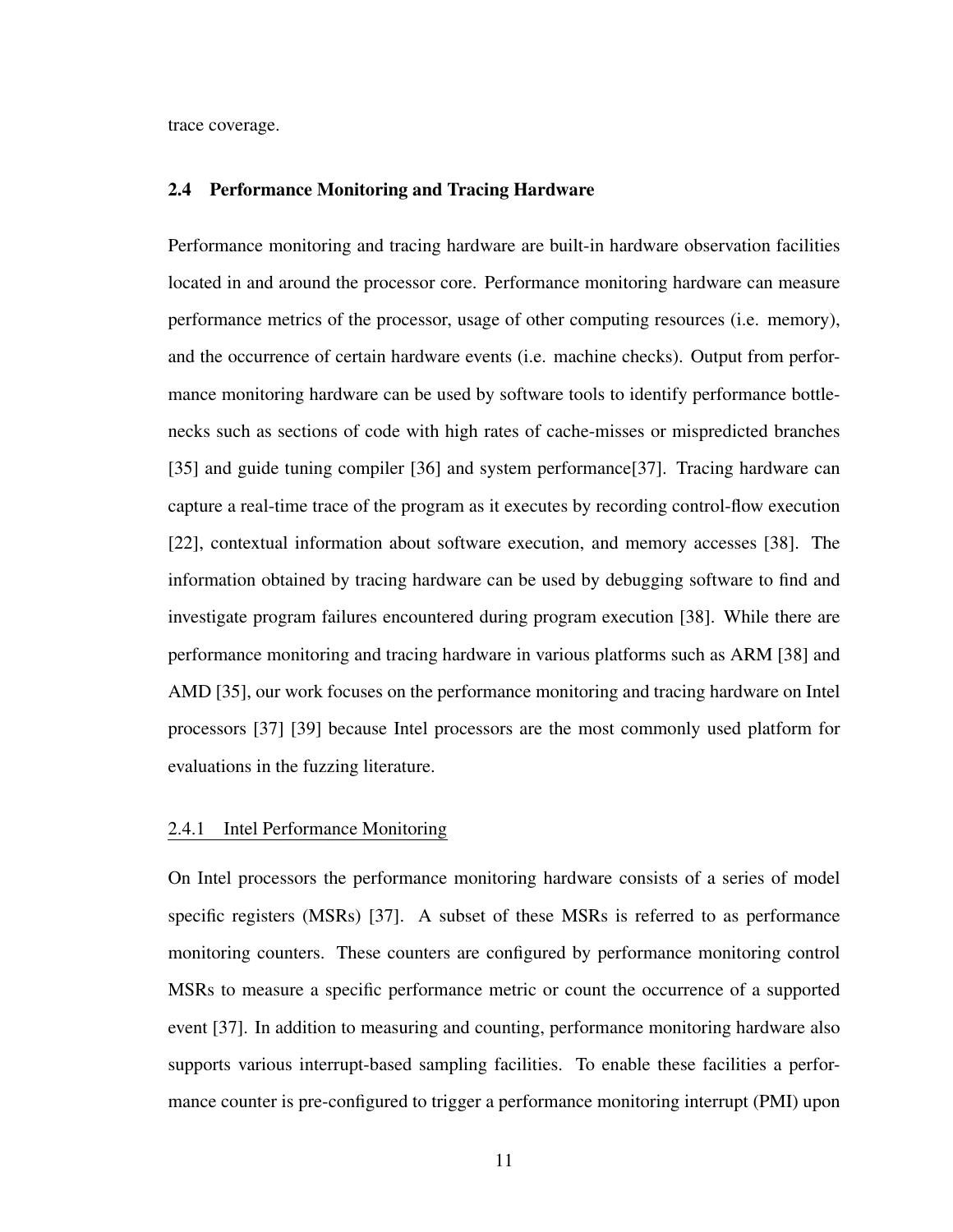trace coverage.

### <span id="page-20-0"></span>2.4 Performance Monitoring and Tracing Hardware

Performance monitoring and tracing hardware are built-in hardware observation facilities located in and around the processor core. Performance monitoring hardware can measure performance metrics of the processor, usage of other computing resources (i.e. memory), and the occurrence of certain hardware events (i.e. machine checks). Output from performance monitoring hardware can be used by software tools to identify performance bottlenecks such as sections of code with high rates of cache-misses or mispredicted branches [\[35\]](#page-67-10) and guide tuning compiler [\[36\]](#page-67-11) and system performance[\[37\]](#page-68-0). Tracing hardware can capture a real-time trace of the program as it executes by recording control-flow execution [\[22\]](#page-66-9), contextual information about software execution, and memory accesses [\[38\]](#page-68-1). The information obtained by tracing hardware can be used by debugging software to find and investigate program failures encountered during program execution [\[38\]](#page-68-1). While there are performance monitoring and tracing hardware in various platforms such as ARM [\[38\]](#page-68-1) and AMD [\[35\]](#page-67-10), our work focuses on the performance monitoring and tracing hardware on Intel processors [\[37\]](#page-68-0) [\[39\]](#page-68-2) because Intel processors are the most commonly used platform for evaluations in the fuzzing literature.

## <span id="page-20-1"></span>2.4.1 Intel Performance Monitoring

On Intel processors the performance monitoring hardware consists of a series of model specific registers (MSRs) [\[37\]](#page-68-0). A subset of these MSRs is referred to as performance monitoring counters. These counters are configured by performance monitoring control MSRs to measure a specific performance metric or count the occurrence of a supported event [\[37\]](#page-68-0). In addition to measuring and counting, performance monitoring hardware also supports various interrupt-based sampling facilities. To enable these facilities a performance counter is pre-configured to trigger a performance monitoring interrupt (PMI) upon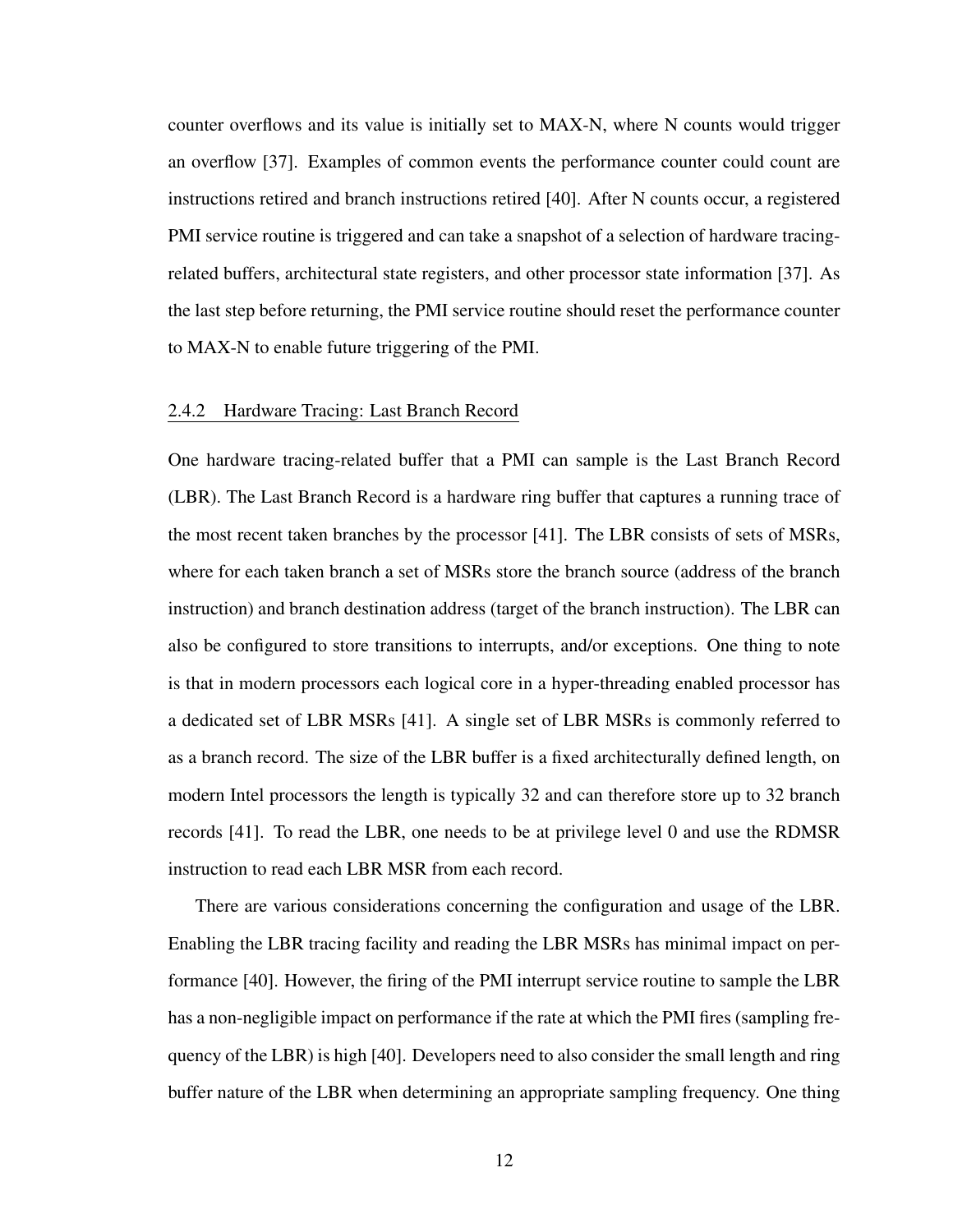counter overflows and its value is initially set to MAX-N, where N counts would trigger an overflow [\[37\]](#page-68-0). Examples of common events the performance counter could count are instructions retired and branch instructions retired [\[40\]](#page-68-3). After N counts occur, a registered PMI service routine is triggered and can take a snapshot of a selection of hardware tracingrelated buffers, architectural state registers, and other processor state information [\[37\]](#page-68-0). As the last step before returning, the PMI service routine should reset the performance counter to MAX-N to enable future triggering of the PMI.

### <span id="page-21-0"></span>2.4.2 Hardware Tracing: Last Branch Record

One hardware tracing-related buffer that a PMI can sample is the Last Branch Record (LBR). The Last Branch Record is a hardware ring buffer that captures a running trace of the most recent taken branches by the processor [\[41\]](#page-68-4). The LBR consists of sets of MSRs, where for each taken branch a set of MSRs store the branch source (address of the branch instruction) and branch destination address (target of the branch instruction). The LBR can also be configured to store transitions to interrupts, and/or exceptions. One thing to note is that in modern processors each logical core in a hyper-threading enabled processor has a dedicated set of LBR MSRs [\[41\]](#page-68-4). A single set of LBR MSRs is commonly referred to as a branch record. The size of the LBR buffer is a fixed architecturally defined length, on modern Intel processors the length is typically 32 and can therefore store up to 32 branch records [\[41\]](#page-68-4). To read the LBR, one needs to be at privilege level 0 and use the RDMSR instruction to read each LBR MSR from each record.

There are various considerations concerning the configuration and usage of the LBR. Enabling the LBR tracing facility and reading the LBR MSRs has minimal impact on performance [\[40\]](#page-68-3). However, the firing of the PMI interrupt service routine to sample the LBR has a non-negligible impact on performance if the rate at which the PMI fires (sampling frequency of the LBR) is high [\[40\]](#page-68-3). Developers need to also consider the small length and ring buffer nature of the LBR when determining an appropriate sampling frequency. One thing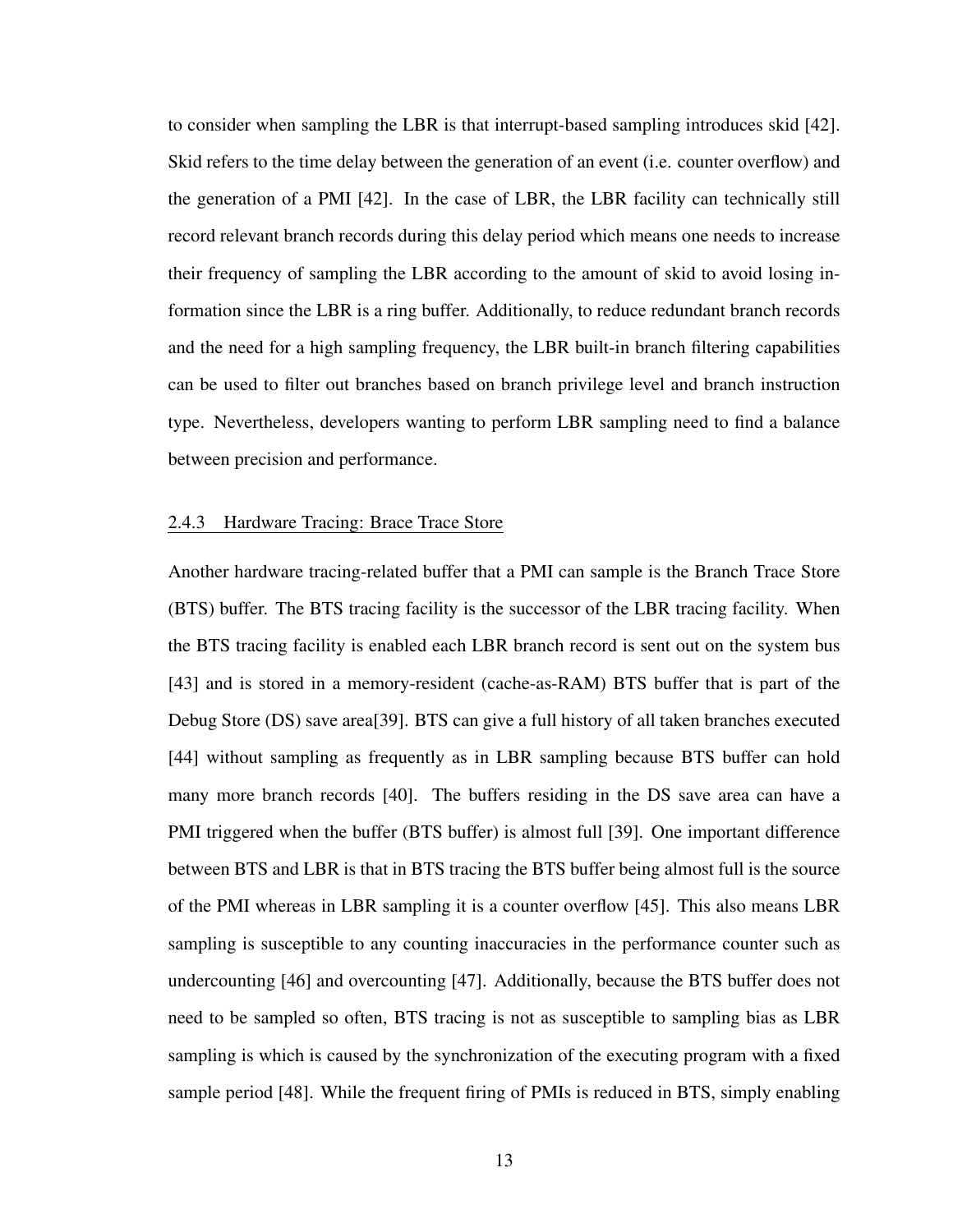to consider when sampling the LBR is that interrupt-based sampling introduces skid [\[42\]](#page-68-5). Skid refers to the time delay between the generation of an event (i.e. counter overflow) and the generation of a PMI [\[42\]](#page-68-5). In the case of LBR, the LBR facility can technically still record relevant branch records during this delay period which means one needs to increase their frequency of sampling the LBR according to the amount of skid to avoid losing information since the LBR is a ring buffer. Additionally, to reduce redundant branch records and the need for a high sampling frequency, the LBR built-in branch filtering capabilities can be used to filter out branches based on branch privilege level and branch instruction type. Nevertheless, developers wanting to perform LBR sampling need to find a balance between precision and performance.

### <span id="page-22-0"></span>2.4.3 Hardware Tracing: Brace Trace Store

Another hardware tracing-related buffer that a PMI can sample is the Branch Trace Store (BTS) buffer. The BTS tracing facility is the successor of the LBR tracing facility. When the BTS tracing facility is enabled each LBR branch record is sent out on the system bus [\[43\]](#page-68-6) and is stored in a memory-resident (cache-as-RAM) BTS buffer that is part of the Debug Store (DS) save area[\[39\]](#page-68-2). BTS can give a full history of all taken branches executed [\[44\]](#page-68-7) without sampling as frequently as in LBR sampling because BTS buffer can hold many more branch records [\[40\]](#page-68-3). The buffers residing in the DS save area can have a PMI triggered when the buffer (BTS buffer) is almost full [\[39\]](#page-68-2). One important difference between BTS and LBR is that in BTS tracing the BTS buffer being almost full is the source of the PMI whereas in LBR sampling it is a counter overflow [\[45\]](#page-68-8). This also means LBR sampling is susceptible to any counting inaccuracies in the performance counter such as undercounting [\[46\]](#page-68-9) and overcounting [\[47\]](#page-68-10). Additionally, because the BTS buffer does not need to be sampled so often, BTS tracing is not as susceptible to sampling bias as LBR sampling is which is caused by the synchronization of the executing program with a fixed sample period [\[48\]](#page-68-11). While the frequent firing of PMIs is reduced in BTS, simply enabling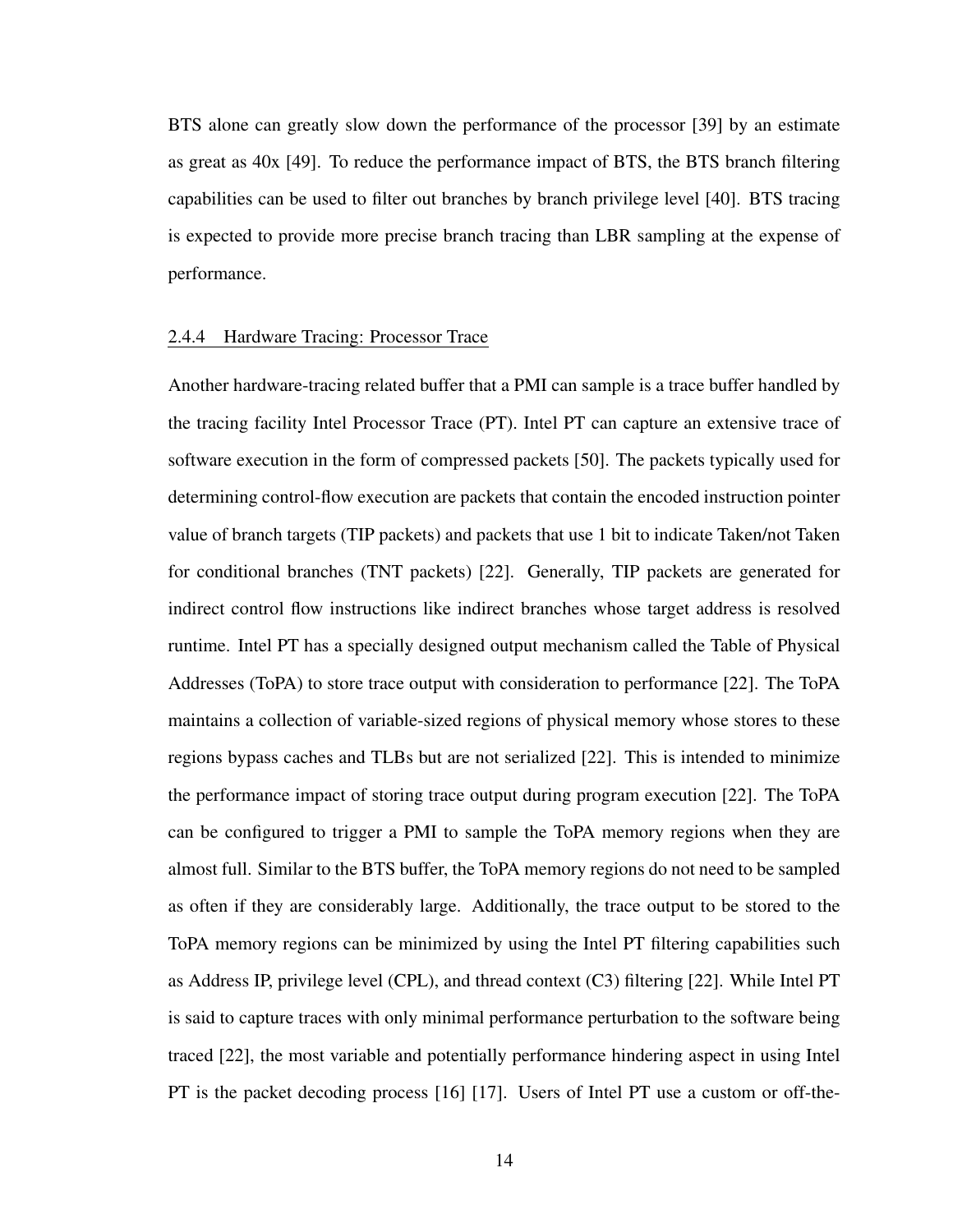BTS alone can greatly slow down the performance of the processor [\[39\]](#page-68-2) by an estimate as great as 40x [\[49\]](#page-68-12). To reduce the performance impact of BTS, the BTS branch filtering capabilities can be used to filter out branches by branch privilege level [\[40\]](#page-68-3). BTS tracing is expected to provide more precise branch tracing than LBR sampling at the expense of performance.

#### <span id="page-23-0"></span>2.4.4 Hardware Tracing: Processor Trace

Another hardware-tracing related buffer that a PMI can sample is a trace buffer handled by the tracing facility Intel Processor Trace (PT). Intel PT can capture an extensive trace of software execution in the form of compressed packets [\[50\]](#page-69-0). The packets typically used for determining control-flow execution are packets that contain the encoded instruction pointer value of branch targets (TIP packets) and packets that use 1 bit to indicate Taken/not Taken for conditional branches (TNT packets) [\[22\]](#page-66-9). Generally, TIP packets are generated for indirect control flow instructions like indirect branches whose target address is resolved runtime. Intel PT has a specially designed output mechanism called the Table of Physical Addresses (ToPA) to store trace output with consideration to performance [\[22\]](#page-66-9). The ToPA maintains a collection of variable-sized regions of physical memory whose stores to these regions bypass caches and TLBs but are not serialized [\[22\]](#page-66-9). This is intended to minimize the performance impact of storing trace output during program execution [\[22\]](#page-66-9). The ToPA can be configured to trigger a PMI to sample the ToPA memory regions when they are almost full. Similar to the BTS buffer, the ToPA memory regions do not need to be sampled as often if they are considerably large. Additionally, the trace output to be stored to the ToPA memory regions can be minimized by using the Intel PT filtering capabilities such as Address IP, privilege level (CPL), and thread context (C3) filtering [\[22\]](#page-66-9). While Intel PT is said to capture traces with only minimal performance perturbation to the software being traced [\[22\]](#page-66-9), the most variable and potentially performance hindering aspect in using Intel PT is the packet decoding process [\[16\]](#page-66-3) [\[17\]](#page-66-4). Users of Intel PT use a custom or off-the-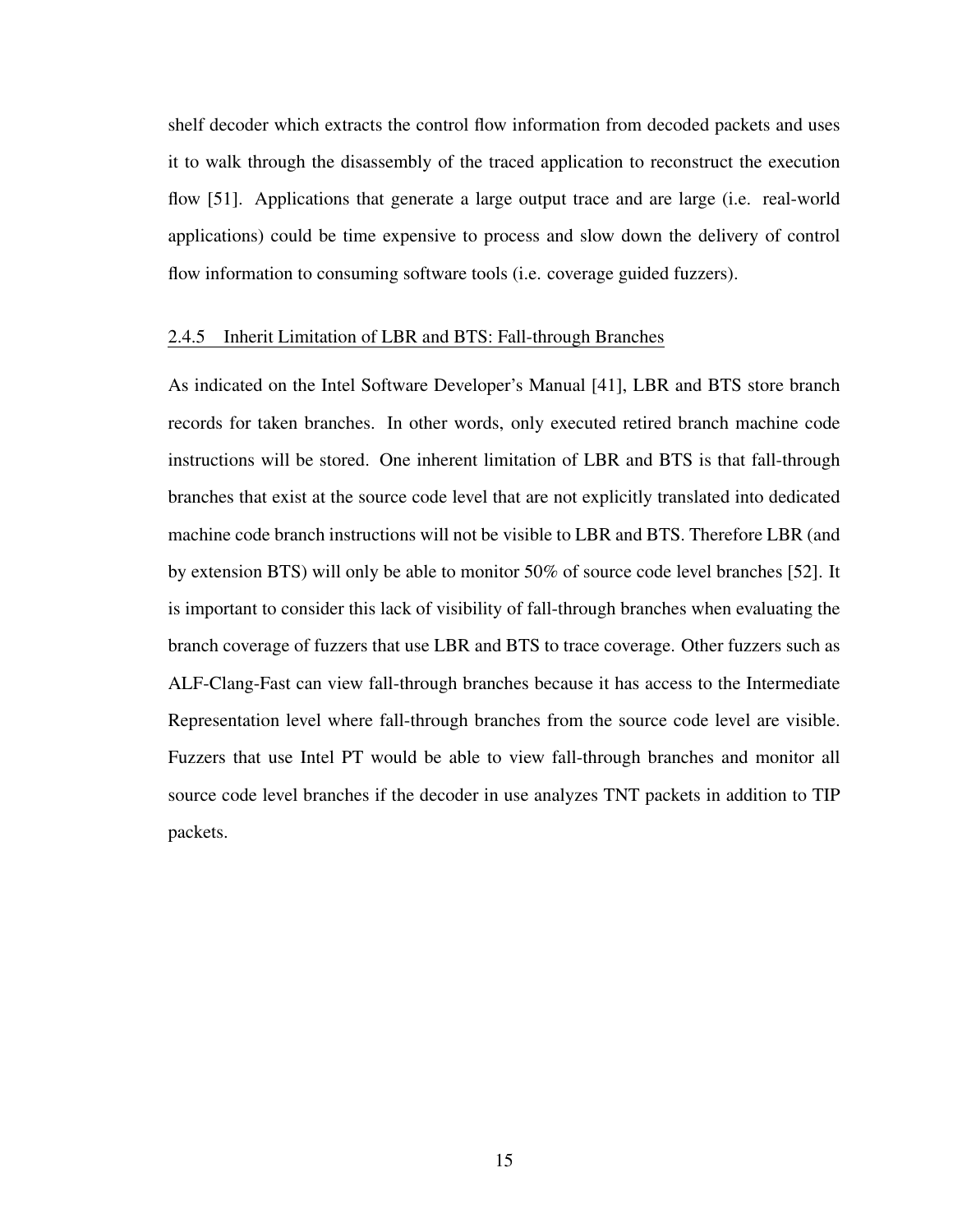shelf decoder which extracts the control flow information from decoded packets and uses it to walk through the disassembly of the traced application to reconstruct the execution flow [\[51\]](#page-69-1). Applications that generate a large output trace and are large (i.e. real-world applications) could be time expensive to process and slow down the delivery of control flow information to consuming software tools (i.e. coverage guided fuzzers).

#### <span id="page-24-0"></span>2.4.5 Inherit Limitation of LBR and BTS: Fall-through Branches

As indicated on the Intel Software Developer's Manual [\[41\]](#page-68-4), LBR and BTS store branch records for taken branches. In other words, only executed retired branch machine code instructions will be stored. One inherent limitation of LBR and BTS is that fall-through branches that exist at the source code level that are not explicitly translated into dedicated machine code branch instructions will not be visible to LBR and BTS. Therefore LBR (and by extension BTS) will only be able to monitor 50% of source code level branches [\[52\]](#page-69-2). It is important to consider this lack of visibility of fall-through branches when evaluating the branch coverage of fuzzers that use LBR and BTS to trace coverage. Other fuzzers such as ALF-Clang-Fast can view fall-through branches because it has access to the Intermediate Representation level where fall-through branches from the source code level are visible. Fuzzers that use Intel PT would be able to view fall-through branches and monitor all source code level branches if the decoder in use analyzes TNT packets in addition to TIP packets.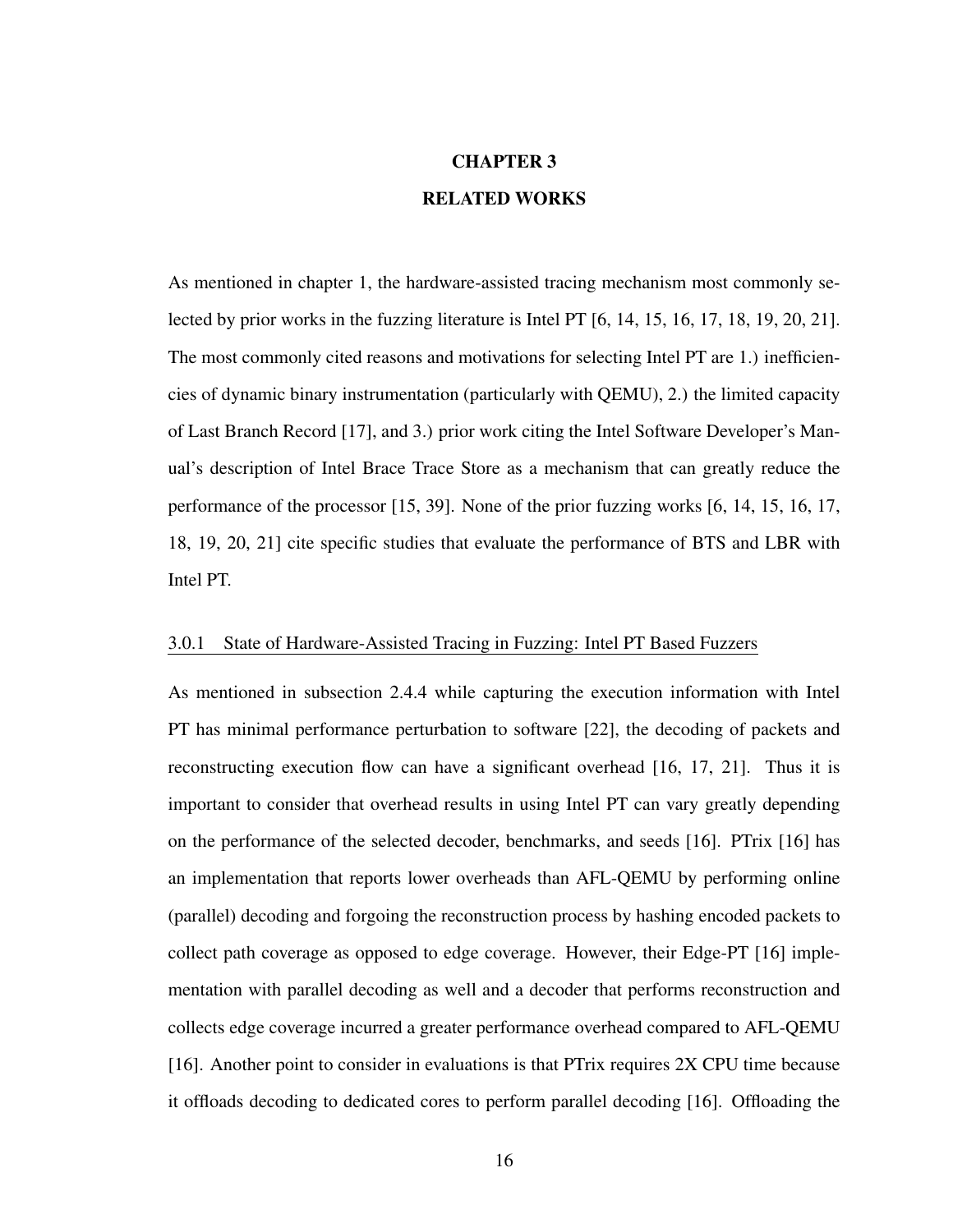# CHAPTER 3 RELATED WORKS

<span id="page-25-0"></span>As mentioned in [chapter 1,](#page-10-0) the hardware-assisted tracing mechanism most commonly selected by prior works in the fuzzing literature is Intel PT [\[6,](#page-65-6) [14,](#page-66-1) [15,](#page-66-2) [16,](#page-66-3) [17,](#page-66-4) [18,](#page-66-5) [19,](#page-66-6) [20,](#page-66-7) [21\]](#page-66-8). The most commonly cited reasons and motivations for selecting Intel PT are 1.) inefficiencies of dynamic binary instrumentation (particularly with QEMU), 2.) the limited capacity of Last Branch Record [\[17\]](#page-66-4), and 3.) prior work citing the Intel Software Developer's Manual's description of Intel Brace Trace Store as a mechanism that can greatly reduce the performance of the processor [\[15,](#page-66-2) [39\]](#page-68-2). None of the prior fuzzing works [\[6,](#page-65-6) [14,](#page-66-1) [15,](#page-66-2) [16,](#page-66-3) [17,](#page-66-4) [18,](#page-66-5) [19,](#page-66-6) [20,](#page-66-7) [21\]](#page-66-8) cite specific studies that evaluate the performance of BTS and LBR with Intel PT.

#### <span id="page-25-1"></span>3.0.1 State of Hardware-Assisted Tracing in Fuzzing: Intel PT Based Fuzzers

As mentioned in [subsection 2.4.4](#page-23-0) while capturing the execution information with Intel PT has minimal performance perturbation to software [\[22\]](#page-66-9), the decoding of packets and reconstructing execution flow can have a significant overhead [\[16,](#page-66-3) [17,](#page-66-4) [21\]](#page-66-8). Thus it is important to consider that overhead results in using Intel PT can vary greatly depending on the performance of the selected decoder, benchmarks, and seeds [\[16\]](#page-66-3). PTrix [\[16\]](#page-66-3) has an implementation that reports lower overheads than AFL-QEMU by performing online (parallel) decoding and forgoing the reconstruction process by hashing encoded packets to collect path coverage as opposed to edge coverage. However, their Edge-PT [\[16\]](#page-66-3) implementation with parallel decoding as well and a decoder that performs reconstruction and collects edge coverage incurred a greater performance overhead compared to AFL-QEMU [\[16\]](#page-66-3). Another point to consider in evaluations is that PTrix requires 2X CPU time because it offloads decoding to dedicated cores to perform parallel decoding [\[16\]](#page-66-3). Offloading the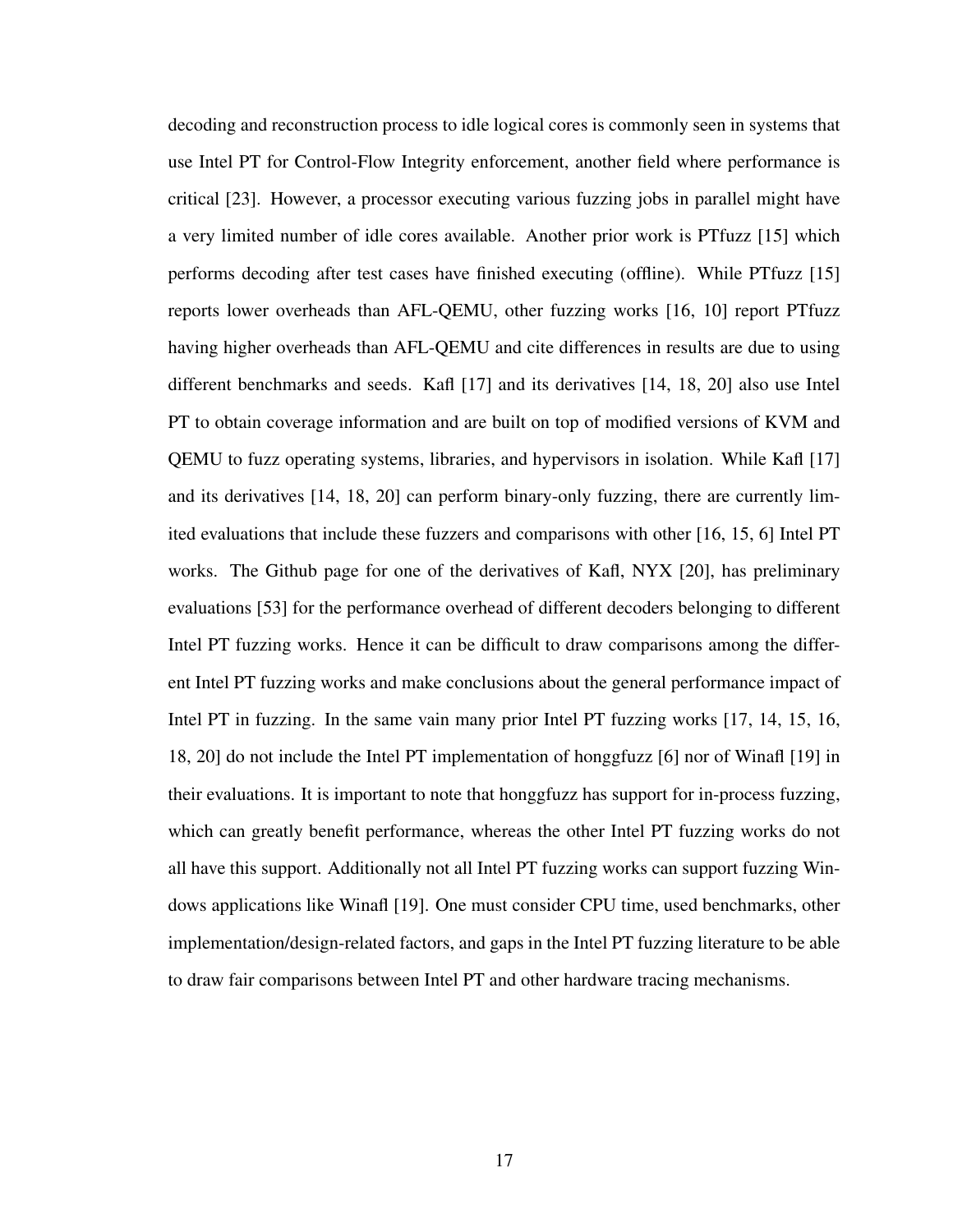decoding and reconstruction process to idle logical cores is commonly seen in systems that use Intel PT for Control-Flow Integrity enforcement, another field where performance is critical [\[23\]](#page-66-10). However, a processor executing various fuzzing jobs in parallel might have a very limited number of idle cores available. Another prior work is PTfuzz [\[15\]](#page-66-2) which performs decoding after test cases have finished executing (offline). While PTfuzz [\[15\]](#page-66-2) reports lower overheads than AFL-QEMU, other fuzzing works [\[16,](#page-66-3) [10\]](#page-65-10) report PTfuzz having higher overheads than AFL-QEMU and cite differences in results are due to using different benchmarks and seeds. Kafl [\[17\]](#page-66-4) and its derivatives [\[14,](#page-66-1) [18,](#page-66-5) [20\]](#page-66-7) also use Intel PT to obtain coverage information and are built on top of modified versions of KVM and QEMU to fuzz operating systems, libraries, and hypervisors in isolation. While Kafl [\[17\]](#page-66-4) and its derivatives [\[14,](#page-66-1) [18,](#page-66-5) [20\]](#page-66-7) can perform binary-only fuzzing, there are currently limited evaluations that include these fuzzers and comparisons with other [\[16,](#page-66-3) [15,](#page-66-2) [6\]](#page-65-6) Intel PT works. The Github page for one of the derivatives of Kafl, NYX [\[20\]](#page-66-7), has preliminary evaluations [\[53\]](#page-69-3) for the performance overhead of different decoders belonging to different Intel PT fuzzing works. Hence it can be difficult to draw comparisons among the different Intel PT fuzzing works and make conclusions about the general performance impact of Intel PT in fuzzing. In the same vain many prior Intel PT fuzzing works [\[17,](#page-66-4) [14,](#page-66-1) [15,](#page-66-2) [16,](#page-66-3) [18,](#page-66-5) [20\]](#page-66-7) do not include the Intel PT implementation of honggfuzz [\[6\]](#page-65-6) nor of Winafl [\[19\]](#page-66-6) in their evaluations. It is important to note that honggfuzz has support for in-process fuzzing, which can greatly benefit performance, whereas the other Intel PT fuzzing works do not all have this support. Additionally not all Intel PT fuzzing works can support fuzzing Windows applications like Winafl [\[19\]](#page-66-6). One must consider CPU time, used benchmarks, other implementation/design-related factors, and gaps in the Intel PT fuzzing literature to be able to draw fair comparisons between Intel PT and other hardware tracing mechanisms.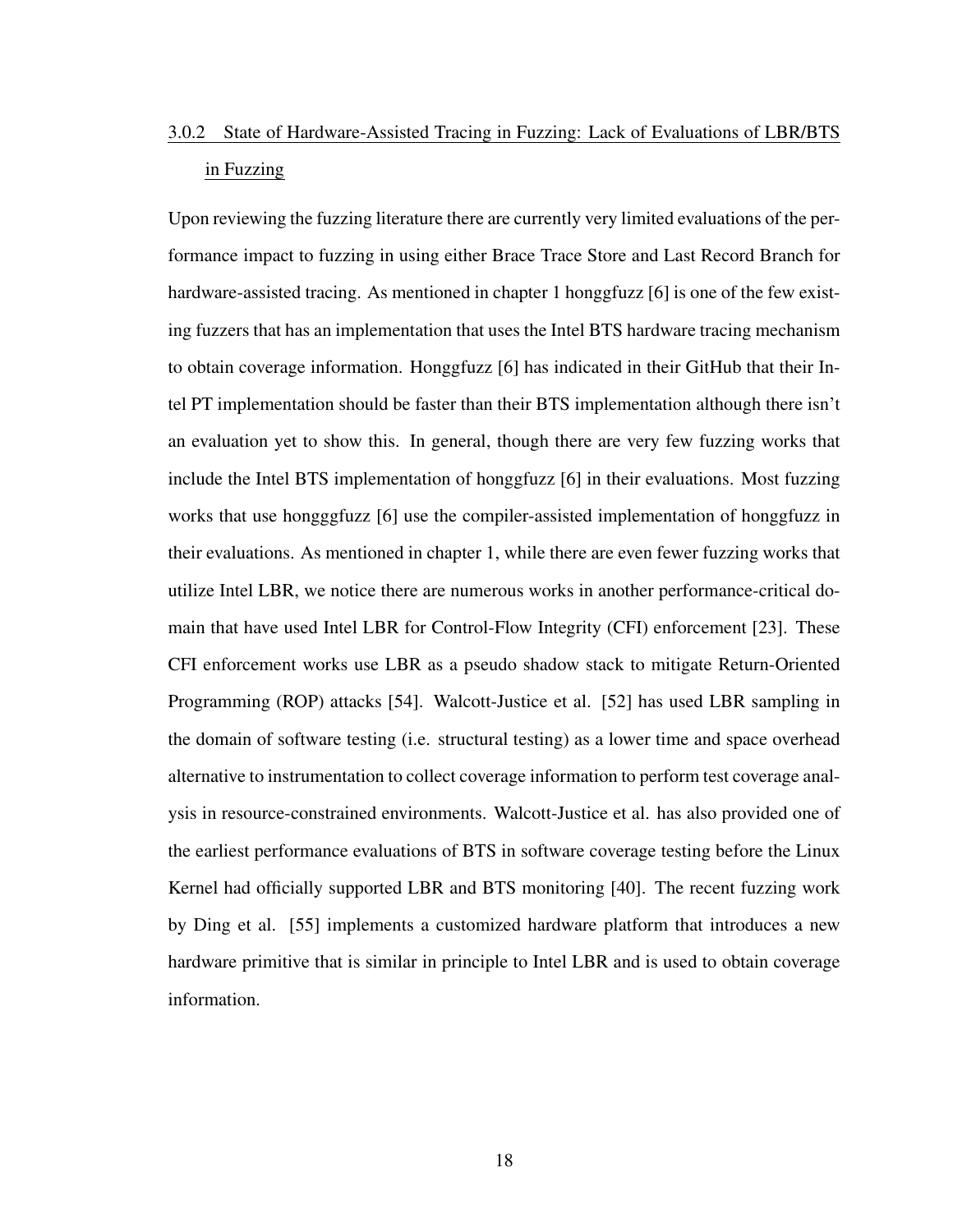# <span id="page-27-0"></span>3.0.2 State of Hardware-Assisted Tracing in Fuzzing: Lack of Evaluations of LBR/BTS in Fuzzing

Upon reviewing the fuzzing literature there are currently very limited evaluations of the performance impact to fuzzing in using either Brace Trace Store and Last Record Branch for hardware-assisted tracing. As mentioned in [chapter 1](#page-10-0) honggfuzz [\[6\]](#page-65-6) is one of the few existing fuzzers that has an implementation that uses the Intel BTS hardware tracing mechanism to obtain coverage information. Honggfuzz [\[6\]](#page-65-6) has indicated in their GitHub that their Intel PT implementation should be faster than their BTS implementation although there isn't an evaluation yet to show this. In general, though there are very few fuzzing works that include the Intel BTS implementation of honggfuzz [\[6\]](#page-65-6) in their evaluations. Most fuzzing works that use hongggfuzz [\[6\]](#page-65-6) use the compiler-assisted implementation of honggfuzz in their evaluations. As mentioned in [chapter 1,](#page-10-0) while there are even fewer fuzzing works that utilize Intel LBR, we notice there are numerous works in another performance-critical domain that have used Intel LBR for Control-Flow Integrity (CFI) enforcement [\[23\]](#page-66-10). These CFI enforcement works use LBR as a pseudo shadow stack to mitigate Return-Oriented Programming (ROP) attacks [\[54\]](#page-69-4). Walcott-Justice et al. [\[52\]](#page-69-2) has used LBR sampling in the domain of software testing (i.e. structural testing) as a lower time and space overhead alternative to instrumentation to collect coverage information to perform test coverage analysis in resource-constrained environments. Walcott-Justice et al. has also provided one of the earliest performance evaluations of BTS in software coverage testing before the Linux Kernel had officially supported LBR and BTS monitoring [\[40\]](#page-68-3). The recent fuzzing work by Ding et al. [\[55\]](#page-69-5) implements a customized hardware platform that introduces a new hardware primitive that is similar in principle to Intel LBR and is used to obtain coverage information.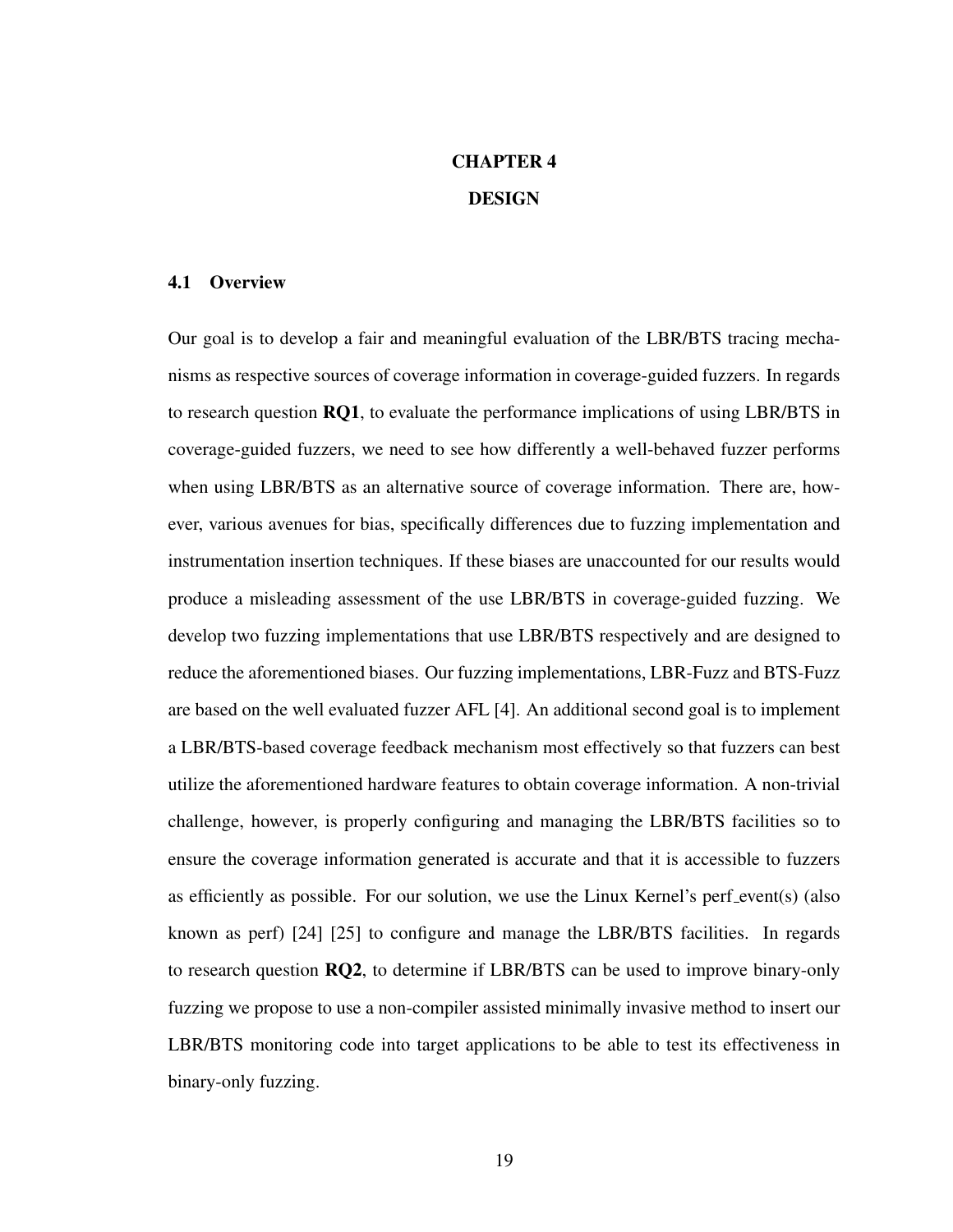# CHAPTER 4 DESIGN

### <span id="page-28-1"></span><span id="page-28-0"></span>4.1 Overview

Our goal is to develop a fair and meaningful evaluation of the LBR/BTS tracing mechanisms as respective sources of coverage information in coverage-guided fuzzers. In regards to research question RQ1, to evaluate the performance implications of using LBR/BTS in coverage-guided fuzzers, we need to see how differently a well-behaved fuzzer performs when using LBR/BTS as an alternative source of coverage information. There are, however, various avenues for bias, specifically differences due to fuzzing implementation and instrumentation insertion techniques. If these biases are unaccounted for our results would produce a misleading assessment of the use LBR/BTS in coverage-guided fuzzing. We develop two fuzzing implementations that use LBR/BTS respectively and are designed to reduce the aforementioned biases. Our fuzzing implementations, LBR-Fuzz and BTS-Fuzz are based on the well evaluated fuzzer AFL [\[4\]](#page-65-4). An additional second goal is to implement a LBR/BTS-based coverage feedback mechanism most effectively so that fuzzers can best utilize the aforementioned hardware features to obtain coverage information. A non-trivial challenge, however, is properly configuring and managing the LBR/BTS facilities so to ensure the coverage information generated is accurate and that it is accessible to fuzzers as efficiently as possible. For our solution, we use the Linux Kernel's perf event(s) (also known as perf) [\[24\]](#page-66-11) [\[25\]](#page-67-0) to configure and manage the LBR/BTS facilities. In regards to research question RQ2, to determine if LBR/BTS can be used to improve binary-only fuzzing we propose to use a non-compiler assisted minimally invasive method to insert our LBR/BTS monitoring code into target applications to be able to test its effectiveness in binary-only fuzzing.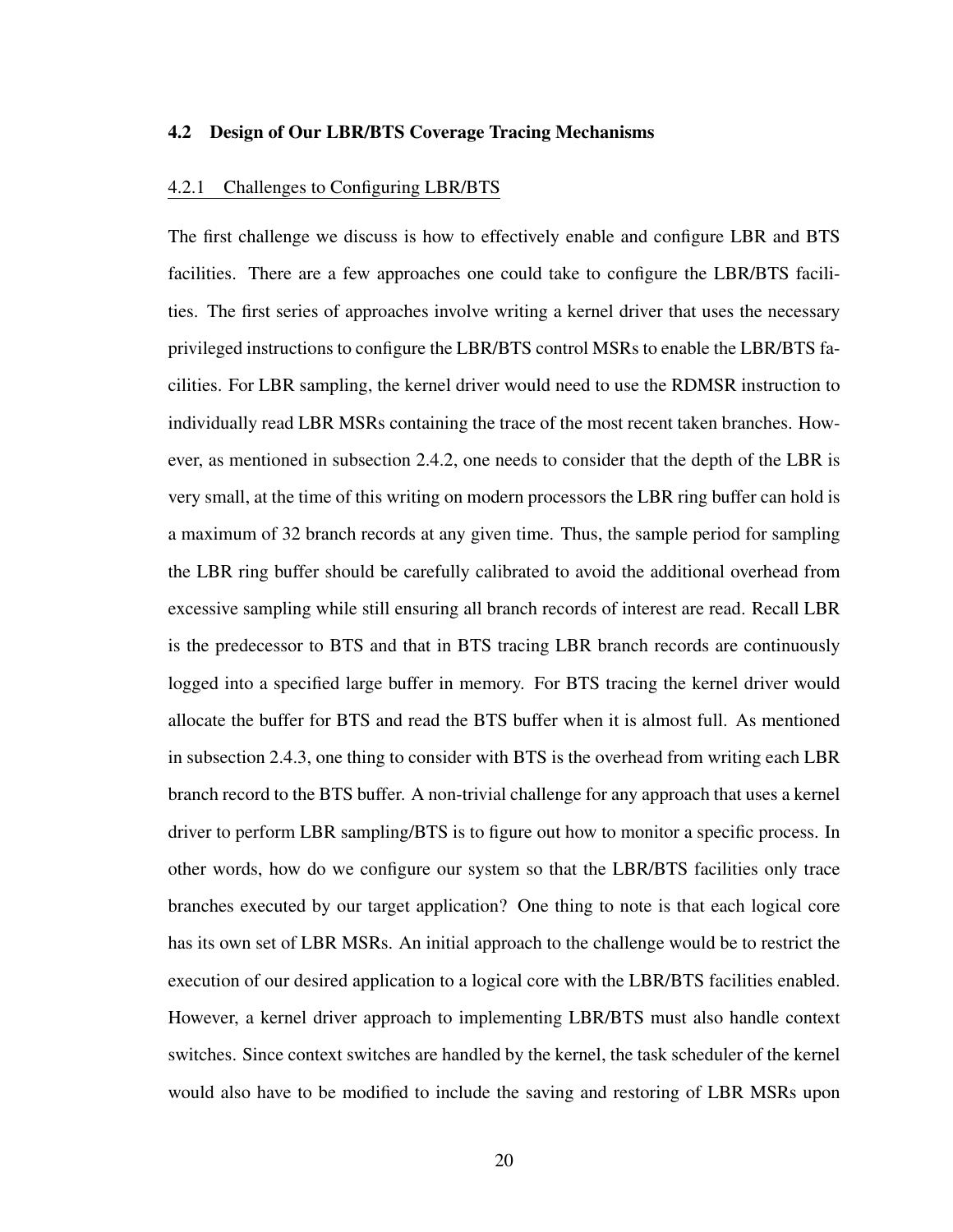#### <span id="page-29-0"></span>4.2 Design of Our LBR/BTS Coverage Tracing Mechanisms

## <span id="page-29-1"></span>4.2.1 Challenges to Configuring LBR/BTS

The first challenge we discuss is how to effectively enable and configure LBR and BTS facilities. There are a few approaches one could take to configure the LBR/BTS facilities. The first series of approaches involve writing a kernel driver that uses the necessary privileged instructions to configure the LBR/BTS control MSRs to enable the LBR/BTS facilities. For LBR sampling, the kernel driver would need to use the RDMSR instruction to individually read LBR MSRs containing the trace of the most recent taken branches. However, as mentioned in [subsection 2.4.2,](#page-21-0) one needs to consider that the depth of the LBR is very small, at the time of this writing on modern processors the LBR ring buffer can hold is a maximum of 32 branch records at any given time. Thus, the sample period for sampling the LBR ring buffer should be carefully calibrated to avoid the additional overhead from excessive sampling while still ensuring all branch records of interest are read. Recall LBR is the predecessor to BTS and that in BTS tracing LBR branch records are continuously logged into a specified large buffer in memory. For BTS tracing the kernel driver would allocate the buffer for BTS and read the BTS buffer when it is almost full. As mentioned in [subsection 2.4.3,](#page-22-0) one thing to consider with BTS is the overhead from writing each LBR branch record to the BTS buffer. A non-trivial challenge for any approach that uses a kernel driver to perform LBR sampling/BTS is to figure out how to monitor a specific process. In other words, how do we configure our system so that the LBR/BTS facilities only trace branches executed by our target application? One thing to note is that each logical core has its own set of LBR MSRs. An initial approach to the challenge would be to restrict the execution of our desired application to a logical core with the LBR/BTS facilities enabled. However, a kernel driver approach to implementing LBR/BTS must also handle context switches. Since context switches are handled by the kernel, the task scheduler of the kernel would also have to be modified to include the saving and restoring of LBR MSRs upon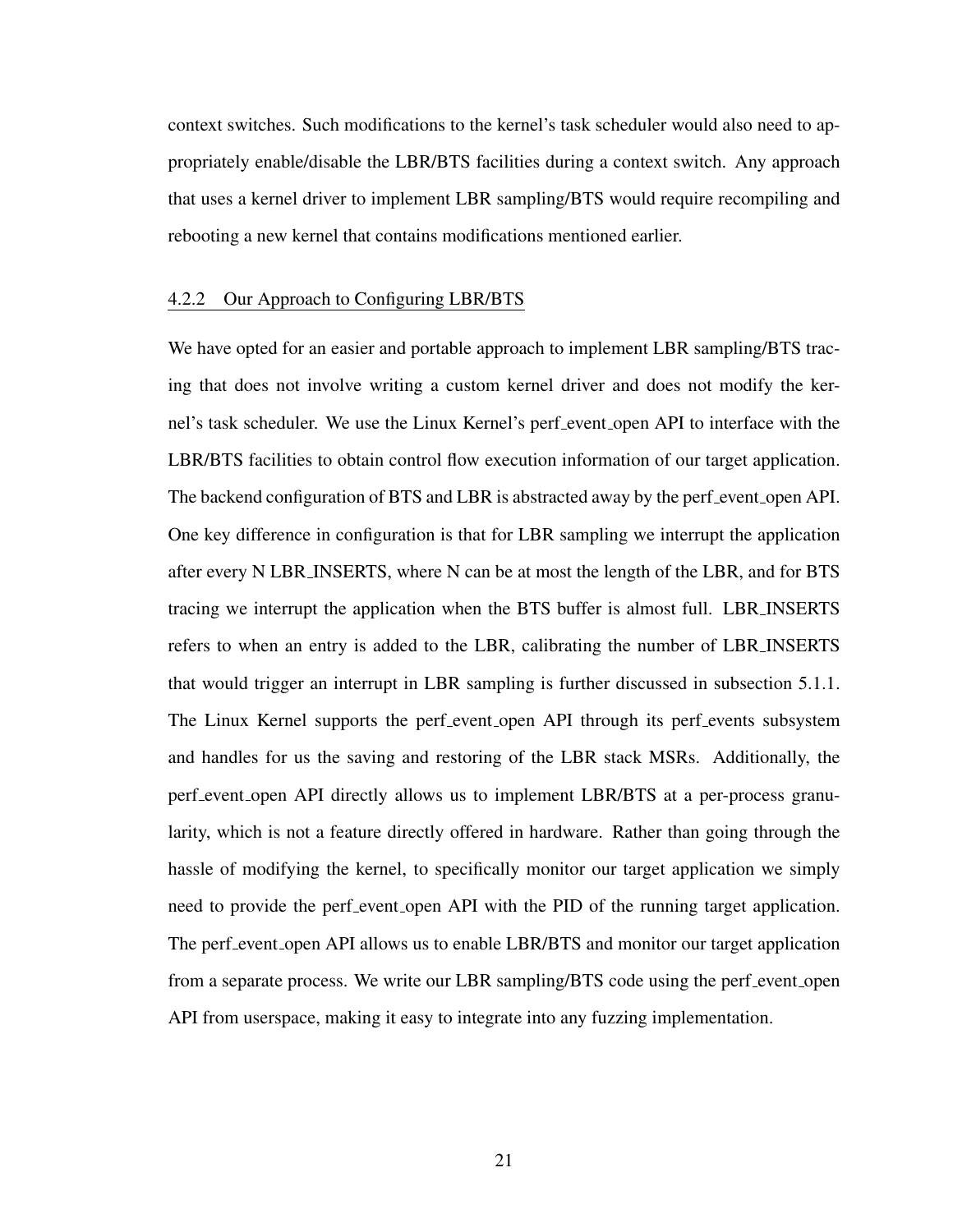context switches. Such modifications to the kernel's task scheduler would also need to appropriately enable/disable the LBR/BTS facilities during a context switch. Any approach that uses a kernel driver to implement LBR sampling/BTS would require recompiling and rebooting a new kernel that contains modifications mentioned earlier.

#### <span id="page-30-0"></span>4.2.2 Our Approach to Configuring LBR/BTS

We have opted for an easier and portable approach to implement LBR sampling/BTS tracing that does not involve writing a custom kernel driver and does not modify the kernel's task scheduler. We use the Linux Kernel's perf event open API to interface with the LBR/BTS facilities to obtain control flow execution information of our target application. The backend configuration of BTS and LBR is abstracted away by the perf event open API. One key difference in configuration is that for LBR sampling we interrupt the application after every N LBR INSERTS, where N can be at most the length of the LBR, and for BTS tracing we interrupt the application when the BTS buffer is almost full. LBR INSERTS refers to when an entry is added to the LBR, calibrating the number of LBR INSERTS that would trigger an interrupt in LBR sampling is further discussed in [subsection 5.1.1.](#page-36-0) The Linux Kernel supports the perf event open API through its perf events subsystem and handles for us the saving and restoring of the LBR stack MSRs. Additionally, the perf event open API directly allows us to implement LBR/BTS at a per-process granularity, which is not a feature directly offered in hardware. Rather than going through the hassle of modifying the kernel, to specifically monitor our target application we simply need to provide the perf event open API with the PID of the running target application. The perf event open API allows us to enable LBR/BTS and monitor our target application from a separate process. We write our LBR sampling/BTS code using the perf event open API from userspace, making it easy to integrate into any fuzzing implementation.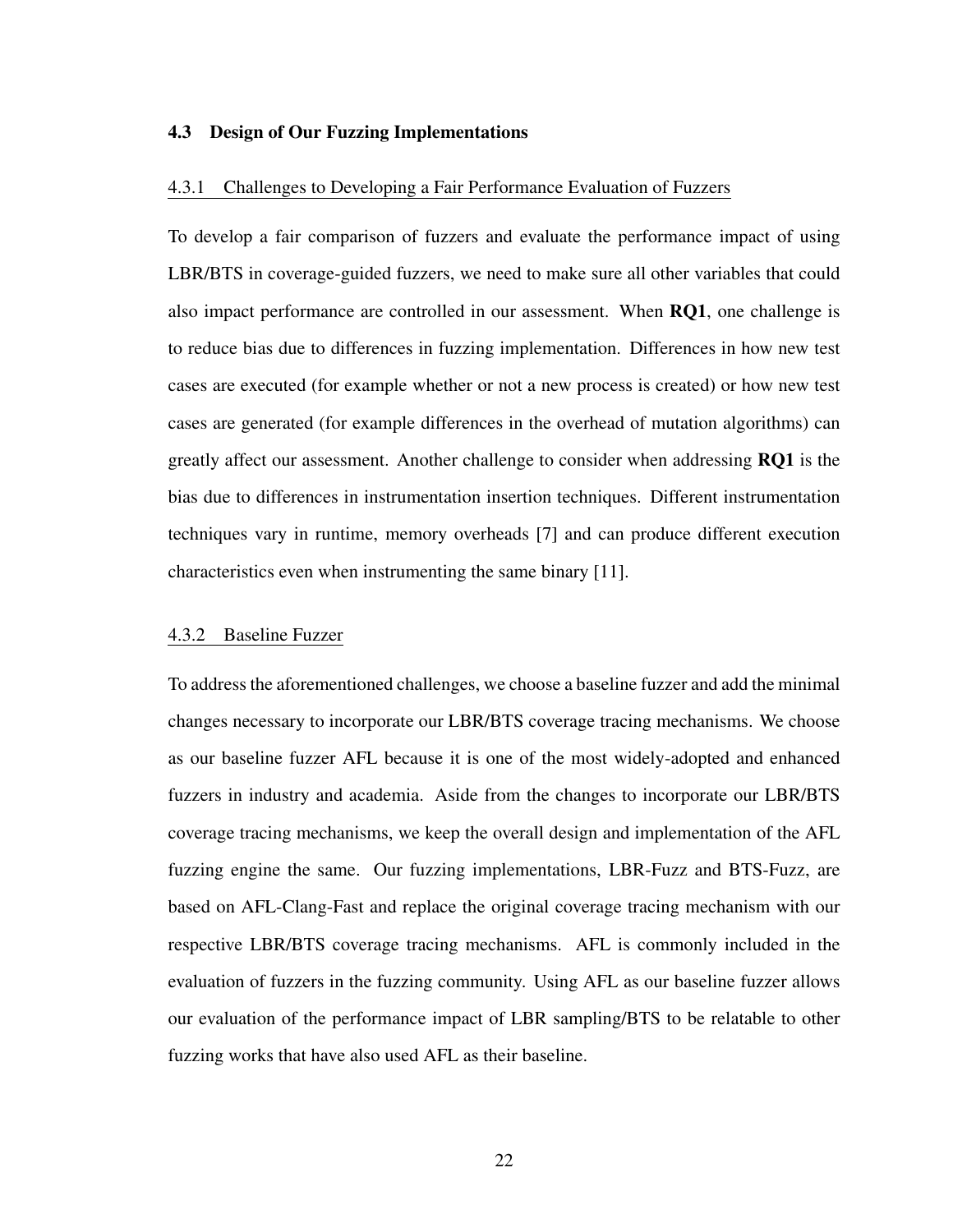#### <span id="page-31-0"></span>4.3 Design of Our Fuzzing Implementations

### <span id="page-31-1"></span>4.3.1 Challenges to Developing a Fair Performance Evaluation of Fuzzers

To develop a fair comparison of fuzzers and evaluate the performance impact of using LBR/BTS in coverage-guided fuzzers, we need to make sure all other variables that could also impact performance are controlled in our assessment. When RQ1, one challenge is to reduce bias due to differences in fuzzing implementation. Differences in how new test cases are executed (for example whether or not a new process is created) or how new test cases are generated (for example differences in the overhead of mutation algorithms) can greatly affect our assessment. Another challenge to consider when addressing RQ1 is the bias due to differences in instrumentation insertion techniques. Different instrumentation techniques vary in runtime, memory overheads [\[7\]](#page-65-7) and can produce different execution characteristics even when instrumenting the same binary [\[11\]](#page-65-11).

## <span id="page-31-2"></span>4.3.2 Baseline Fuzzer

To address the aforementioned challenges, we choose a baseline fuzzer and add the minimal changes necessary to incorporate our LBR/BTS coverage tracing mechanisms. We choose as our baseline fuzzer AFL because it is one of the most widely-adopted and enhanced fuzzers in industry and academia. Aside from the changes to incorporate our LBR/BTS coverage tracing mechanisms, we keep the overall design and implementation of the AFL fuzzing engine the same. Our fuzzing implementations, LBR-Fuzz and BTS-Fuzz, are based on AFL-Clang-Fast and replace the original coverage tracing mechanism with our respective LBR/BTS coverage tracing mechanisms. AFL is commonly included in the evaluation of fuzzers in the fuzzing community. Using AFL as our baseline fuzzer allows our evaluation of the performance impact of LBR sampling/BTS to be relatable to other fuzzing works that have also used AFL as their baseline.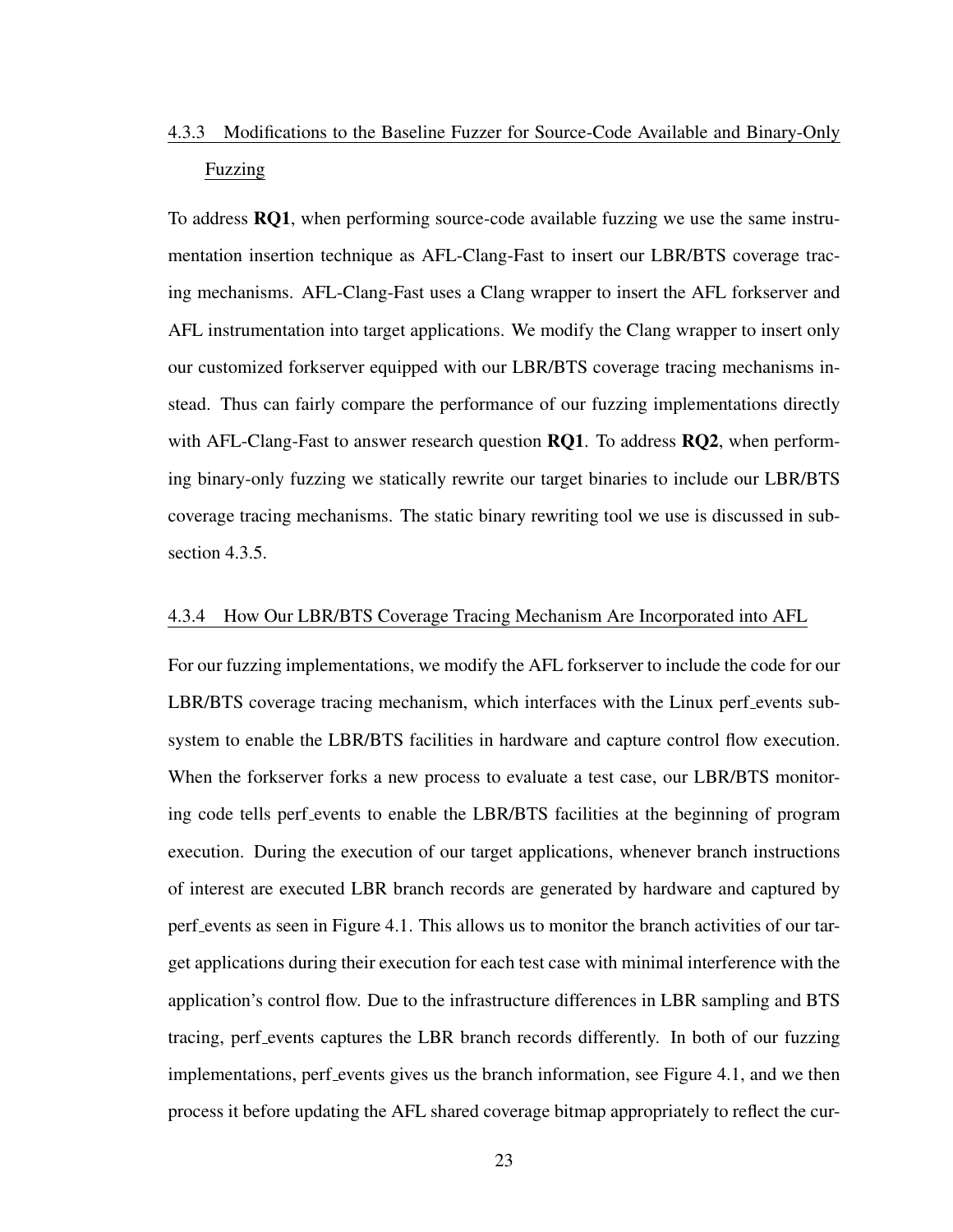# <span id="page-32-0"></span>4.3.3 Modifications to the Baseline Fuzzer for Source-Code Available and Binary-Only Fuzzing

To address RQ1, when performing source-code available fuzzing we use the same instrumentation insertion technique as AFL-Clang-Fast to insert our LBR/BTS coverage tracing mechanisms. AFL-Clang-Fast uses a Clang wrapper to insert the AFL forkserver and AFL instrumentation into target applications. We modify the Clang wrapper to insert only our customized forkserver equipped with our LBR/BTS coverage tracing mechanisms instead. Thus can fairly compare the performance of our fuzzing implementations directly with AFL-Clang-Fast to answer research question  $RQ1$ . To address  $RQ2$ , when performing binary-only fuzzing we statically rewrite our target binaries to include our LBR/BTS coverage tracing mechanisms. The static binary rewriting tool we use is discussed in [sub](#page-33-0)[section 4.3.5.](#page-33-0)

## <span id="page-32-1"></span>4.3.4 How Our LBR/BTS Coverage Tracing Mechanism Are Incorporated into AFL

For our fuzzing implementations, we modify the AFL forkserver to include the code for our LBR/BTS coverage tracing mechanism, which interfaces with the Linux perf events subsystem to enable the LBR/BTS facilities in hardware and capture control flow execution. When the forkserver forks a new process to evaluate a test case, our LBR/BTS monitoring code tells perf events to enable the LBR/BTS facilities at the beginning of program execution. During the execution of our target applications, whenever branch instructions of interest are executed LBR branch records are generated by hardware and captured by perf events as seen in [Figure 4.1.](#page-33-1) This allows us to monitor the branch activities of our target applications during their execution for each test case with minimal interference with the application's control flow. Due to the infrastructure differences in LBR sampling and BTS tracing, perf events captures the LBR branch records differently. In both of our fuzzing implementations, perf events gives us the branch information, see [Figure 4.1,](#page-33-1) and we then process it before updating the AFL shared coverage bitmap appropriately to reflect the cur-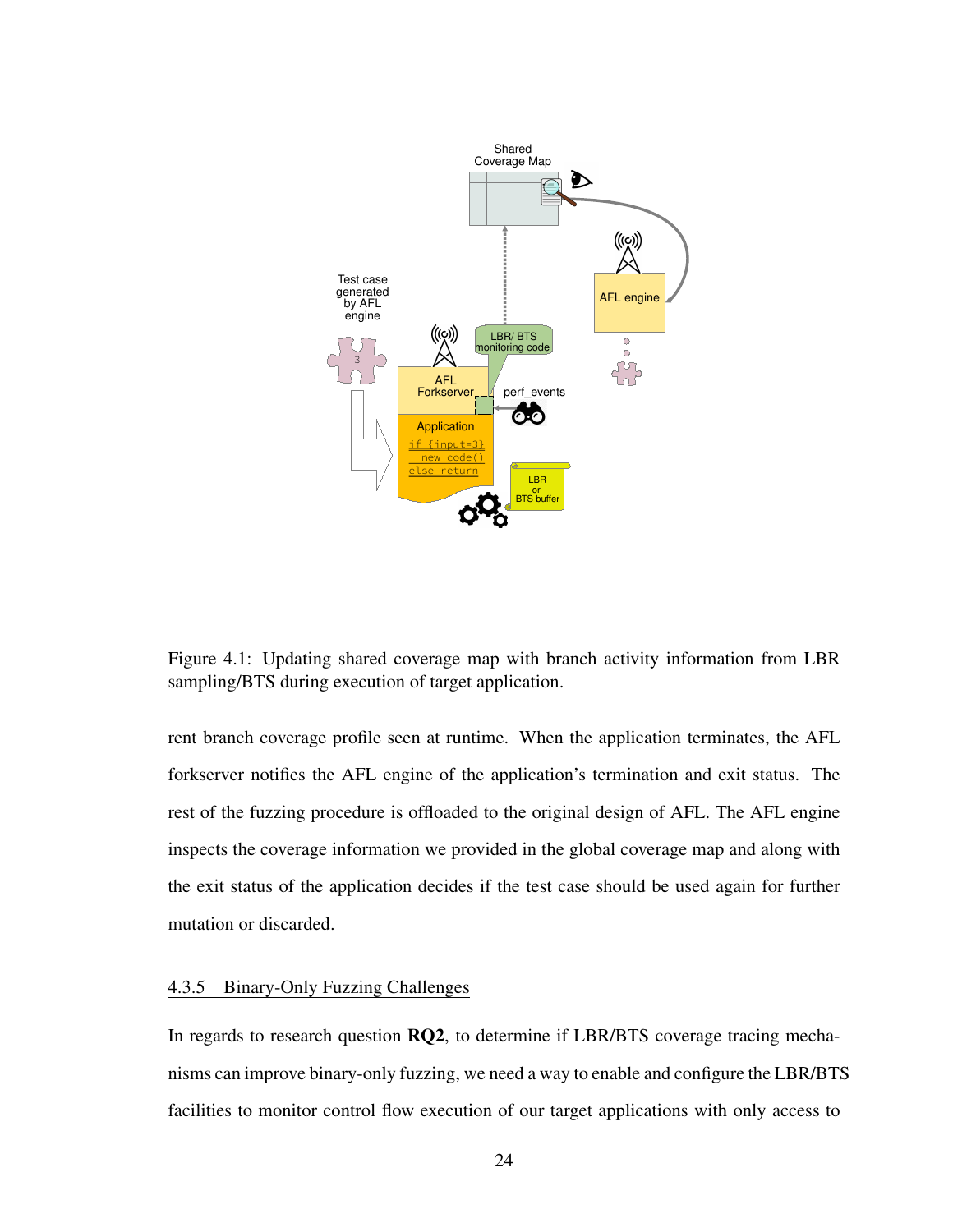<span id="page-33-1"></span>

Figure 4.1: Updating shared coverage map with branch activity information from LBR sampling/BTS during execution of target application.

rent branch coverage profile seen at runtime. When the application terminates, the AFL forkserver notifies the AFL engine of the application's termination and exit status. The rest of the fuzzing procedure is offloaded to the original design of AFL. The AFL engine inspects the coverage information we provided in the global coverage map and along with the exit status of the application decides if the test case should be used again for further mutation or discarded.

# <span id="page-33-0"></span>4.3.5 Binary-Only Fuzzing Challenges

In regards to research question RQ2, to determine if LBR/BTS coverage tracing mechanisms can improve binary-only fuzzing, we need a way to enable and configure the LBR/BTS facilities to monitor control flow execution of our target applications with only access to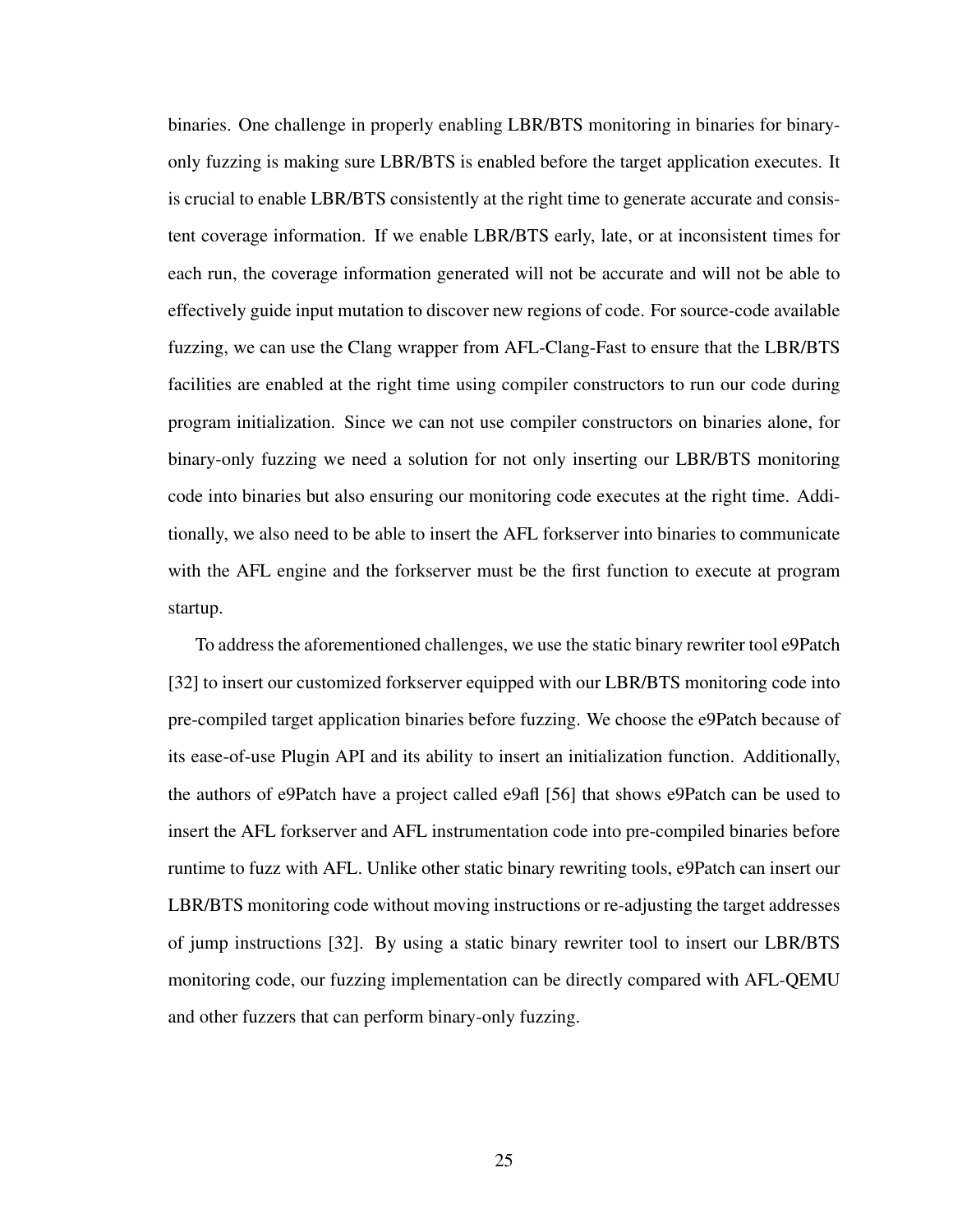binaries. One challenge in properly enabling LBR/BTS monitoring in binaries for binaryonly fuzzing is making sure LBR/BTS is enabled before the target application executes. It is crucial to enable LBR/BTS consistently at the right time to generate accurate and consistent coverage information. If we enable LBR/BTS early, late, or at inconsistent times for each run, the coverage information generated will not be accurate and will not be able to effectively guide input mutation to discover new regions of code. For source-code available fuzzing, we can use the Clang wrapper from AFL-Clang-Fast to ensure that the LBR/BTS facilities are enabled at the right time using compiler constructors to run our code during program initialization. Since we can not use compiler constructors on binaries alone, for binary-only fuzzing we need a solution for not only inserting our LBR/BTS monitoring code into binaries but also ensuring our monitoring code executes at the right time. Additionally, we also need to be able to insert the AFL forkserver into binaries to communicate with the AFL engine and the forkserver must be the first function to execute at program startup.

To address the aforementioned challenges, we use the static binary rewriter tool e9Patch [\[32\]](#page-67-7) to insert our customized forkserver equipped with our LBR/BTS monitoring code into pre-compiled target application binaries before fuzzing. We choose the e9Patch because of its ease-of-use Plugin API and its ability to insert an initialization function. Additionally, the authors of e9Patch have a project called e9afl [\[56\]](#page-69-6) that shows e9Patch can be used to insert the AFL forkserver and AFL instrumentation code into pre-compiled binaries before runtime to fuzz with AFL. Unlike other static binary rewriting tools, e9Patch can insert our LBR/BTS monitoring code without moving instructions or re-adjusting the target addresses of jump instructions [\[32\]](#page-67-7). By using a static binary rewriter tool to insert our LBR/BTS monitoring code, our fuzzing implementation can be directly compared with AFL-QEMU and other fuzzers that can perform binary-only fuzzing.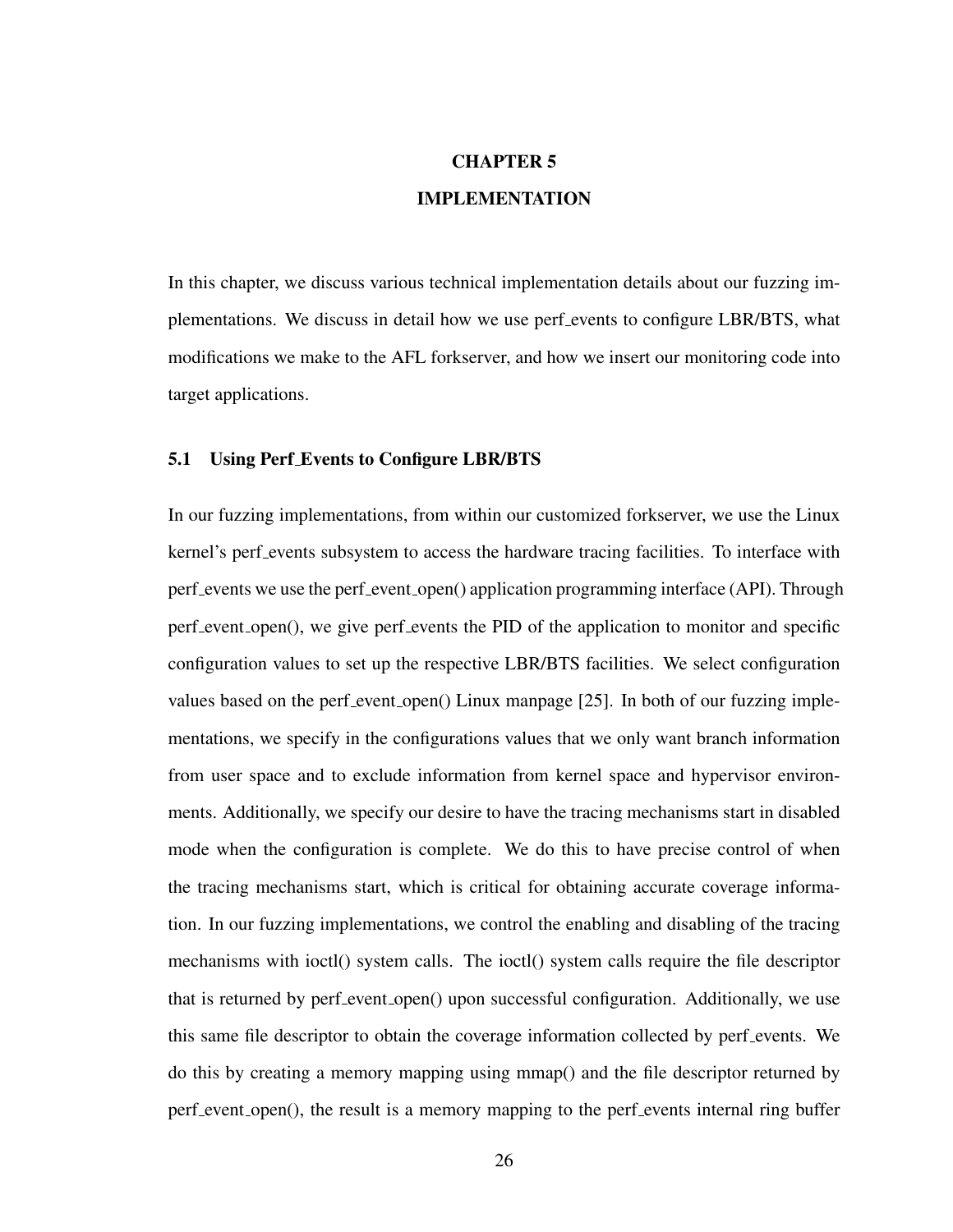# CHAPTER 5 IMPLEMENTATION

<span id="page-35-0"></span>In this chapter, we discuss various technical implementation details about our fuzzing implementations. We discuss in detail how we use perf events to configure LBR/BTS, what modifications we make to the AFL forkserver, and how we insert our monitoring code into target applications.

#### <span id="page-35-1"></span>5.1 Using Perf Events to Configure LBR/BTS

In our fuzzing implementations, from within our customized forkserver, we use the Linux kernel's perf events subsystem to access the hardware tracing facilities. To interface with perf events we use the perf event open() application programming interface (API). Through perf event open(), we give perf events the PID of the application to monitor and specific configuration values to set up the respective LBR/BTS facilities. We select configuration values based on the perf event open() Linux manpage [\[25\]](#page-67-0). In both of our fuzzing implementations, we specify in the configurations values that we only want branch information from user space and to exclude information from kernel space and hypervisor environments. Additionally, we specify our desire to have the tracing mechanisms start in disabled mode when the configuration is complete. We do this to have precise control of when the tracing mechanisms start, which is critical for obtaining accurate coverage information. In our fuzzing implementations, we control the enabling and disabling of the tracing mechanisms with ioctl() system calls. The ioctl() system calls require the file descriptor that is returned by perf event open() upon successful configuration. Additionally, we use this same file descriptor to obtain the coverage information collected by perf events. We do this by creating a memory mapping using mmap() and the file descriptor returned by perf event open(), the result is a memory mapping to the perf events internal ring buffer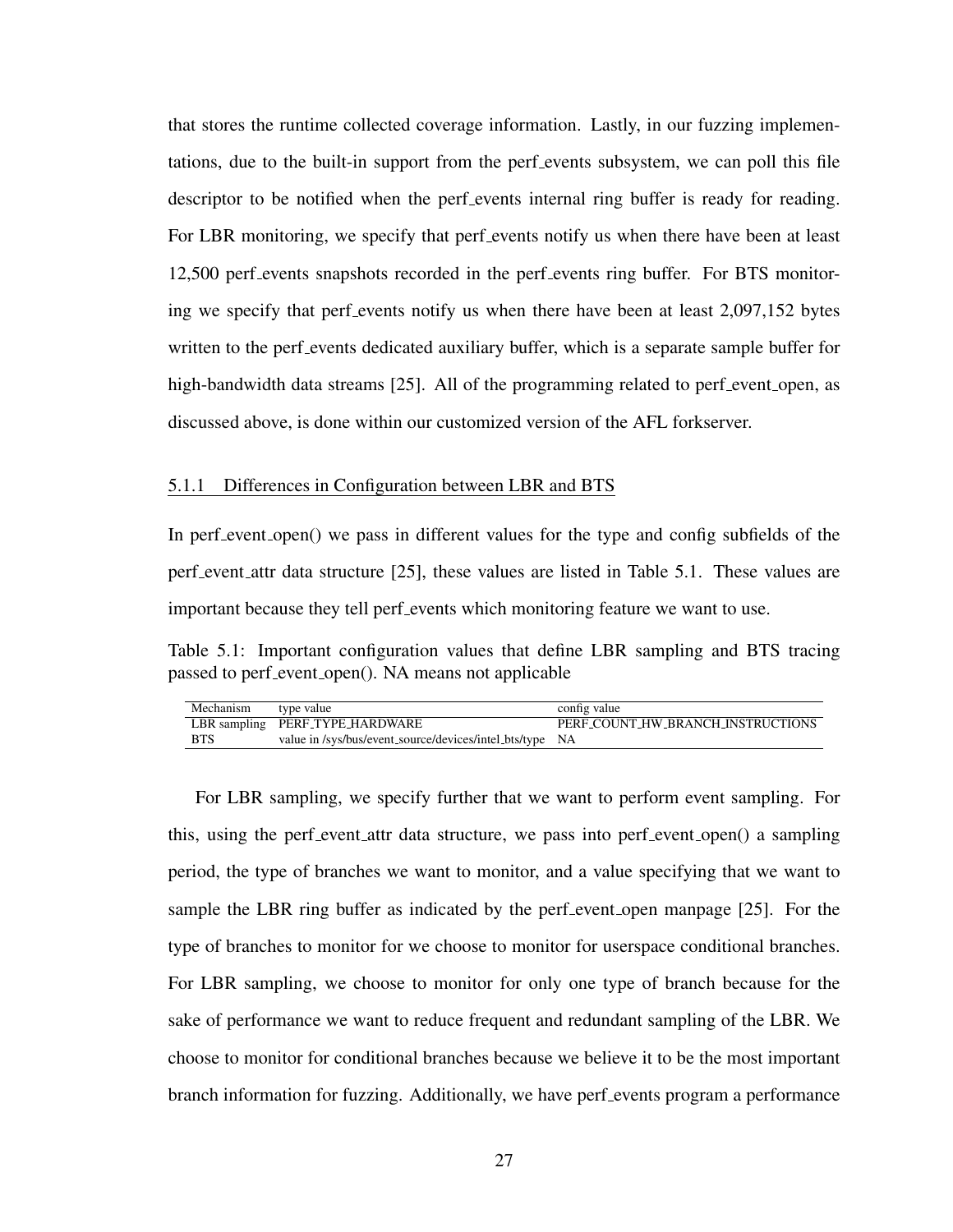that stores the runtime collected coverage information. Lastly, in our fuzzing implementations, due to the built-in support from the perf events subsystem, we can poll this file descriptor to be notified when the perf events internal ring buffer is ready for reading. For LBR monitoring, we specify that perf events notify us when there have been at least 12,500 perf events snapshots recorded in the perf events ring buffer. For BTS monitoring we specify that perf events notify us when there have been at least 2,097,152 bytes written to the perf events dedicated auxiliary buffer, which is a separate sample buffer for high-bandwidth data streams [\[25\]](#page-67-0). All of the programming related to perf event open, as discussed above, is done within our customized version of the AFL forkserver.

#### 5.1.1 Differences in Configuration between LBR and BTS

In perf event open() we pass in different values for the type and config subfields of the perf event attr data structure [\[25\]](#page-67-0), these values are listed in [Table 5.1.](#page-36-0) These values are important because they tell perf events which monitoring feature we want to use.

<span id="page-36-0"></span>Table 5.1: Important configuration values that define LBR sampling and BTS tracing passed to perf\_event\_open(). NA means not applicable

| Mechanism type value |                                                          | config value                      |
|----------------------|----------------------------------------------------------|-----------------------------------|
|                      | LBR sampling PERF_TYPE_HARDWARE                          | PERF_COUNT_HW_BRANCH_INSTRUCTIONS |
| BTS                  | value in /sys/bus/event_source/devices/intel_bts/type NA |                                   |

For LBR sampling, we specify further that we want to perform event sampling. For this, using the perf event attr data structure, we pass into perf event open() a sampling period, the type of branches we want to monitor, and a value specifying that we want to sample the LBR ring buffer as indicated by the perf event open manpage [\[25\]](#page-67-0). For the type of branches to monitor for we choose to monitor for userspace conditional branches. For LBR sampling, we choose to monitor for only one type of branch because for the sake of performance we want to reduce frequent and redundant sampling of the LBR. We choose to monitor for conditional branches because we believe it to be the most important branch information for fuzzing. Additionally, we have perf events program a performance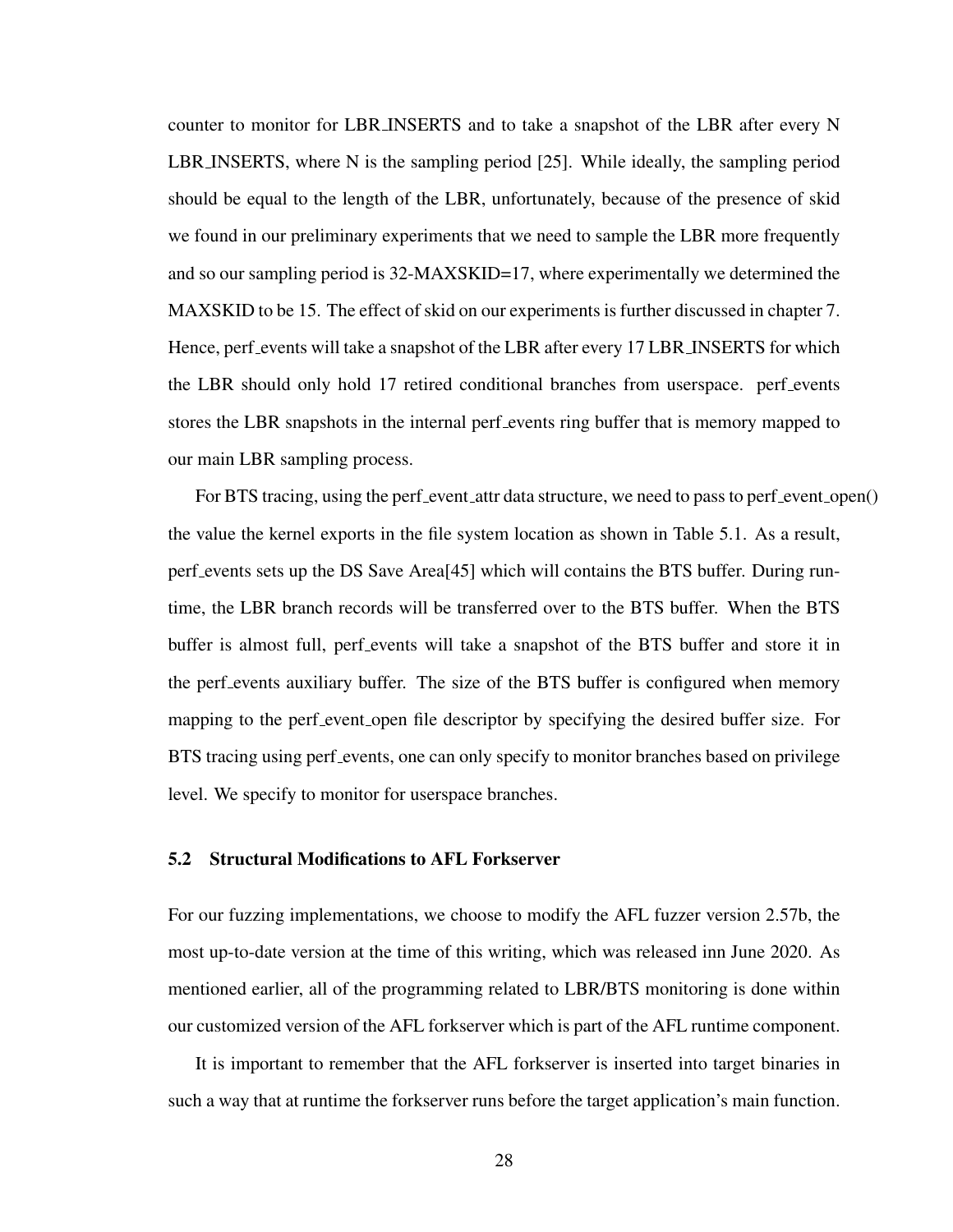counter to monitor for LBR INSERTS and to take a snapshot of the LBR after every N LBR INSERTS, where N is the sampling period [\[25\]](#page-67-0). While ideally, the sampling period should be equal to the length of the LBR, unfortunately, because of the presence of skid we found in our preliminary experiments that we need to sample the LBR more frequently and so our sampling period is 32-MAXSKID=17, where experimentally we determined the MAXSKID to be 15. The effect of skid on our experiments is further discussed in [chapter 7.](#page-57-0) Hence, perf events will take a snapshot of the LBR after every 17 LBR INSERTS for which the LBR should only hold 17 retired conditional branches from userspace. perf events stores the LBR snapshots in the internal perf events ring buffer that is memory mapped to our main LBR sampling process.

For BTS tracing, using the perf event attr data structure, we need to pass to perf event open() the value the kernel exports in the file system location as shown in [Table 5.1.](#page-36-0) As a result, perf events sets up the DS Save Area[\[45\]](#page-68-0) which will contains the BTS buffer. During runtime, the LBR branch records will be transferred over to the BTS buffer. When the BTS buffer is almost full, perf events will take a snapshot of the BTS buffer and store it in the perf events auxiliary buffer. The size of the BTS buffer is configured when memory mapping to the perf event open file descriptor by specifying the desired buffer size. For BTS tracing using perf events, one can only specify to monitor branches based on privilege level. We specify to monitor for userspace branches.

## 5.2 Structural Modifications to AFL Forkserver

For our fuzzing implementations, we choose to modify the AFL fuzzer version 2.57b, the most up-to-date version at the time of this writing, which was released inn June 2020. As mentioned earlier, all of the programming related to LBR/BTS monitoring is done within our customized version of the AFL forkserver which is part of the AFL runtime component.

It is important to remember that the AFL forkserver is inserted into target binaries in such a way that at runtime the forkserver runs before the target application's main function.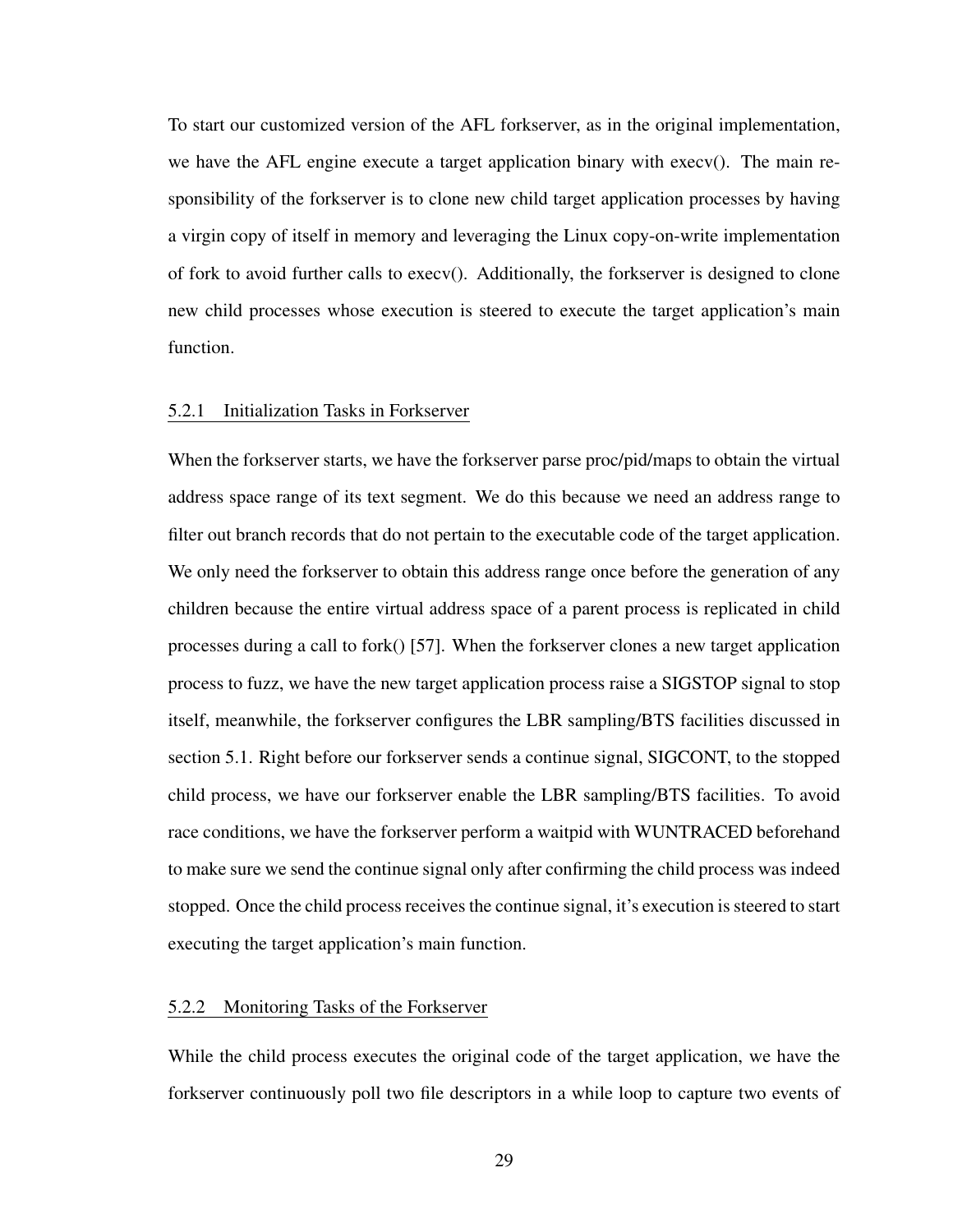To start our customized version of the AFL forkserver, as in the original implementation, we have the AFL engine execute a target application binary with execv(). The main responsibility of the forkserver is to clone new child target application processes by having a virgin copy of itself in memory and leveraging the Linux copy-on-write implementation of fork to avoid further calls to execv(). Additionally, the forkserver is designed to clone new child processes whose execution is steered to execute the target application's main function.

#### 5.2.1 Initialization Tasks in Forkserver

When the forkserver starts, we have the forkserver parse proc/pid/maps to obtain the virtual address space range of its text segment. We do this because we need an address range to filter out branch records that do not pertain to the executable code of the target application. We only need the forkserver to obtain this address range once before the generation of any children because the entire virtual address space of a parent process is replicated in child processes during a call to fork() [\[57\]](#page-69-0). When the forkserver clones a new target application process to fuzz, we have the new target application process raise a SIGSTOP signal to stop itself, meanwhile, the forkserver configures the LBR sampling/BTS facilities discussed in [section 5.1.](#page-35-0) Right before our forkserver sends a continue signal, SIGCONT, to the stopped child process, we have our forkserver enable the LBR sampling/BTS facilities. To avoid race conditions, we have the forkserver perform a waitpid with WUNTRACED beforehand to make sure we send the continue signal only after confirming the child process was indeed stopped. Once the child process receives the continue signal, it's execution is steered to start executing the target application's main function.

### 5.2.2 Monitoring Tasks of the Forkserver

While the child process executes the original code of the target application, we have the forkserver continuously poll two file descriptors in a while loop to capture two events of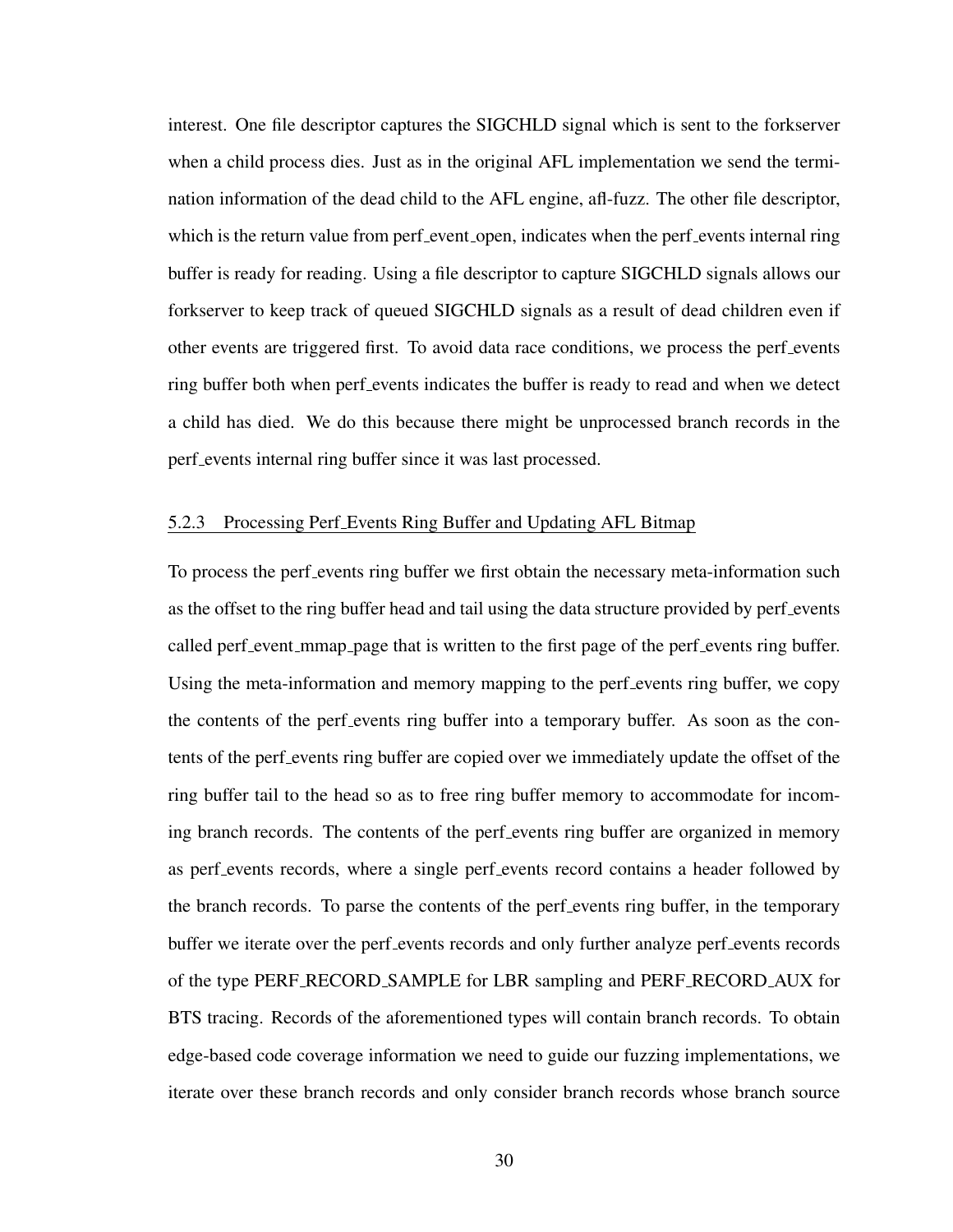interest. One file descriptor captures the SIGCHLD signal which is sent to the forkserver when a child process dies. Just as in the original AFL implementation we send the termination information of the dead child to the AFL engine, afl-fuzz. The other file descriptor, which is the return value from perf event open, indicates when the perf events internal ring buffer is ready for reading. Using a file descriptor to capture SIGCHLD signals allows our forkserver to keep track of queued SIGCHLD signals as a result of dead children even if other events are triggered first. To avoid data race conditions, we process the perf events ring buffer both when perf events indicates the buffer is ready to read and when we detect a child has died. We do this because there might be unprocessed branch records in the perf events internal ring buffer since it was last processed.

## 5.2.3 Processing Perf Events Ring Buffer and Updating AFL Bitmap

To process the perf events ring buffer we first obtain the necessary meta-information such as the offset to the ring buffer head and tail using the data structure provided by perf events called perf event mmap page that is written to the first page of the perf events ring buffer. Using the meta-information and memory mapping to the perf-events ring buffer, we copy the contents of the perf events ring buffer into a temporary buffer. As soon as the contents of the perf events ring buffer are copied over we immediately update the offset of the ring buffer tail to the head so as to free ring buffer memory to accommodate for incoming branch records. The contents of the perf events ring buffer are organized in memory as perf events records, where a single perf events record contains a header followed by the branch records. To parse the contents of the perf events ring buffer, in the temporary buffer we iterate over the perf events records and only further analyze perf events records of the type PERF RECORD SAMPLE for LBR sampling and PERF RECORD AUX for BTS tracing. Records of the aforementioned types will contain branch records. To obtain edge-based code coverage information we need to guide our fuzzing implementations, we iterate over these branch records and only consider branch records whose branch source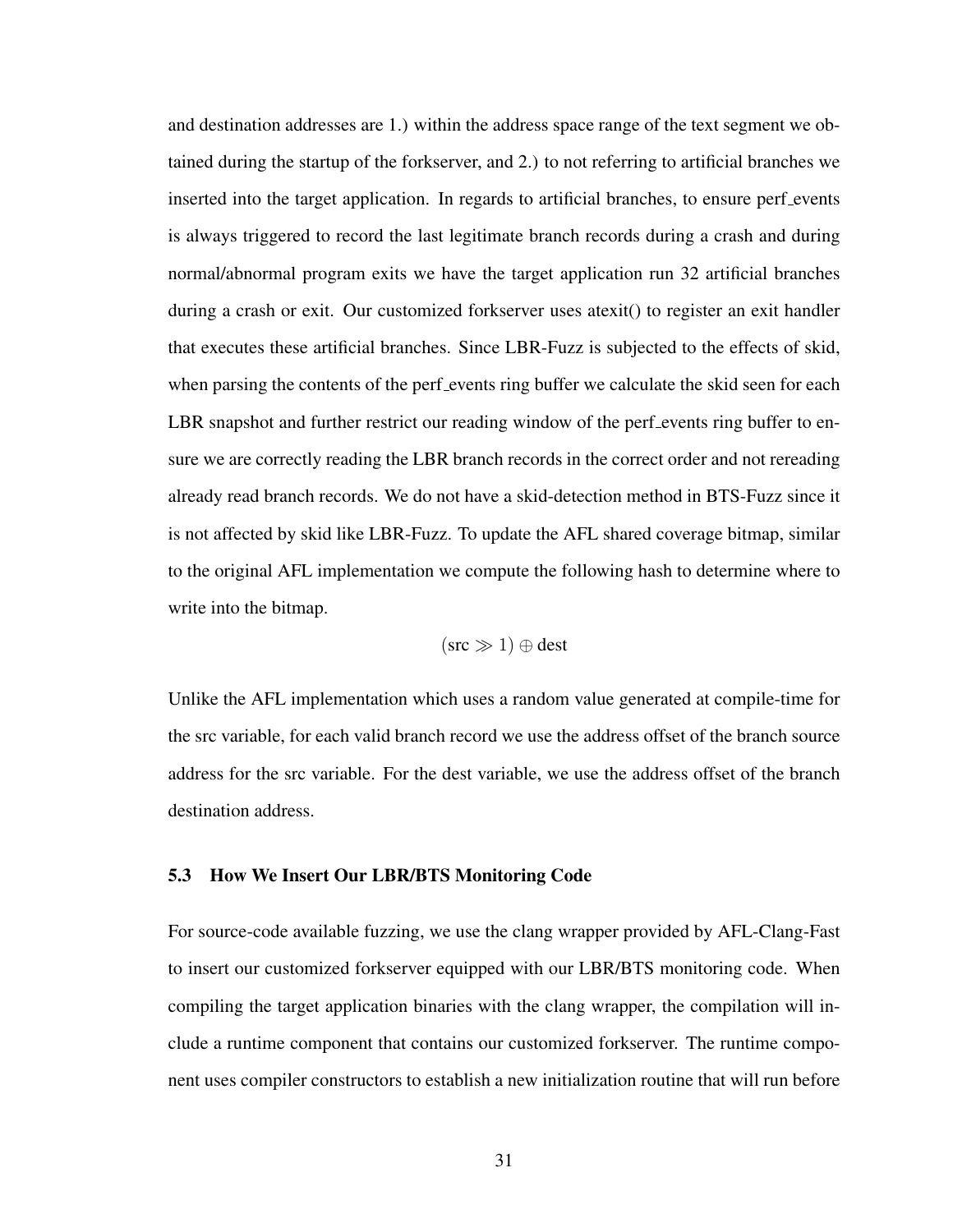and destination addresses are 1.) within the address space range of the text segment we obtained during the startup of the forkserver, and 2.) to not referring to artificial branches we inserted into the target application. In regards to artificial branches, to ensure perf events is always triggered to record the last legitimate branch records during a crash and during normal/abnormal program exits we have the target application run 32 artificial branches during a crash or exit. Our customized forkserver uses atexit() to register an exit handler that executes these artificial branches. Since LBR-Fuzz is subjected to the effects of skid, when parsing the contents of the perf events ring buffer we calculate the skid seen for each LBR snapshot and further restrict our reading window of the perf events ring buffer to ensure we are correctly reading the LBR branch records in the correct order and not rereading already read branch records. We do not have a skid-detection method in BTS-Fuzz since it is not affected by skid like LBR-Fuzz. To update the AFL shared coverage bitmap, similar to the original AFL implementation we compute the following hash to determine where to write into the bitmap.

$$
(src \gg 1) \oplus dest
$$

Unlike the AFL implementation which uses a random value generated at compile-time for the src variable, for each valid branch record we use the address offset of the branch source address for the src variable. For the dest variable, we use the address offset of the branch destination address.

## 5.3 How We Insert Our LBR/BTS Monitoring Code

For source-code available fuzzing, we use the clang wrapper provided by AFL-Clang-Fast to insert our customized forkserver equipped with our LBR/BTS monitoring code. When compiling the target application binaries with the clang wrapper, the compilation will include a runtime component that contains our customized forkserver. The runtime component uses compiler constructors to establish a new initialization routine that will run before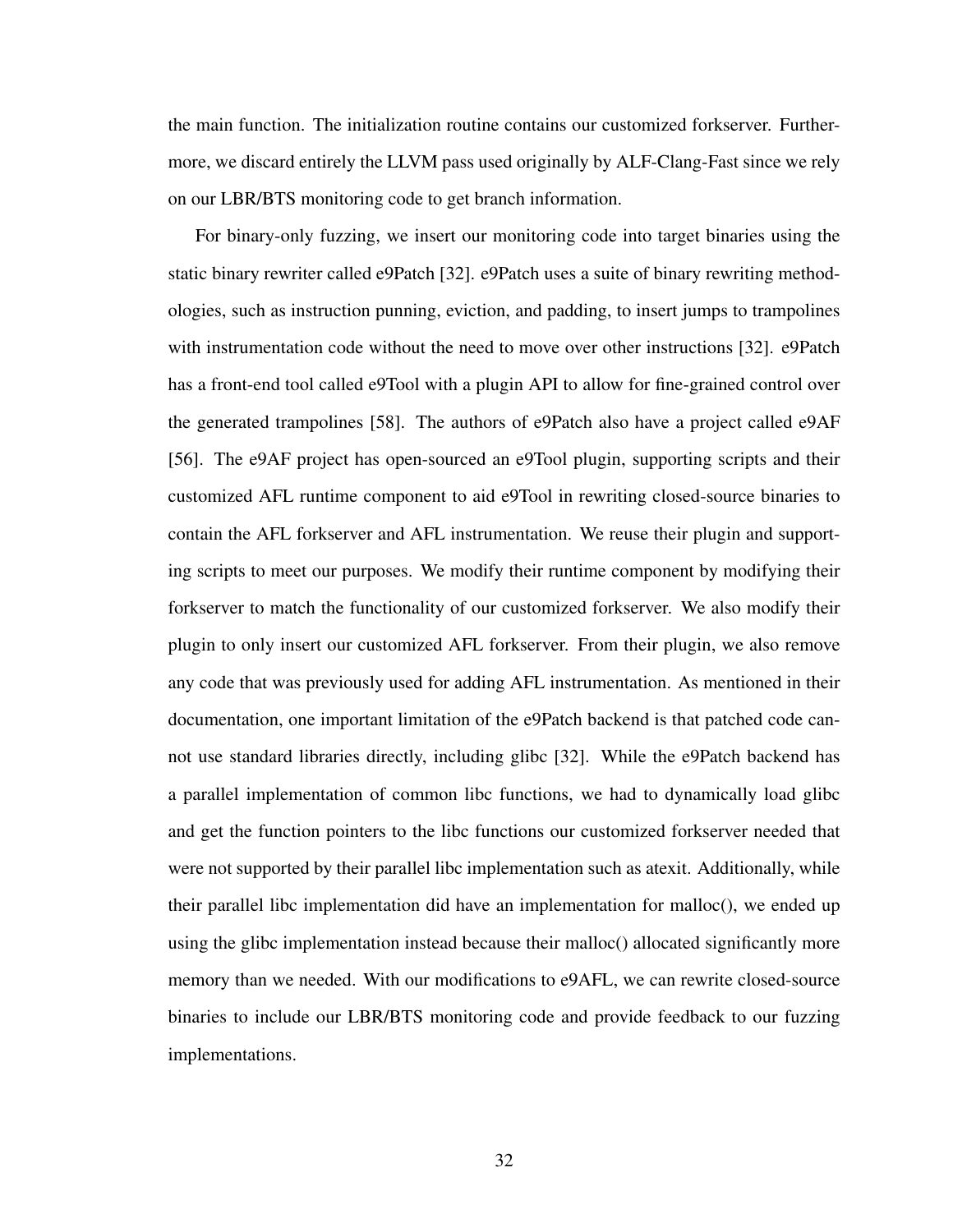the main function. The initialization routine contains our customized forkserver. Furthermore, we discard entirely the LLVM pass used originally by ALF-Clang-Fast since we rely on our LBR/BTS monitoring code to get branch information.

For binary-only fuzzing, we insert our monitoring code into target binaries using the static binary rewriter called e9Patch [\[32\]](#page-67-1). e9Patch uses a suite of binary rewriting methodologies, such as instruction punning, eviction, and padding, to insert jumps to trampolines with instrumentation code without the need to move over other instructions [\[32\]](#page-67-1). e9Patch has a front-end tool called e9Tool with a plugin API to allow for fine-grained control over the generated trampolines [\[58\]](#page-69-1). The authors of e9Patch also have a project called e9AF [\[56\]](#page-69-2). The e9AF project has open-sourced an e9Tool plugin, supporting scripts and their customized AFL runtime component to aid e9Tool in rewriting closed-source binaries to contain the AFL forkserver and AFL instrumentation. We reuse their plugin and supporting scripts to meet our purposes. We modify their runtime component by modifying their forkserver to match the functionality of our customized forkserver. We also modify their plugin to only insert our customized AFL forkserver. From their plugin, we also remove any code that was previously used for adding AFL instrumentation. As mentioned in their documentation, one important limitation of the e9Patch backend is that patched code cannot use standard libraries directly, including glibc [\[32\]](#page-67-1). While the e9Patch backend has a parallel implementation of common libc functions, we had to dynamically load glibc and get the function pointers to the libc functions our customized forkserver needed that were not supported by their parallel libc implementation such as atexit. Additionally, while their parallel libc implementation did have an implementation for malloc(), we ended up using the glibc implementation instead because their malloc() allocated significantly more memory than we needed. With our modifications to e9AFL, we can rewrite closed-source binaries to include our LBR/BTS monitoring code and provide feedback to our fuzzing implementations.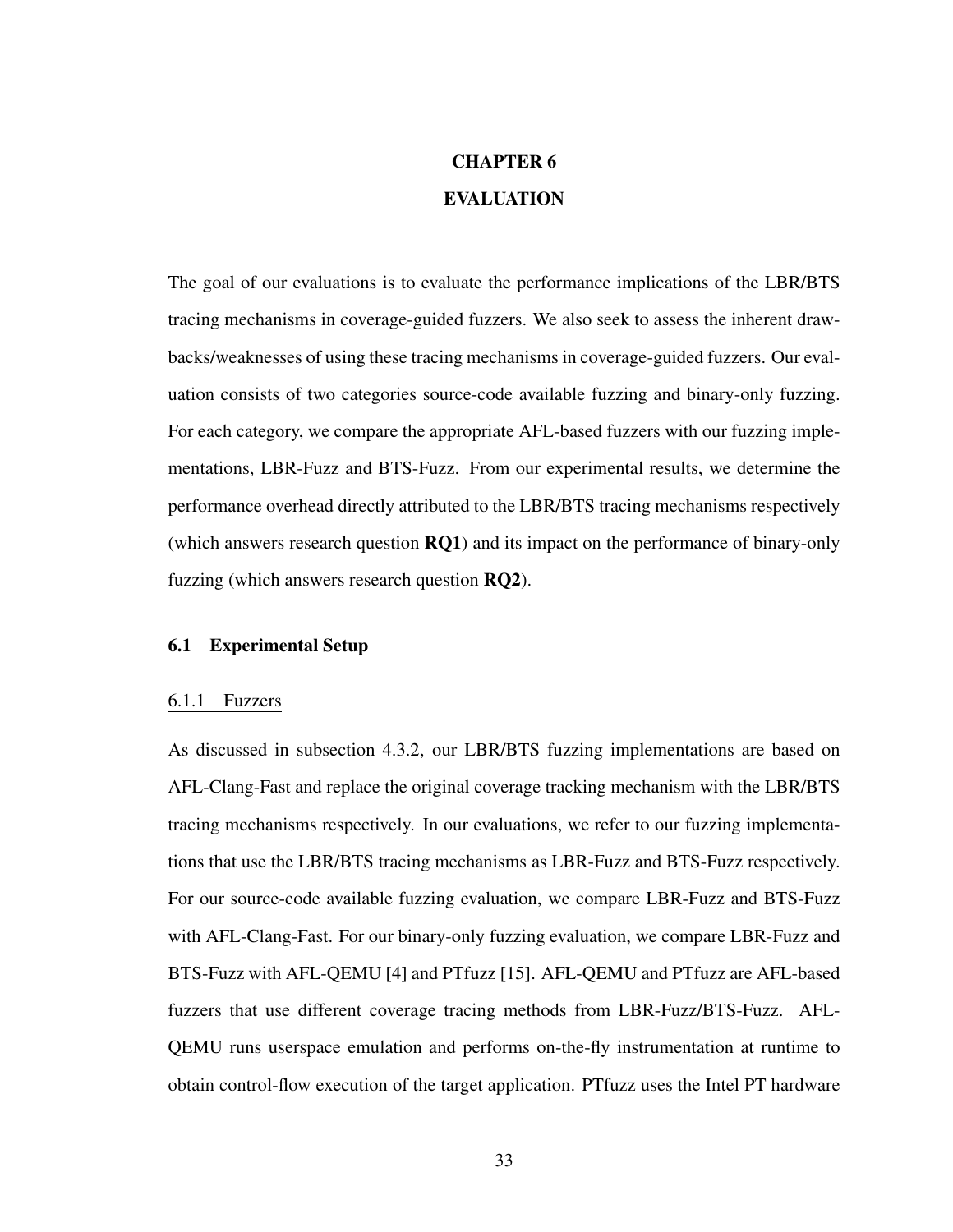# CHAPTER 6 EVALUATION

The goal of our evaluations is to evaluate the performance implications of the LBR/BTS tracing mechanisms in coverage-guided fuzzers. We also seek to assess the inherent drawbacks/weaknesses of using these tracing mechanisms in coverage-guided fuzzers. Our evaluation consists of two categories source-code available fuzzing and binary-only fuzzing. For each category, we compare the appropriate AFL-based fuzzers with our fuzzing implementations, LBR-Fuzz and BTS-Fuzz. From our experimental results, we determine the performance overhead directly attributed to the LBR/BTS tracing mechanisms respectively (which answers research question RQ1) and its impact on the performance of binary-only fuzzing (which answers research question RQ2).

## 6.1 Experimental Setup

## 6.1.1 Fuzzers

As discussed in [subsection 4.3.2,](#page-31-0) our LBR/BTS fuzzing implementations are based on AFL-Clang-Fast and replace the original coverage tracking mechanism with the LBR/BTS tracing mechanisms respectively. In our evaluations, we refer to our fuzzing implementations that use the LBR/BTS tracing mechanisms as LBR-Fuzz and BTS-Fuzz respectively. For our source-code available fuzzing evaluation, we compare LBR-Fuzz and BTS-Fuzz with AFL-Clang-Fast. For our binary-only fuzzing evaluation, we compare LBR-Fuzz and BTS-Fuzz with AFL-QEMU [\[4\]](#page-65-0) and PTfuzz [\[15\]](#page-66-0). AFL-QEMU and PTfuzz are AFL-based fuzzers that use different coverage tracing methods from LBR-Fuzz/BTS-Fuzz. AFL-QEMU runs userspace emulation and performs on-the-fly instrumentation at runtime to obtain control-flow execution of the target application. PTfuzz uses the Intel PT hardware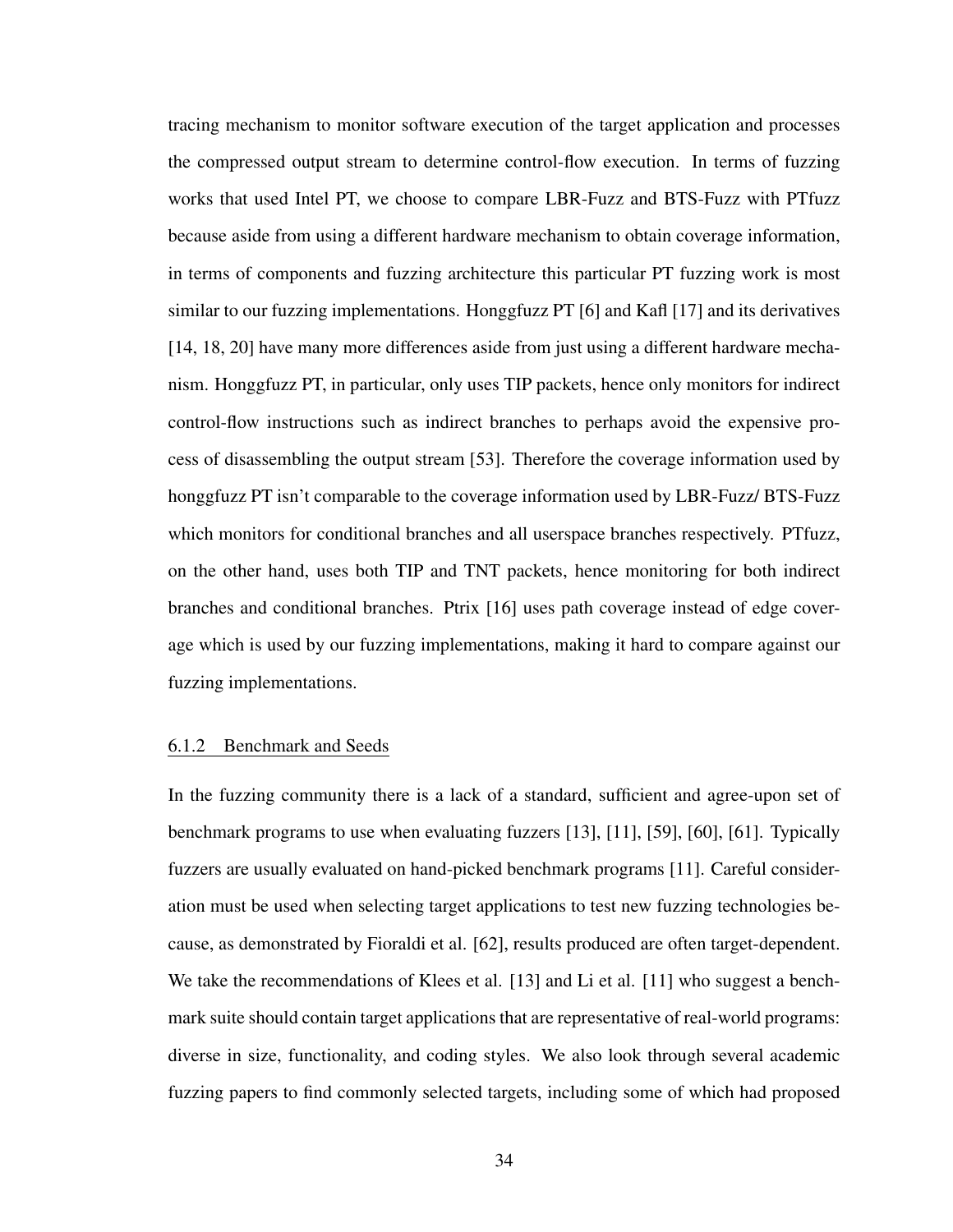tracing mechanism to monitor software execution of the target application and processes the compressed output stream to determine control-flow execution. In terms of fuzzing works that used Intel PT, we choose to compare LBR-Fuzz and BTS-Fuzz with PTfuzz because aside from using a different hardware mechanism to obtain coverage information, in terms of components and fuzzing architecture this particular PT fuzzing work is most similar to our fuzzing implementations. Honggfuzz PT [\[6\]](#page-65-1) and Kafl [\[17\]](#page-66-1) and its derivatives [\[14,](#page-66-2) [18,](#page-66-3) [20\]](#page-66-4) have many more differences aside from just using a different hardware mechanism. Honggfuzz PT, in particular, only uses TIP packets, hence only monitors for indirect control-flow instructions such as indirect branches to perhaps avoid the expensive process of disassembling the output stream [\[53\]](#page-69-3). Therefore the coverage information used by honggfuzz PT isn't comparable to the coverage information used by LBR-Fuzz/ BTS-Fuzz which monitors for conditional branches and all userspace branches respectively. PTfuzz, on the other hand, uses both TIP and TNT packets, hence monitoring for both indirect branches and conditional branches. Ptrix [\[16\]](#page-66-5) uses path coverage instead of edge coverage which is used by our fuzzing implementations, making it hard to compare against our fuzzing implementations.

## 6.1.2 Benchmark and Seeds

In the fuzzing community there is a lack of a standard, sufficient and agree-upon set of benchmark programs to use when evaluating fuzzers [\[13\]](#page-66-6), [\[11\]](#page-65-2), [\[59\]](#page-69-4), [\[60\]](#page-69-5), [\[61\]](#page-69-6). Typically fuzzers are usually evaluated on hand-picked benchmark programs [\[11\]](#page-65-2). Careful consideration must be used when selecting target applications to test new fuzzing technologies because, as demonstrated by Fioraldi et al. [\[62\]](#page-69-7), results produced are often target-dependent. We take the recommendations of Klees et al. [\[13\]](#page-66-6) and Li et al. [\[11\]](#page-65-2) who suggest a benchmark suite should contain target applications that are representative of real-world programs: diverse in size, functionality, and coding styles. We also look through several academic fuzzing papers to find commonly selected targets, including some of which had proposed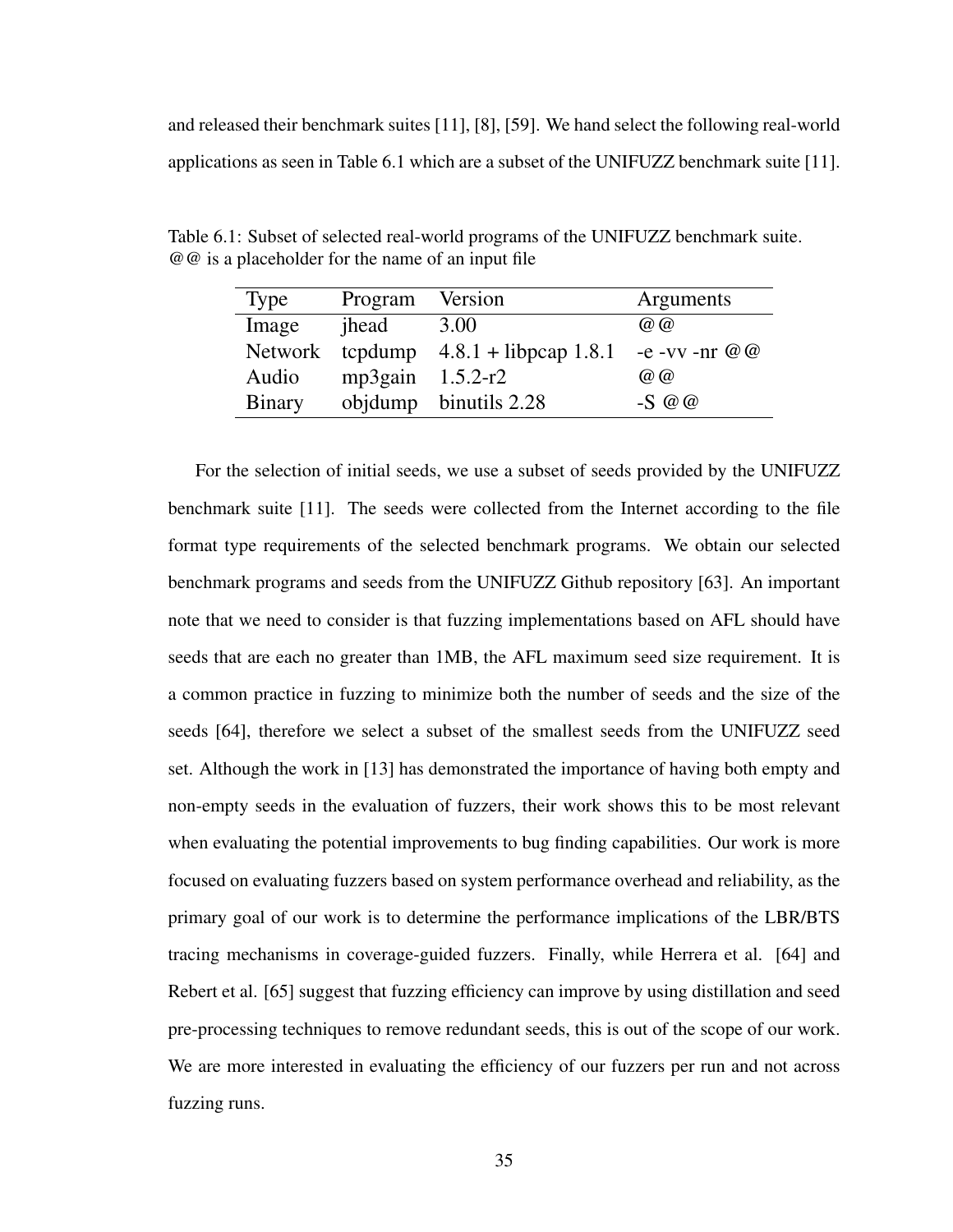and released their benchmark suites [\[11\]](#page-65-2), [\[8\]](#page-65-3), [\[59\]](#page-69-4). We hand select the following real-world applications as seen in [Table 6.1](#page-44-0) which are a subset of the UNIFUZZ benchmark suite [\[11\]](#page-65-2).

| <b>Type</b>   | Program            | Version                                 | Arguments            |
|---------------|--------------------|-----------------------------------------|----------------------|
| Image         | jhead              | 3.00                                    | $\omega$ $\omega$    |
|               |                    | Network tcpdump $4.8.1 +$ libpcap 1.8.1 | $-e$ -vv -nr $@$ $@$ |
| Audio         | mp3gain $1.5.2-r2$ |                                         | $\omega$ $\omega$    |
| <b>Binary</b> |                    | objdump binutils $2.28$                 | $-S$ @ @             |

<span id="page-44-0"></span>Table 6.1: Subset of selected real-world programs of the UNIFUZZ benchmark suite. @@ is a placeholder for the name of an input file

For the selection of initial seeds, we use a subset of seeds provided by the UNIFUZZ benchmark suite [\[11\]](#page-65-2). The seeds were collected from the Internet according to the file format type requirements of the selected benchmark programs. We obtain our selected benchmark programs and seeds from the UNIFUZZ Github repository [\[63\]](#page-70-0). An important note that we need to consider is that fuzzing implementations based on AFL should have seeds that are each no greater than 1MB, the AFL maximum seed size requirement. It is a common practice in fuzzing to minimize both the number of seeds and the size of the seeds [\[64\]](#page-70-1), therefore we select a subset of the smallest seeds from the UNIFUZZ seed set. Although the work in [\[13\]](#page-66-6) has demonstrated the importance of having both empty and non-empty seeds in the evaluation of fuzzers, their work shows this to be most relevant when evaluating the potential improvements to bug finding capabilities. Our work is more focused on evaluating fuzzers based on system performance overhead and reliability, as the primary goal of our work is to determine the performance implications of the LBR/BTS tracing mechanisms in coverage-guided fuzzers. Finally, while Herrera et al. [\[64\]](#page-70-1) and Rebert et al. [\[65\]](#page-70-2) suggest that fuzzing efficiency can improve by using distillation and seed pre-processing techniques to remove redundant seeds, this is out of the scope of our work. We are more interested in evaluating the efficiency of our fuzzers per run and not across fuzzing runs.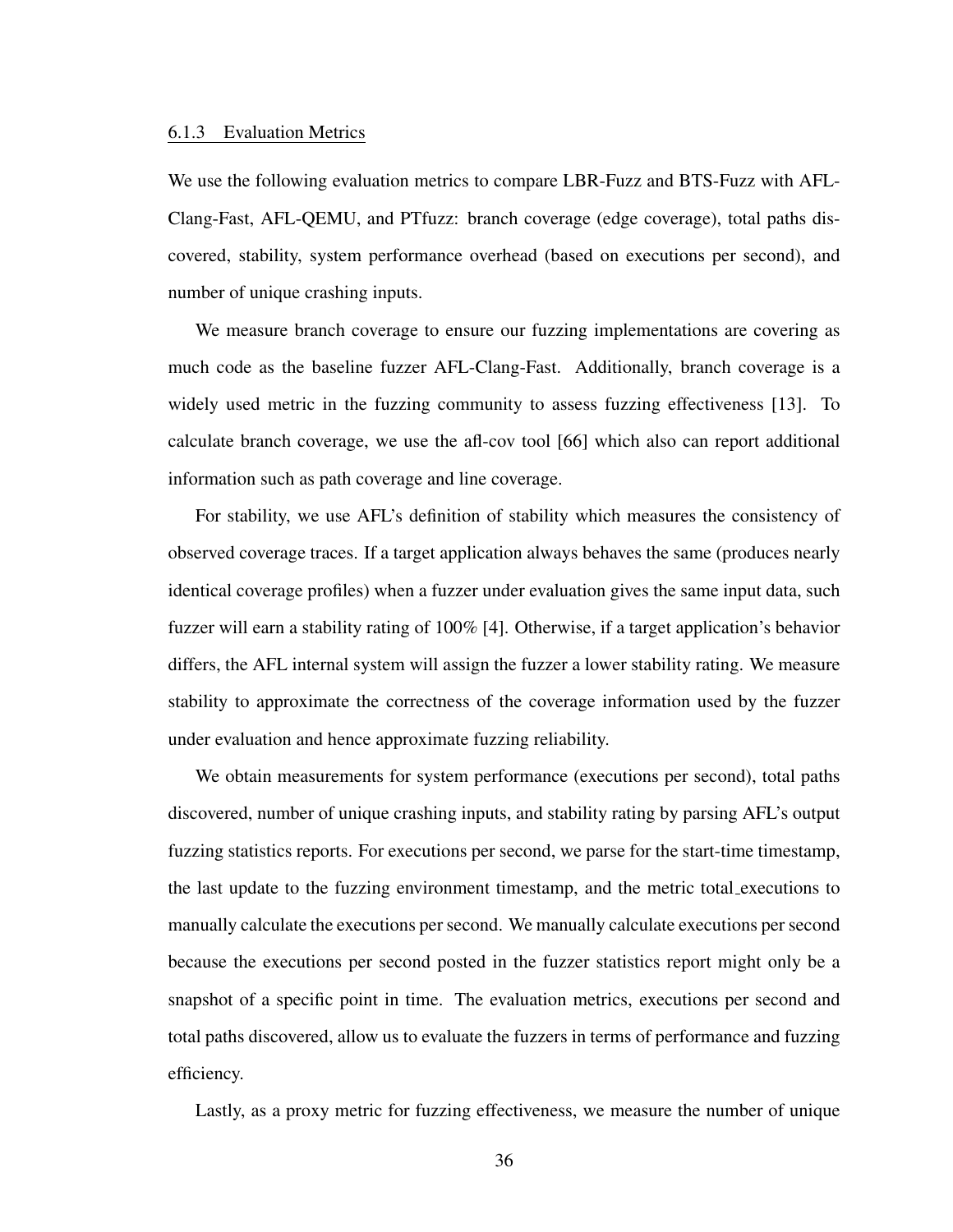#### 6.1.3 Evaluation Metrics

We use the following evaluation metrics to compare LBR-Fuzz and BTS-Fuzz with AFL-Clang-Fast, AFL-QEMU, and PTfuzz: branch coverage (edge coverage), total paths discovered, stability, system performance overhead (based on executions per second), and number of unique crashing inputs.

We measure branch coverage to ensure our fuzzing implementations are covering as much code as the baseline fuzzer AFL-Clang-Fast. Additionally, branch coverage is a widely used metric in the fuzzing community to assess fuzzing effectiveness [\[13\]](#page-66-6). To calculate branch coverage, we use the afl-cov tool [\[66\]](#page-70-3) which also can report additional information such as path coverage and line coverage.

For stability, we use AFL's definition of stability which measures the consistency of observed coverage traces. If a target application always behaves the same (produces nearly identical coverage profiles) when a fuzzer under evaluation gives the same input data, such fuzzer will earn a stability rating of 100% [\[4\]](#page-65-0). Otherwise, if a target application's behavior differs, the AFL internal system will assign the fuzzer a lower stability rating. We measure stability to approximate the correctness of the coverage information used by the fuzzer under evaluation and hence approximate fuzzing reliability.

We obtain measurements for system performance (executions per second), total paths discovered, number of unique crashing inputs, and stability rating by parsing AFL's output fuzzing statistics reports. For executions per second, we parse for the start-time timestamp, the last update to the fuzzing environment timestamp, and the metric total executions to manually calculate the executions per second. We manually calculate executions per second because the executions per second posted in the fuzzer statistics report might only be a snapshot of a specific point in time. The evaluation metrics, executions per second and total paths discovered, allow us to evaluate the fuzzers in terms of performance and fuzzing efficiency.

Lastly, as a proxy metric for fuzzing effectiveness, we measure the number of unique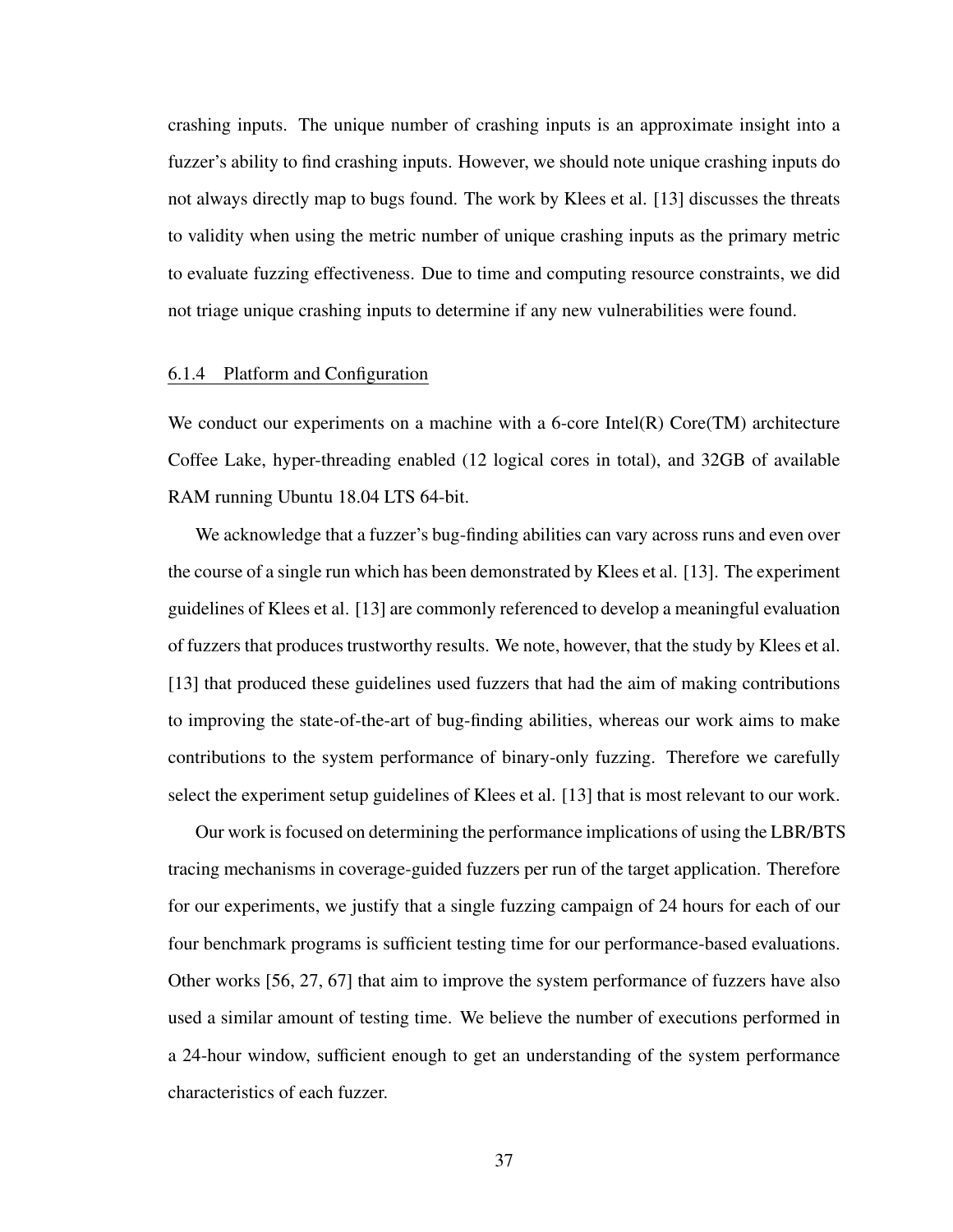crashing inputs. The unique number of crashing inputs is an approximate insight into a fuzzer's ability to find crashing inputs. However, we should note unique crashing inputs do not always directly map to bugs found. The work by Klees et al. [\[13\]](#page-66-6) discusses the threats to validity when using the metric number of unique crashing inputs as the primary metric to evaluate fuzzing effectiveness. Due to time and computing resource constraints, we did not triage unique crashing inputs to determine if any new vulnerabilities were found.

#### 6.1.4 Platform and Configuration

We conduct our experiments on a machine with a 6-core Intel(R) Core(TM) architecture Coffee Lake, hyper-threading enabled (12 logical cores in total), and 32GB of available RAM running Ubuntu 18.04 LTS 64-bit.

We acknowledge that a fuzzer's bug-finding abilities can vary across runs and even over the course of a single run which has been demonstrated by Klees et al. [\[13\]](#page-66-6). The experiment guidelines of Klees et al. [\[13\]](#page-66-6) are commonly referenced to develop a meaningful evaluation of fuzzers that produces trustworthy results. We note, however, that the study by Klees et al. [\[13\]](#page-66-6) that produced these guidelines used fuzzers that had the aim of making contributions to improving the state-of-the-art of bug-finding abilities, whereas our work aims to make contributions to the system performance of binary-only fuzzing. Therefore we carefully select the experiment setup guidelines of Klees et al. [\[13\]](#page-66-6) that is most relevant to our work.

Our work is focused on determining the performance implications of using the LBR/BTS tracing mechanisms in coverage-guided fuzzers per run of the target application. Therefore for our experiments, we justify that a single fuzzing campaign of 24 hours for each of our four benchmark programs is sufficient testing time for our performance-based evaluations. Other works [\[56,](#page-69-2) [27,](#page-67-2) [67\]](#page-70-4) that aim to improve the system performance of fuzzers have also used a similar amount of testing time. We believe the number of executions performed in a 24-hour window, sufficient enough to get an understanding of the system performance characteristics of each fuzzer.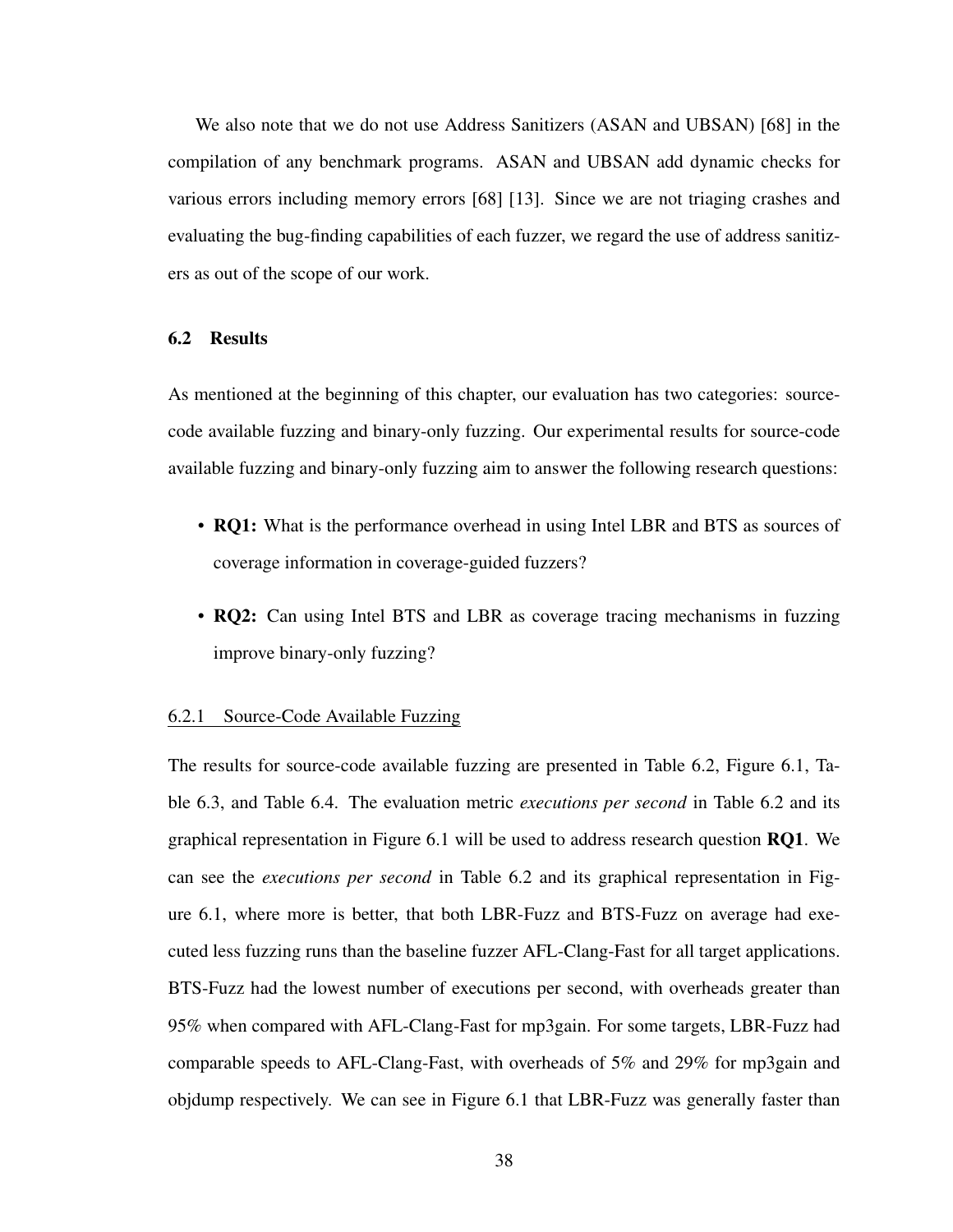We also note that we do not use Address Sanitizers (ASAN and UBSAN) [\[68\]](#page-70-5) in the compilation of any benchmark programs. ASAN and UBSAN add dynamic checks for various errors including memory errors [\[68\]](#page-70-5) [\[13\]](#page-66-6). Since we are not triaging crashes and evaluating the bug-finding capabilities of each fuzzer, we regard the use of address sanitizers as out of the scope of our work.

## <span id="page-47-1"></span>6.2 Results

As mentioned at the beginning of this chapter, our evaluation has two categories: sourcecode available fuzzing and binary-only fuzzing. Our experimental results for source-code available fuzzing and binary-only fuzzing aim to answer the following research questions:

- RQ1: What is the performance overhead in using Intel LBR and BTS as sources of coverage information in coverage-guided fuzzers?
- RQ2: Can using Intel BTS and LBR as coverage tracing mechanisms in fuzzing improve binary-only fuzzing?

### <span id="page-47-0"></span>6.2.1 Source-Code Available Fuzzing

The results for source-code available fuzzing are presented in [Table 6.2,](#page-48-0) [Figure 6.1,](#page-48-1) [Ta](#page-49-0)[ble 6.3,](#page-49-0) and [Table 6.4.](#page-49-1) The evaluation metric *executions per second* in [Table 6.2](#page-48-0) and its graphical representation in [Figure 6.1](#page-48-1) will be used to address research question RQ1. We can see the *executions per second* in [Table 6.2](#page-48-0) and its graphical representation in [Fig](#page-48-1)[ure 6.1,](#page-48-1) where more is better, that both LBR-Fuzz and BTS-Fuzz on average had executed less fuzzing runs than the baseline fuzzer AFL-Clang-Fast for all target applications. BTS-Fuzz had the lowest number of executions per second, with overheads greater than 95% when compared with AFL-Clang-Fast for mp3gain. For some targets, LBR-Fuzz had comparable speeds to AFL-Clang-Fast, with overheads of 5% and 29% for mp3gain and objdump respectively. We can see in [Figure 6.1](#page-48-1) that LBR-Fuzz was generally faster than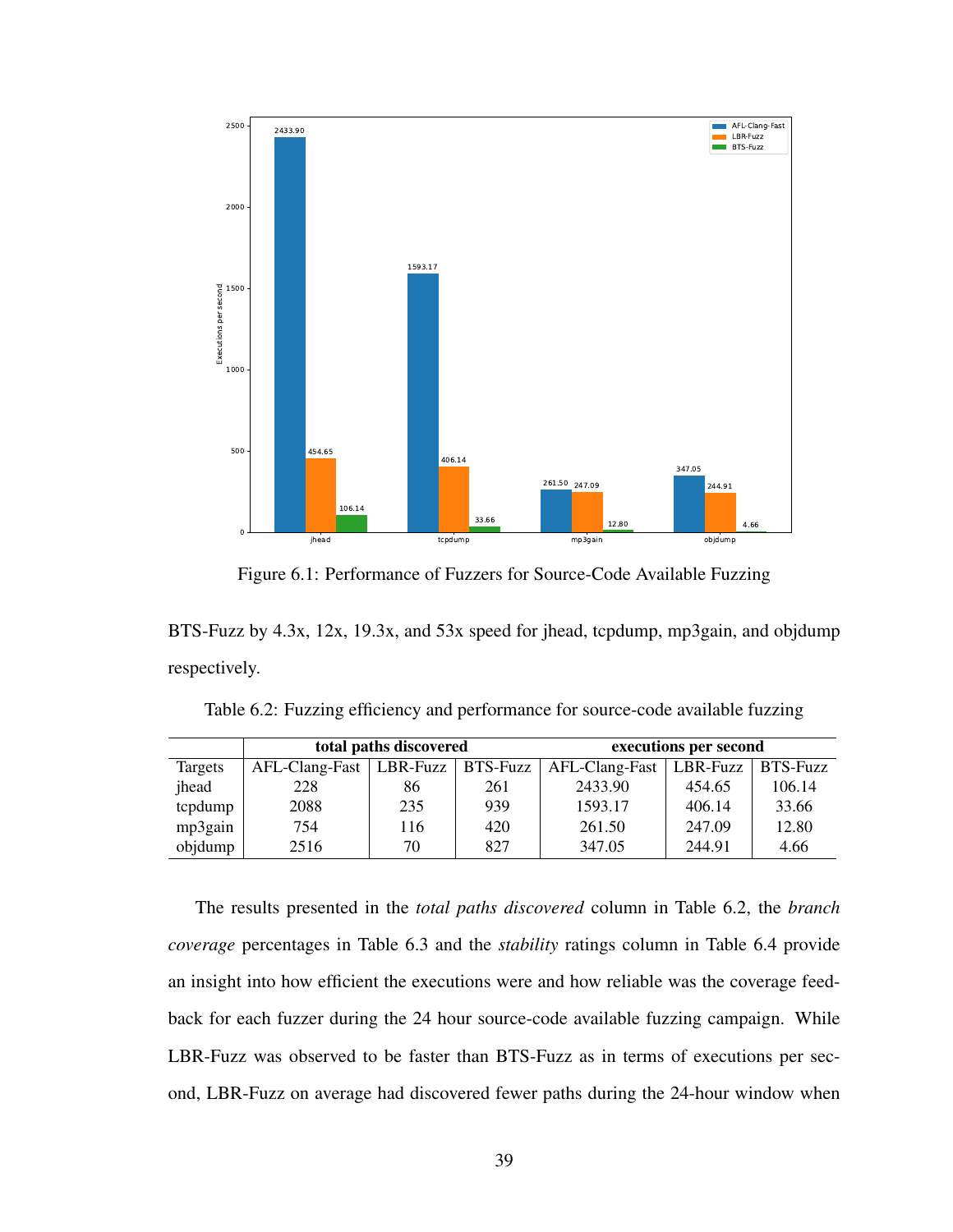<span id="page-48-1"></span>

Figure 6.1: Performance of Fuzzers for Source-Code Available Fuzzing

BTS-Fuzz by 4.3x, 12x, 19.3x, and 53x speed for jhead, tcpdump, mp3gain, and objdump respectively.

|         |                  | total paths discovered |     | executions per second |                     |        |  |
|---------|------------------|------------------------|-----|-----------------------|---------------------|--------|--|
| Targets | $AFL-Clang-Fast$ | LBR-Fuzz   BTS-Fuzz    |     | AFL-Clang-Fast        | LBR-Fuzz   BTS-Fuzz |        |  |
| jhead   | 228              | 86                     | 261 | 2433.90               | 454.65              | 106.14 |  |
| tcpdump | 2088             | 235                    | 939 | 1593.17               | 406.14              | 33.66  |  |
| mp3gain | 754              | 116                    | 420 | 261.50                | 247.09              | 12.80  |  |
| objdump | 2516             | 70                     | 827 | 347.05                | 244.91              | 4.66   |  |

<span id="page-48-0"></span>Table 6.2: Fuzzing efficiency and performance for source-code available fuzzing

The results presented in the *total paths discovered* column in [Table 6.2,](#page-48-0) the *branch coverage* percentages in [Table 6.3](#page-49-0) and the *stability* ratings column in [Table 6.4](#page-49-1) provide an insight into how efficient the executions were and how reliable was the coverage feedback for each fuzzer during the 24 hour source-code available fuzzing campaign. While LBR-Fuzz was observed to be faster than BTS-Fuzz as in terms of executions per second, LBR-Fuzz on average had discovered fewer paths during the 24-hour window when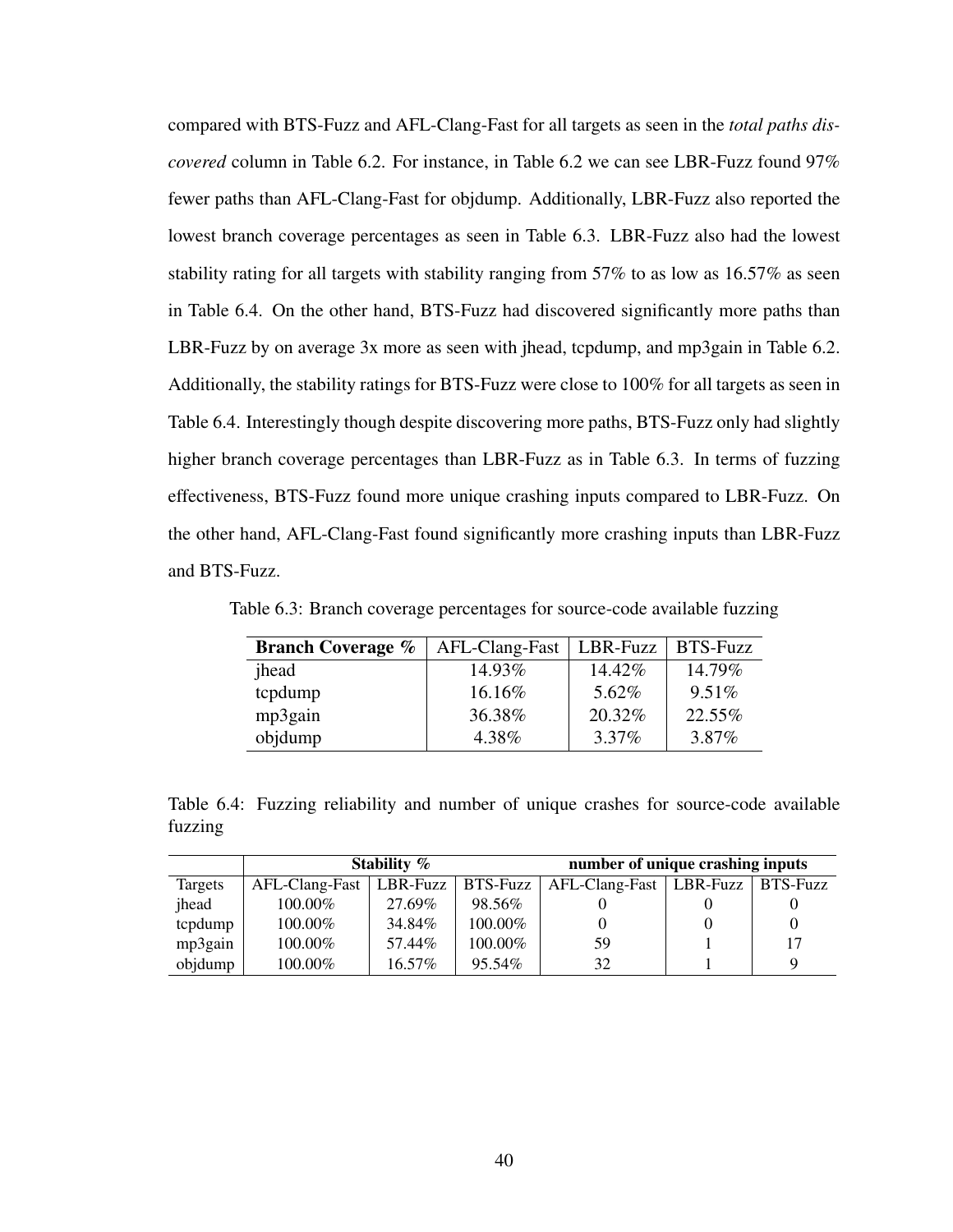compared with BTS-Fuzz and AFL-Clang-Fast for all targets as seen in the *total paths discovered* column in [Table 6.2.](#page-48-0) For instance, in [Table 6.2](#page-48-0) we can see LBR-Fuzz found 97% fewer paths than AFL-Clang-Fast for objdump. Additionally, LBR-Fuzz also reported the lowest branch coverage percentages as seen in [Table 6.3.](#page-49-0) LBR-Fuzz also had the lowest stability rating for all targets with stability ranging from 57% to as low as 16.57% as seen in [Table 6.4.](#page-49-1) On the other hand, BTS-Fuzz had discovered significantly more paths than LBR-Fuzz by on average 3x more as seen with jhead, tcpdump, and mp3gain in [Table 6.2.](#page-48-0) Additionally, the stability ratings for BTS-Fuzz were close to 100% for all targets as seen in [Table 6.4.](#page-49-1) Interestingly though despite discovering more paths, BTS-Fuzz only had slightly higher branch coverage percentages than LBR-Fuzz as in [Table 6.3.](#page-49-0) In terms of fuzzing effectiveness, BTS-Fuzz found more unique crashing inputs compared to LBR-Fuzz. On the other hand, AFL-Clang-Fast found significantly more crashing inputs than LBR-Fuzz and BTS-Fuzz.

<span id="page-49-0"></span>Table 6.3: Branch coverage percentages for source-code available fuzzing

| <b>Branch Coverage %</b> | AFL-Clang-Fast | LBR-Fuzz | <b>BTS-Fuzz</b> |
|--------------------------|----------------|----------|-----------------|
| jhead                    | 14.93%         | 14.42%   | 14.79%          |
| tcpdump                  | 16.16%         | 5.62%    | $9.51\%$        |
| mp3gain                  | 36.38%         | 20.32%   | 22.55%          |
| objdump                  | 4.38%          | 3.37%    | 3.87%           |

<span id="page-49-1"></span>Table 6.4: Fuzzing reliability and number of unique crashes for source-code available fuzzing

|         |                             | Stability % |            | number of unique crashing inputs |                     |    |  |
|---------|-----------------------------|-------------|------------|----------------------------------|---------------------|----|--|
| Targets | $AFL-Clang-Fast   LBR-Fuzz$ |             | $BTS-Fuzz$ | AFL-Clang-Fast                   | LBR-Fuzz   BTS-Fuzz |    |  |
| jhead   | $100.00\%$                  | 27.69%      | 98.56%     |                                  |                     |    |  |
| tcpdump | 100.00%                     | 34.84%      | 100.00%    |                                  |                     |    |  |
| mp3gain | 100.00%                     | 57.44%      | 100.00%    | 59                               |                     | 17 |  |
| objdump | 100.00%                     | 16.57%      | 95.54%     | 32                               |                     | Q  |  |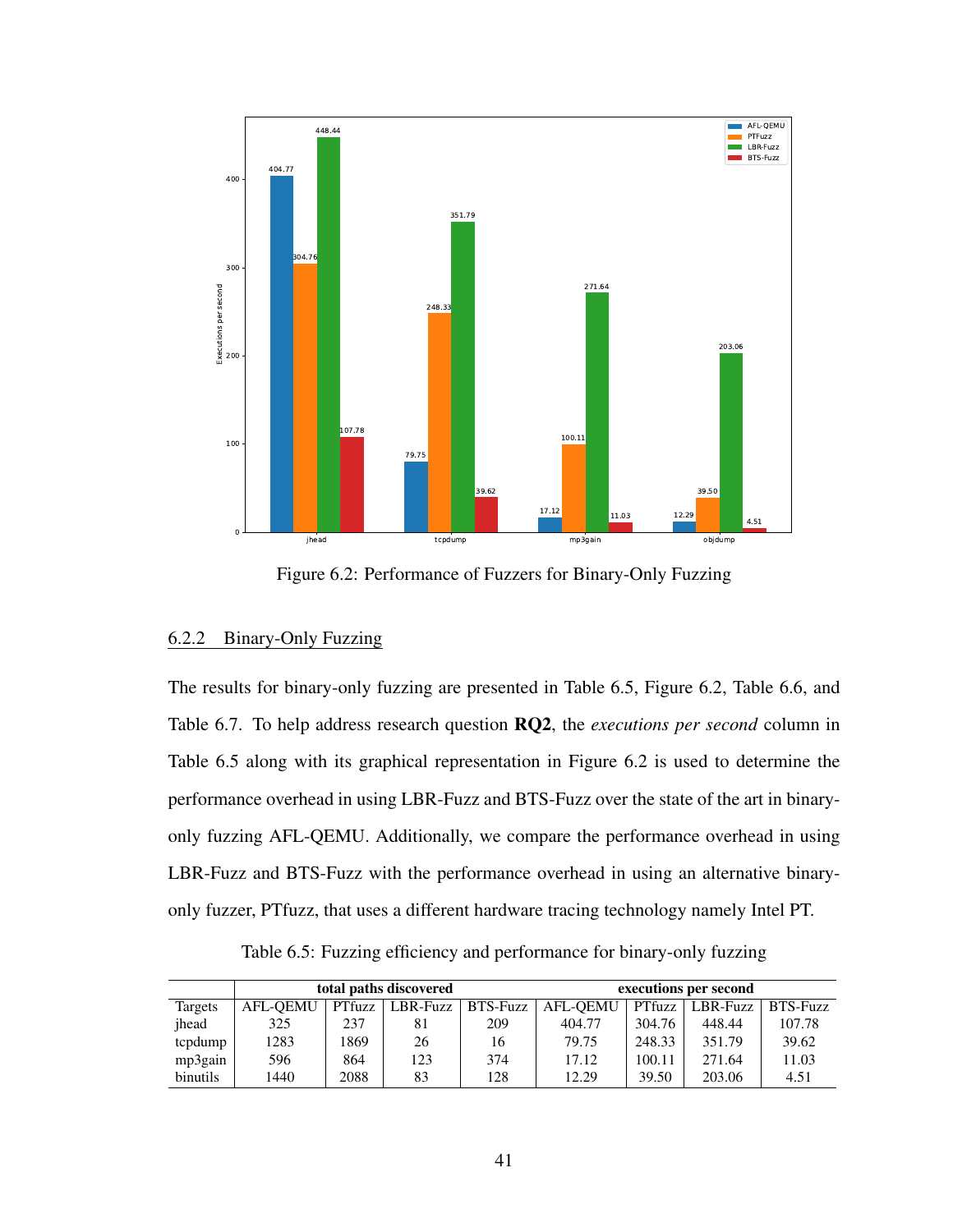<span id="page-50-1"></span>

Figure 6.2: Performance of Fuzzers for Binary-Only Fuzzing

## 6.2.2 Binary-Only Fuzzing

The results for binary-only fuzzing are presented in [Table 6.5,](#page-50-0) [Figure 6.2,](#page-50-1) [Table 6.6,](#page-51-0) and [Table 6.7.](#page-51-1) To help address research question RQ2, the *executions per second* column in [Table 6.5](#page-50-0) along with its graphical representation in [Figure 6.2](#page-50-1) is used to determine the performance overhead in using LBR-Fuzz and BTS-Fuzz over the state of the art in binaryonly fuzzing AFL-QEMU. Additionally, we compare the performance overhead in using LBR-Fuzz and BTS-Fuzz with the performance overhead in using an alternative binaryonly fuzzer, PTfuzz, that uses a different hardware tracing technology namely Intel PT.

Table 6.5: Fuzzing efficiency and performance for binary-only fuzzing

<span id="page-50-0"></span>

|          | total paths discovered |      |                   |            | executions per second |        |          |                 |
|----------|------------------------|------|-------------------|------------|-----------------------|--------|----------|-----------------|
| Targets  | <b>AFL-OEMU</b>        |      | PTfuzz   LBR-Fuzz | $BTS-Fuzz$ | AFL-OEMU              | PTfuzz | LBR-Fuzz | <b>BTS-Fuzz</b> |
| ihead    | 325                    | 237  | 81                | 209        | 404.77                | 304.76 | 448.44   | 107.78          |
| tcpdump  | 1283                   | 1869 | 26                | 16         | 79.75                 | 248.33 | 351.79   | 39.62           |
| mp3gain  | 596                    | 864  | 123               | 374        | 17.12                 | 100.11 | 271.64   | 11.03           |
| binutils | 1440                   | 2088 | 83                | 128        | 12.29                 | 39.50  | 203.06   | 4.51            |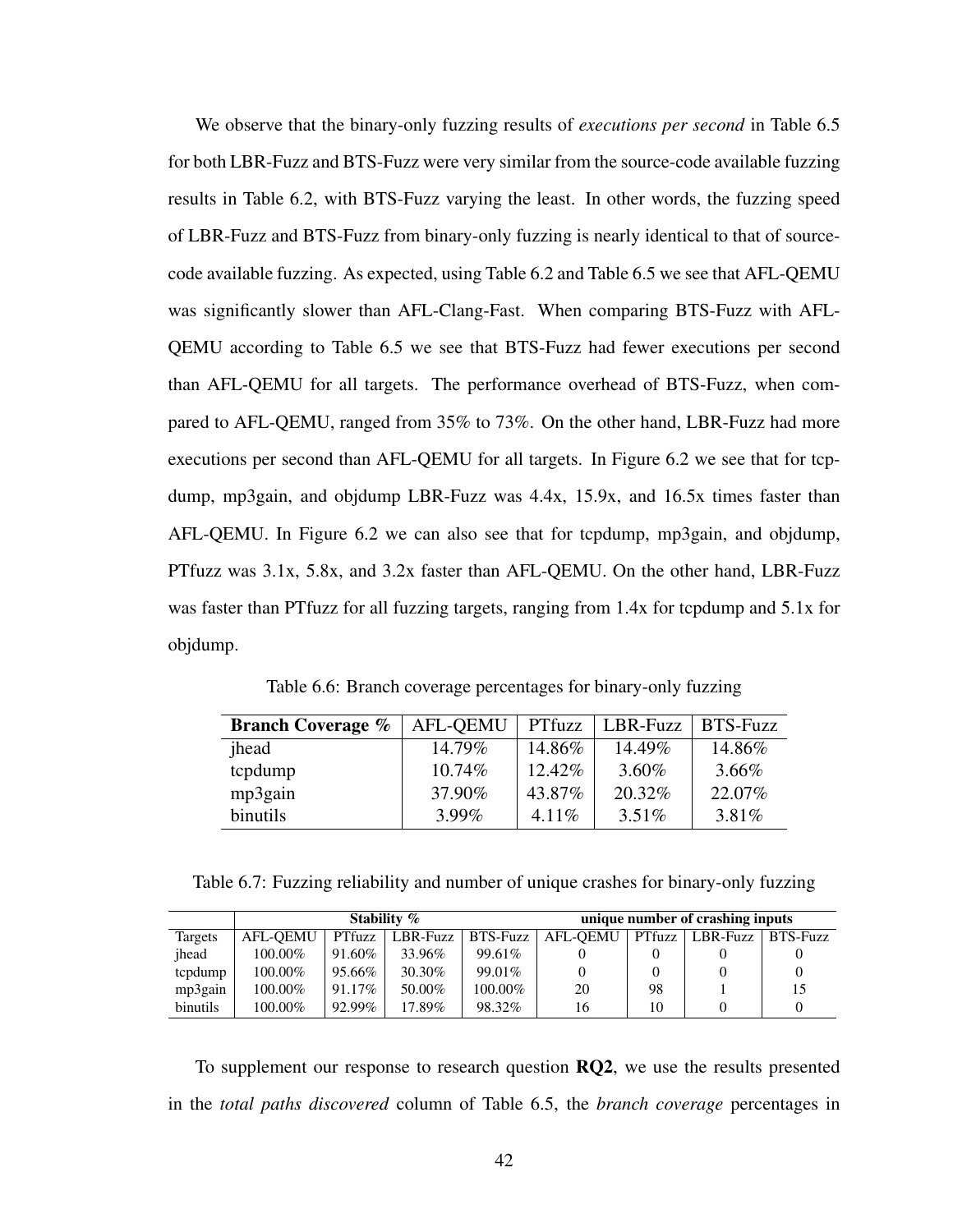We observe that the binary-only fuzzing results of *executions per second* in [Table 6.5](#page-50-0) for both LBR-Fuzz and BTS-Fuzz were very similar from the source-code available fuzzing results in [Table 6.2,](#page-48-0) with BTS-Fuzz varying the least. In other words, the fuzzing speed of LBR-Fuzz and BTS-Fuzz from binary-only fuzzing is nearly identical to that of sourcecode available fuzzing. As expected, using [Table 6.2](#page-48-0) and [Table 6.5](#page-50-0) we see that AFL-QEMU was significantly slower than AFL-Clang-Fast. When comparing BTS-Fuzz with AFL-QEMU according to [Table 6.5](#page-50-0) we see that BTS-Fuzz had fewer executions per second than AFL-QEMU for all targets. The performance overhead of BTS-Fuzz, when compared to AFL-QEMU, ranged from 35% to 73%. On the other hand, LBR-Fuzz had more executions per second than AFL-QEMU for all targets. In [Figure 6.2](#page-50-1) we see that for tcpdump, mp3gain, and objdump LBR-Fuzz was 4.4x, 15.9x, and 16.5x times faster than AFL-QEMU. In [Figure 6.2](#page-50-1) we can also see that for tcpdump, mp3gain, and objdump, PTfuzz was 3.1x, 5.8x, and 3.2x faster than AFL-QEMU. On the other hand, LBR-Fuzz was faster than PTfuzz for all fuzzing targets, ranging from 1.4x for tcpdump and 5.1x for objdump.

| Table 6.6: Branch coverage percentages for binary-only fuzzing |  |  |  |
|----------------------------------------------------------------|--|--|--|
|----------------------------------------------------------------|--|--|--|

<span id="page-51-0"></span>

| <b>Branch Coverage %</b> | <b>AFL-OEMU</b> | PTfuzz   | LBR-Fuzz | <b>BTS-Fuzz</b> |
|--------------------------|-----------------|----------|----------|-----------------|
| jhead                    | 14.79%          | 14.86%   | 14.49%   | 14.86%          |
| tcpdump                  | $10.74\%$       | 12.42\%  | 3.60%    | $3.66\%$        |
| mp3gain                  | 37.90%          | 43.87%   | 20.32%   | 22.07%          |
| binutils                 | $3.99\%$        | $4.11\%$ | 3.51%    | 3.81%           |

<span id="page-51-1"></span>Table 6.7: Fuzzing reliability and number of unique crashes for binary-only fuzzing

|                 | Stability %     |           |                   |           | unique number of crashing inputs |        |          |          |
|-----------------|-----------------|-----------|-------------------|-----------|----------------------------------|--------|----------|----------|
| Targets         | <b>AFL-OEMU</b> |           | PTfuzz   LBR-Fuzz | BTS-Fuzz  | AFL-OEMU                         | Pffuzz | LBR-Fuzz | BTS-Fuzz |
| ihead           | $100.00\%$      | 91.60%    | 33.96%            | $99.61\%$ |                                  |        |          |          |
| tcpdump         | $100.00\%$      | 95.66%    | 30.30%            | $99.01\%$ |                                  |        |          |          |
| mp3gain         | 100.00%         | $91.17\%$ | 50.00%            | 100.00%   | 20                               | 98     |          |          |
| <b>binutils</b> | 100.00%         | 92.99%    | $17.89\%$         | 98.32%    | 16                               | 10     |          |          |

To supplement our response to research question RQ2, we use the results presented in the *total paths discovered* column of [Table 6.5,](#page-50-0) the *branch coverage* percentages in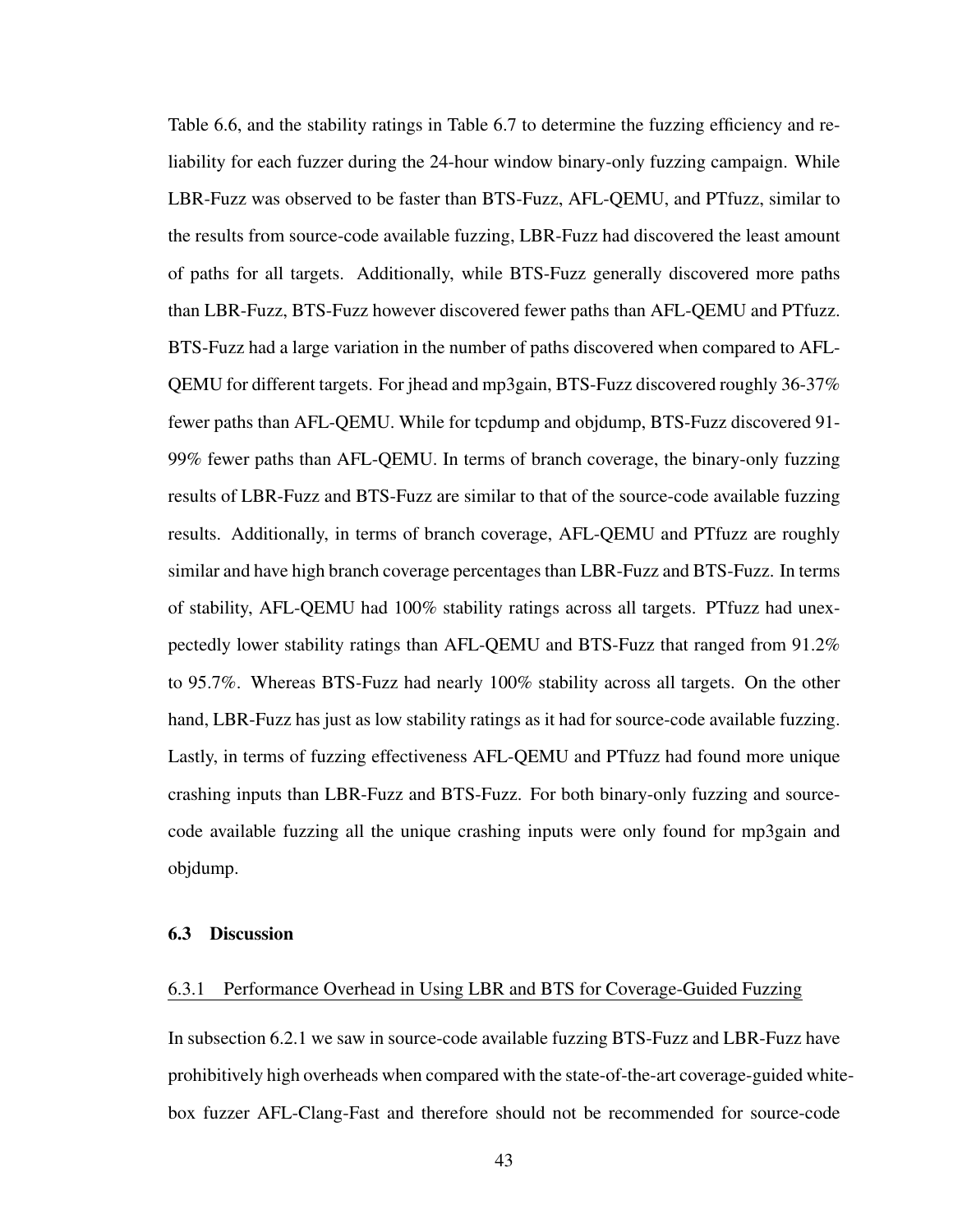[Table 6.6,](#page-51-0) and the stability ratings in [Table 6.7](#page-51-1) to determine the fuzzing efficiency and reliability for each fuzzer during the 24-hour window binary-only fuzzing campaign. While LBR-Fuzz was observed to be faster than BTS-Fuzz, AFL-QEMU, and PTfuzz, similar to the results from source-code available fuzzing, LBR-Fuzz had discovered the least amount of paths for all targets. Additionally, while BTS-Fuzz generally discovered more paths than LBR-Fuzz, BTS-Fuzz however discovered fewer paths than AFL-QEMU and PTfuzz. BTS-Fuzz had a large variation in the number of paths discovered when compared to AFL-QEMU for different targets. For jhead and mp3gain, BTS-Fuzz discovered roughly 36-37% fewer paths than AFL-QEMU. While for tcpdump and objdump, BTS-Fuzz discovered 91- 99% fewer paths than AFL-QEMU. In terms of branch coverage, the binary-only fuzzing results of LBR-Fuzz and BTS-Fuzz are similar to that of the source-code available fuzzing results. Additionally, in terms of branch coverage, AFL-QEMU and PTfuzz are roughly similar and have high branch coverage percentages than LBR-Fuzz and BTS-Fuzz. In terms of stability, AFL-QEMU had 100% stability ratings across all targets. PTfuzz had unexpectedly lower stability ratings than AFL-QEMU and BTS-Fuzz that ranged from 91.2% to 95.7%. Whereas BTS-Fuzz had nearly 100% stability across all targets. On the other hand, LBR-Fuzz has just as low stability ratings as it had for source-code available fuzzing. Lastly, in terms of fuzzing effectiveness AFL-QEMU and PTfuzz had found more unique crashing inputs than LBR-Fuzz and BTS-Fuzz. For both binary-only fuzzing and sourcecode available fuzzing all the unique crashing inputs were only found for mp3gain and objdump.

## 6.3 Discussion

#### 6.3.1 Performance Overhead in Using LBR and BTS for Coverage-Guided Fuzzing

In [subsection 6.2.1](#page-47-0) we saw in source-code available fuzzing BTS-Fuzz and LBR-Fuzz have prohibitively high overheads when compared with the state-of-the-art coverage-guided whitebox fuzzer AFL-Clang-Fast and therefore should not be recommended for source-code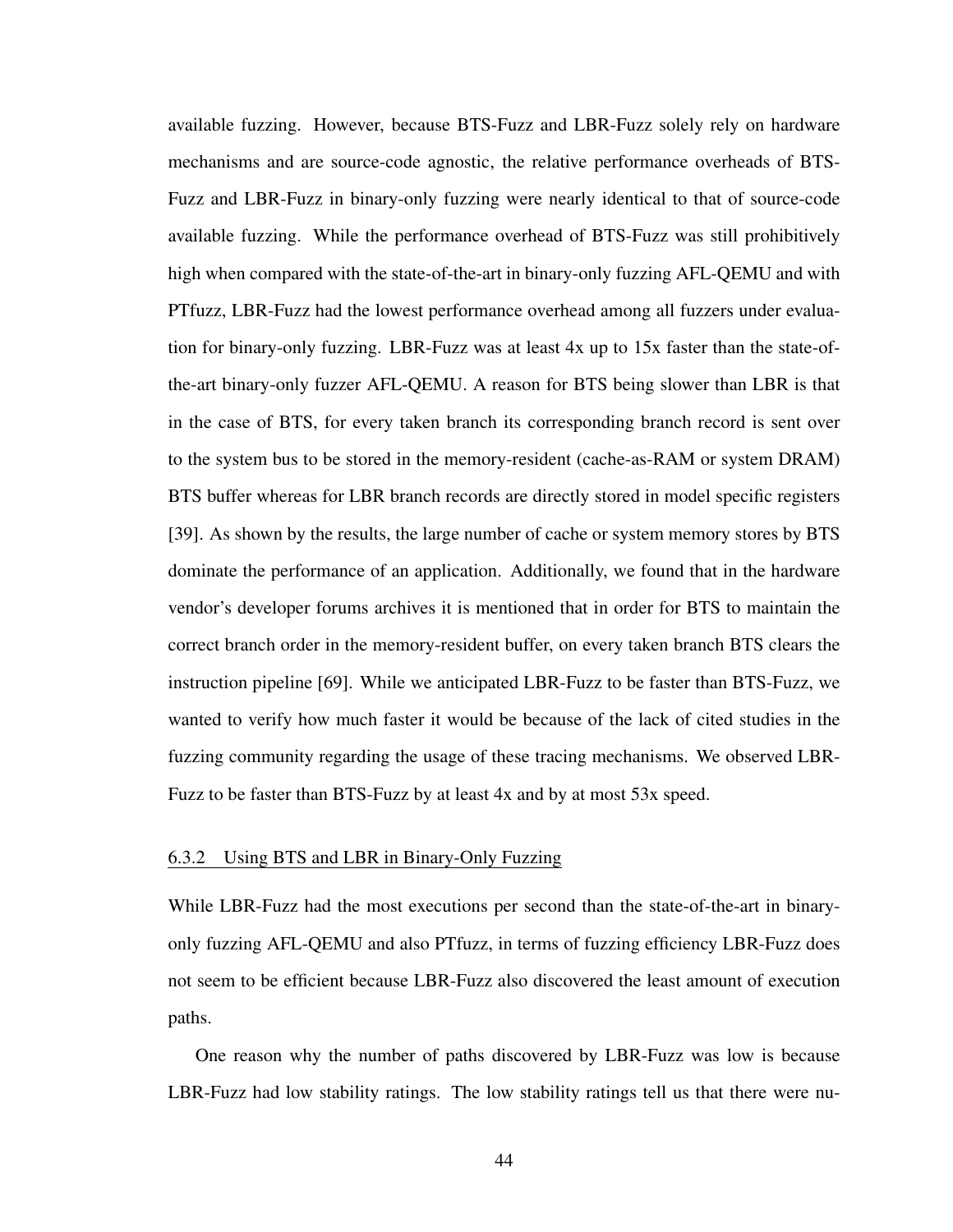available fuzzing. However, because BTS-Fuzz and LBR-Fuzz solely rely on hardware mechanisms and are source-code agnostic, the relative performance overheads of BTS-Fuzz and LBR-Fuzz in binary-only fuzzing were nearly identical to that of source-code available fuzzing. While the performance overhead of BTS-Fuzz was still prohibitively high when compared with the state-of-the-art in binary-only fuzzing AFL-QEMU and with PTfuzz, LBR-Fuzz had the lowest performance overhead among all fuzzers under evaluation for binary-only fuzzing. LBR-Fuzz was at least 4x up to 15x faster than the state-ofthe-art binary-only fuzzer AFL-QEMU. A reason for BTS being slower than LBR is that in the case of BTS, for every taken branch its corresponding branch record is sent over to the system bus to be stored in the memory-resident (cache-as-RAM or system DRAM) BTS buffer whereas for LBR branch records are directly stored in model specific registers [\[39\]](#page-68-1). As shown by the results, the large number of cache or system memory stores by BTS dominate the performance of an application. Additionally, we found that in the hardware vendor's developer forums archives it is mentioned that in order for BTS to maintain the correct branch order in the memory-resident buffer, on every taken branch BTS clears the instruction pipeline [\[69\]](#page-70-6). While we anticipated LBR-Fuzz to be faster than BTS-Fuzz, we wanted to verify how much faster it would be because of the lack of cited studies in the fuzzing community regarding the usage of these tracing mechanisms. We observed LBR-Fuzz to be faster than BTS-Fuzz by at least 4x and by at most 53x speed.

### 6.3.2 Using BTS and LBR in Binary-Only Fuzzing

While LBR-Fuzz had the most executions per second than the state-of-the-art in binaryonly fuzzing AFL-QEMU and also PTfuzz, in terms of fuzzing efficiency LBR-Fuzz does not seem to be efficient because LBR-Fuzz also discovered the least amount of execution paths.

One reason why the number of paths discovered by LBR-Fuzz was low is because LBR-Fuzz had low stability ratings. The low stability ratings tell us that there were nu-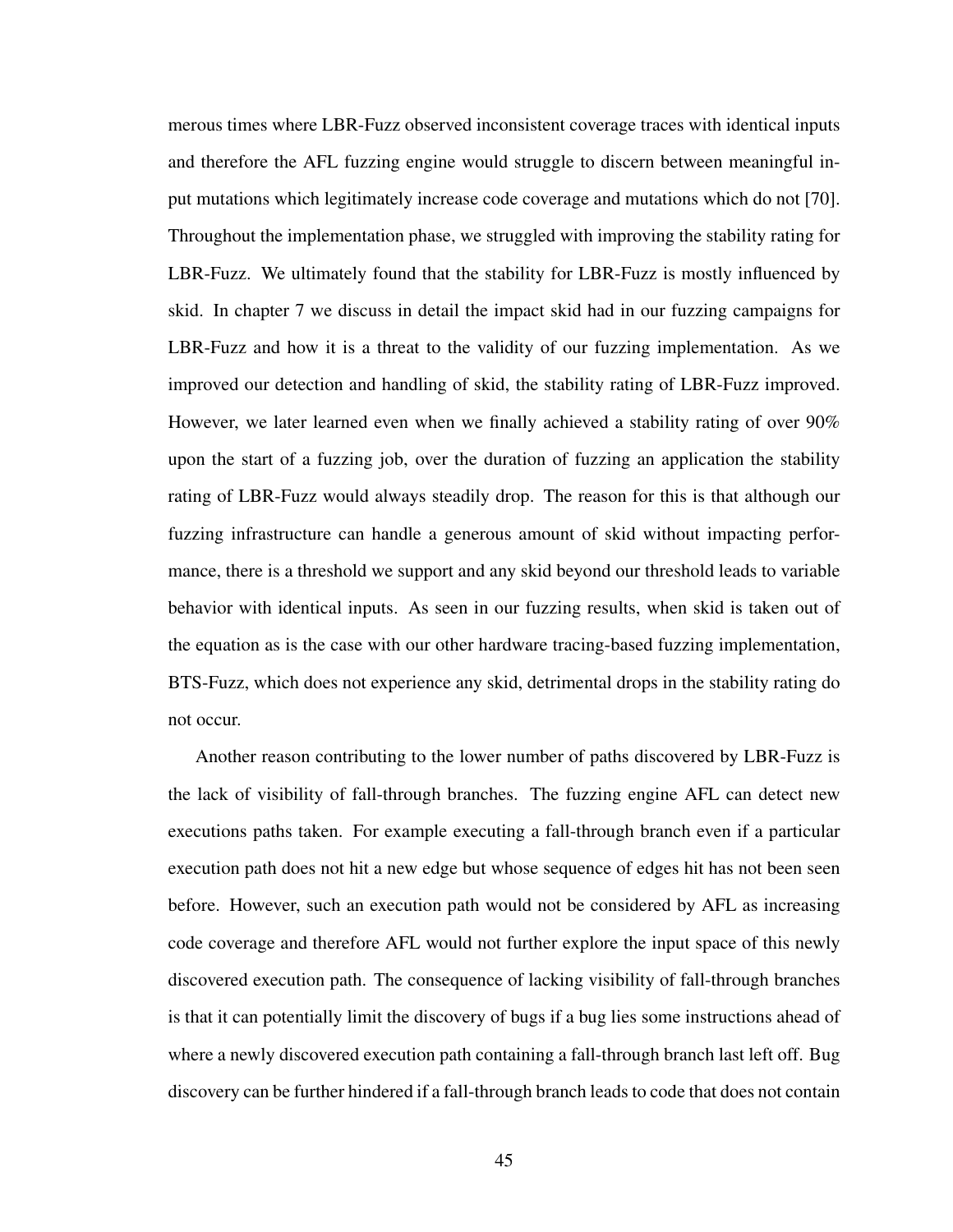merous times where LBR-Fuzz observed inconsistent coverage traces with identical inputs and therefore the AFL fuzzing engine would struggle to discern between meaningful input mutations which legitimately increase code coverage and mutations which do not [\[70\]](#page-70-7). Throughout the implementation phase, we struggled with improving the stability rating for LBR-Fuzz. We ultimately found that the stability for LBR-Fuzz is mostly influenced by skid. In [chapter 7](#page-57-0) we discuss in detail the impact skid had in our fuzzing campaigns for LBR-Fuzz and how it is a threat to the validity of our fuzzing implementation. As we improved our detection and handling of skid, the stability rating of LBR-Fuzz improved. However, we later learned even when we finally achieved a stability rating of over 90% upon the start of a fuzzing job, over the duration of fuzzing an application the stability rating of LBR-Fuzz would always steadily drop. The reason for this is that although our fuzzing infrastructure can handle a generous amount of skid without impacting performance, there is a threshold we support and any skid beyond our threshold leads to variable behavior with identical inputs. As seen in our fuzzing results, when skid is taken out of the equation as is the case with our other hardware tracing-based fuzzing implementation, BTS-Fuzz, which does not experience any skid, detrimental drops in the stability rating do not occur.

Another reason contributing to the lower number of paths discovered by LBR-Fuzz is the lack of visibility of fall-through branches. The fuzzing engine AFL can detect new executions paths taken. For example executing a fall-through branch even if a particular execution path does not hit a new edge but whose sequence of edges hit has not been seen before. However, such an execution path would not be considered by AFL as increasing code coverage and therefore AFL would not further explore the input space of this newly discovered execution path. The consequence of lacking visibility of fall-through branches is that it can potentially limit the discovery of bugs if a bug lies some instructions ahead of where a newly discovered execution path containing a fall-through branch last left off. Bug discovery can be further hindered if a fall-through branch leads to code that does not contain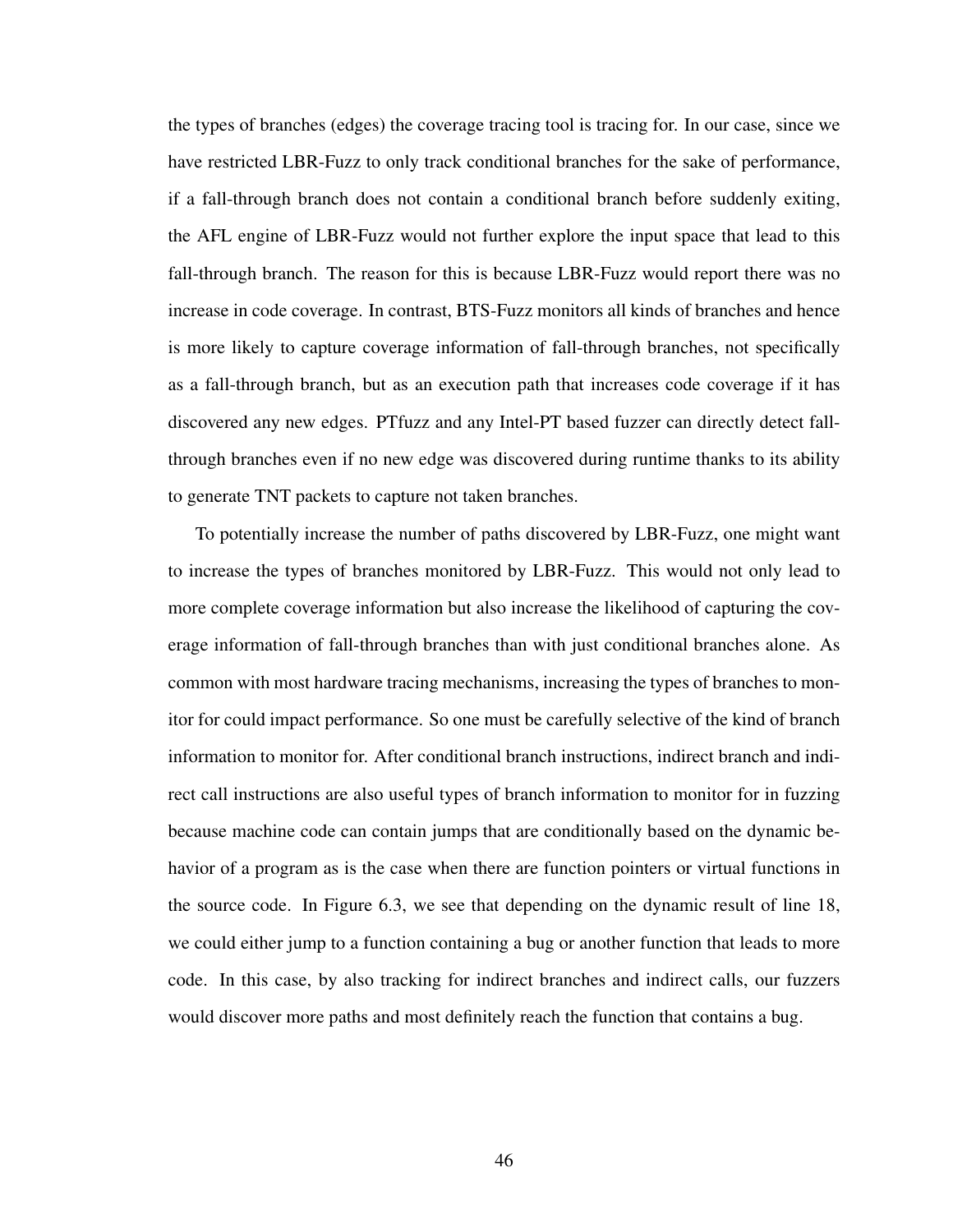the types of branches (edges) the coverage tracing tool is tracing for. In our case, since we have restricted LBR-Fuzz to only track conditional branches for the sake of performance, if a fall-through branch does not contain a conditional branch before suddenly exiting, the AFL engine of LBR-Fuzz would not further explore the input space that lead to this fall-through branch. The reason for this is because LBR-Fuzz would report there was no increase in code coverage. In contrast, BTS-Fuzz monitors all kinds of branches and hence is more likely to capture coverage information of fall-through branches, not specifically as a fall-through branch, but as an execution path that increases code coverage if it has discovered any new edges. PTfuzz and any Intel-PT based fuzzer can directly detect fallthrough branches even if no new edge was discovered during runtime thanks to its ability to generate TNT packets to capture not taken branches.

To potentially increase the number of paths discovered by LBR-Fuzz, one might want to increase the types of branches monitored by LBR-Fuzz. This would not only lead to more complete coverage information but also increase the likelihood of capturing the coverage information of fall-through branches than with just conditional branches alone. As common with most hardware tracing mechanisms, increasing the types of branches to monitor for could impact performance. So one must be carefully selective of the kind of branch information to monitor for. After conditional branch instructions, indirect branch and indirect call instructions are also useful types of branch information to monitor for in fuzzing because machine code can contain jumps that are conditionally based on the dynamic behavior of a program as is the case when there are function pointers or virtual functions in the source code. In [Figure 6.3,](#page-56-0) we see that depending on the dynamic result of line 18, we could either jump to a function containing a bug or another function that leads to more code. In this case, by also tracking for indirect branches and indirect calls, our fuzzers would discover more paths and most definitely reach the function that contains a bug.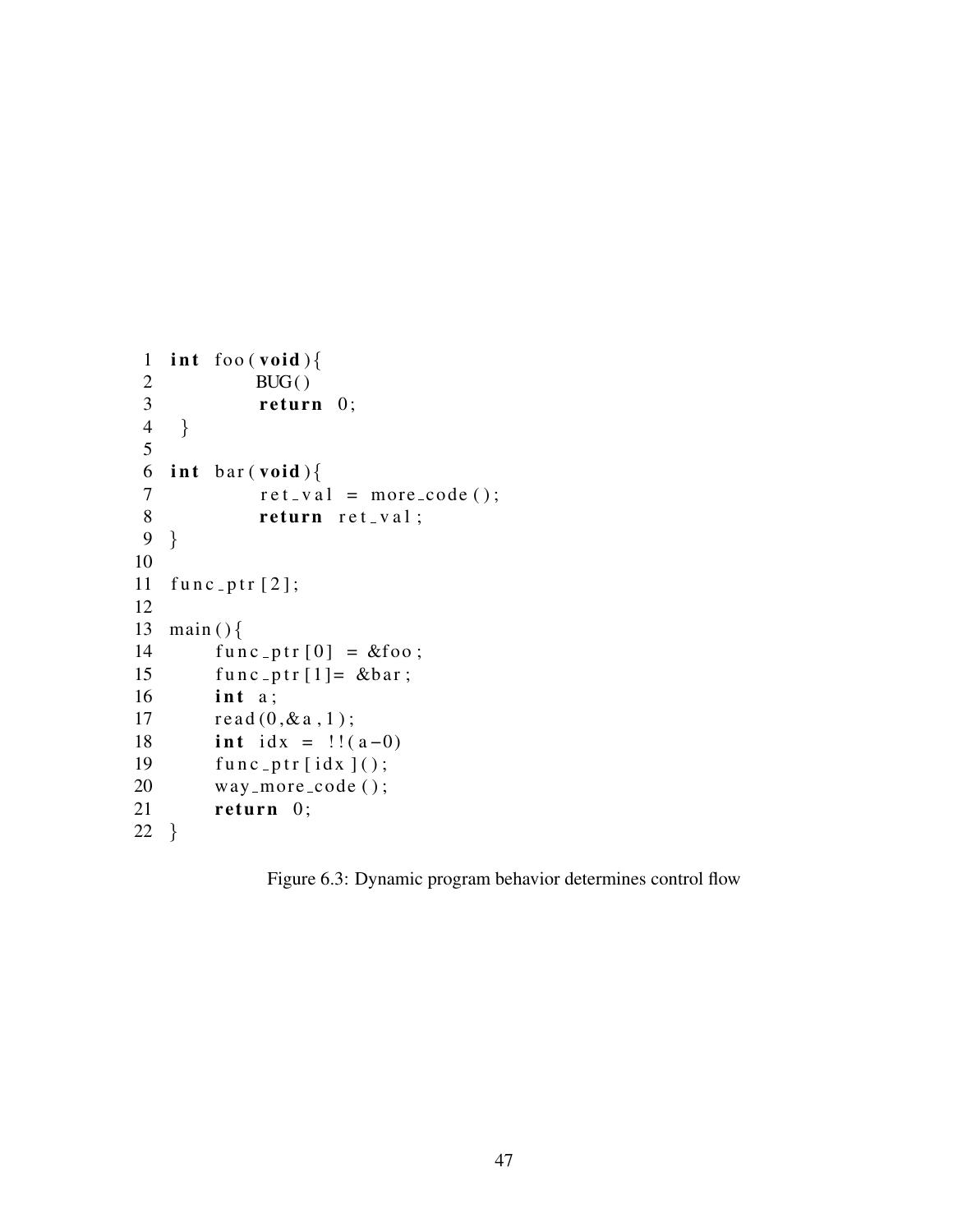```
1 int foo (void)\{2 \qquad \qquad \text{BUG}()\left\{\n \begin{array}{ccc}\n 3 & \text{return } 0; \\
 4 & \end{array}\n \right\}\}5
6 int bar(void)\{7 r e t v a l = m o re c o de ( ) ;
 8 return ret_val;
9 }
10
11 func-ptr[2];
12
13 main (\}14 func_ptr[0] = &foo;
15 func_ptr[1] = \&\bar{b}16 int a;
17 \text{read}(0, \& \text{a}, 1);18 int idx = \frac{1}{(a-0)}19 func\_ptr[idx]();20 way_more_code();
21 return 0;
22 }
```
Figure 6.3: Dynamic program behavior determines control flow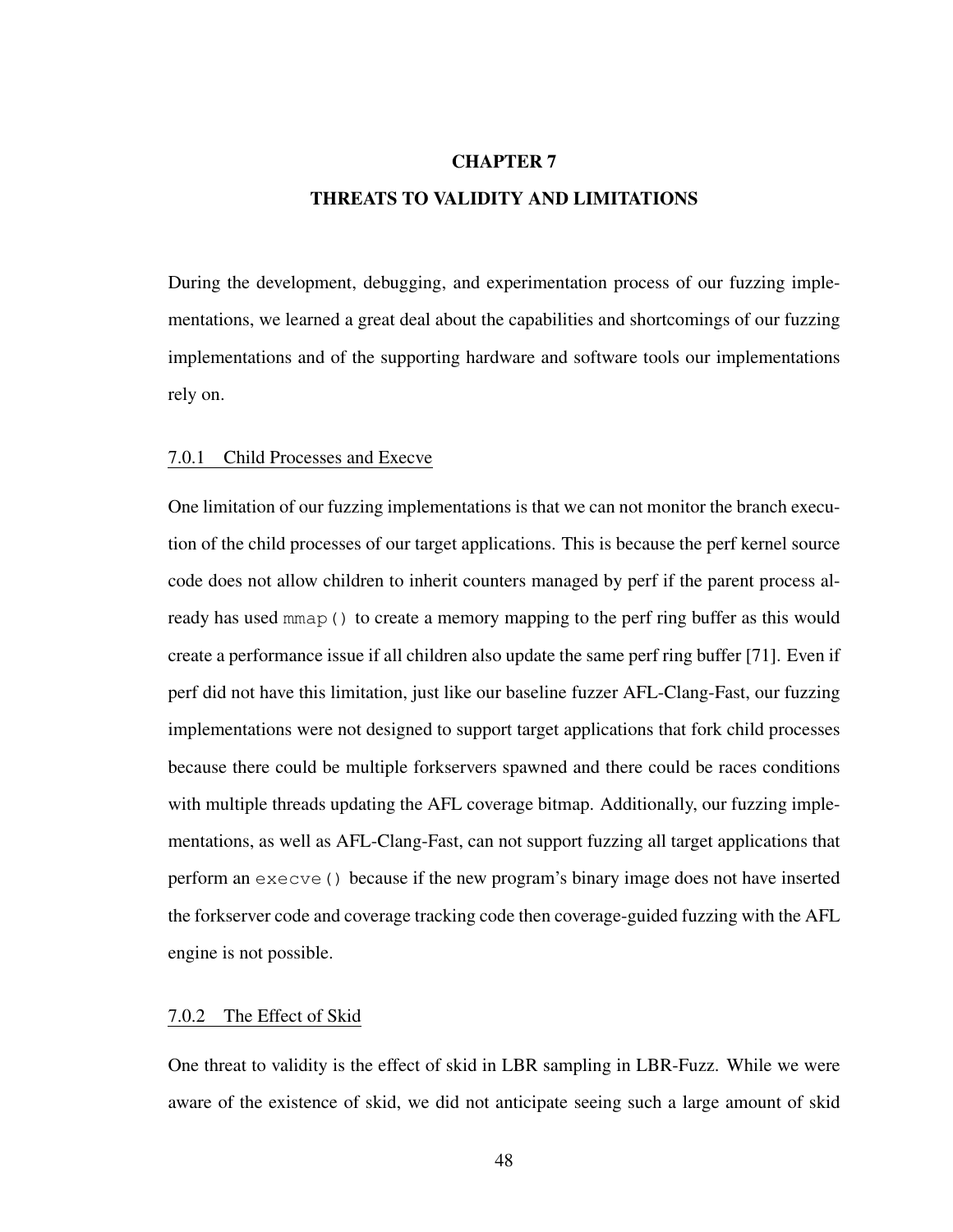## <span id="page-57-0"></span>CHAPTER 7 THREATS TO VALIDITY AND LIMITATIONS

During the development, debugging, and experimentation process of our fuzzing implementations, we learned a great deal about the capabilities and shortcomings of our fuzzing implementations and of the supporting hardware and software tools our implementations rely on.

### 7.0.1 Child Processes and Execve

One limitation of our fuzzing implementations is that we can not monitor the branch execution of the child processes of our target applications. This is because the perf kernel source code does not allow children to inherit counters managed by perf if the parent process already has used mmap () to create a memory mapping to the perf ring buffer as this would create a performance issue if all children also update the same perf ring buffer [\[71\]](#page-70-8). Even if perf did not have this limitation, just like our baseline fuzzer AFL-Clang-Fast, our fuzzing implementations were not designed to support target applications that fork child processes because there could be multiple forkservers spawned and there could be races conditions with multiple threads updating the AFL coverage bitmap. Additionally, our fuzzing implementations, as well as AFL-Clang-Fast, can not support fuzzing all target applications that perform an execve() because if the new program's binary image does not have inserted the forkserver code and coverage tracking code then coverage-guided fuzzing with the AFL engine is not possible.

### 7.0.2 The Effect of Skid

One threat to validity is the effect of skid in LBR sampling in LBR-Fuzz. While we were aware of the existence of skid, we did not anticipate seeing such a large amount of skid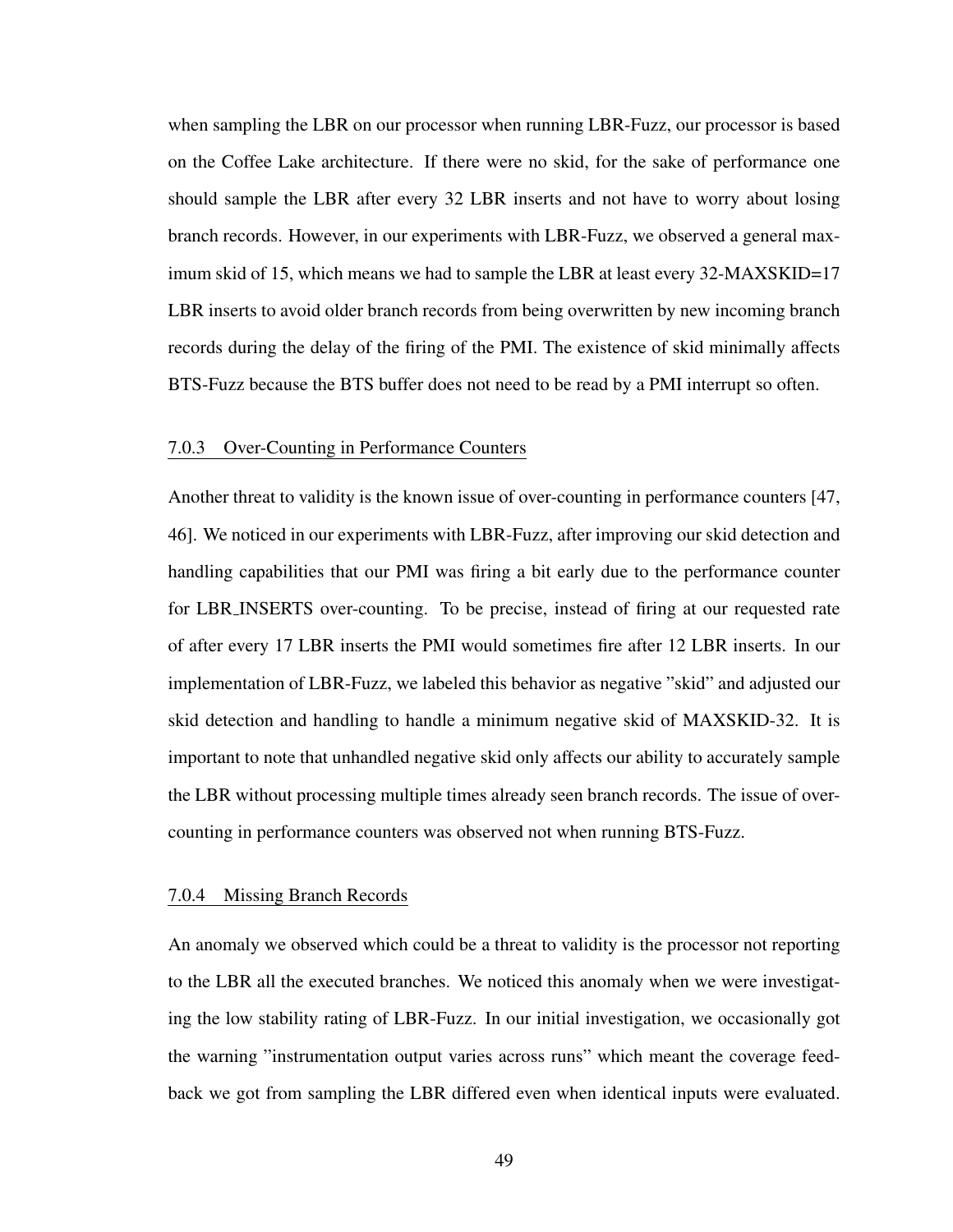when sampling the LBR on our processor when running LBR-Fuzz, our processor is based on the Coffee Lake architecture. If there were no skid, for the sake of performance one should sample the LBR after every 32 LBR inserts and not have to worry about losing branch records. However, in our experiments with LBR-Fuzz, we observed a general maximum skid of 15, which means we had to sample the LBR at least every 32-MAXSKID=17 LBR inserts to avoid older branch records from being overwritten by new incoming branch records during the delay of the firing of the PMI. The existence of skid minimally affects BTS-Fuzz because the BTS buffer does not need to be read by a PMI interrupt so often.

### 7.0.3 Over-Counting in Performance Counters

Another threat to validity is the known issue of over-counting in performance counters [\[47,](#page-68-2) [46\]](#page-68-3). We noticed in our experiments with LBR-Fuzz, after improving our skid detection and handling capabilities that our PMI was firing a bit early due to the performance counter for LBR INSERTS over-counting. To be precise, instead of firing at our requested rate of after every 17 LBR inserts the PMI would sometimes fire after 12 LBR inserts. In our implementation of LBR-Fuzz, we labeled this behavior as negative "skid" and adjusted our skid detection and handling to handle a minimum negative skid of MAXSKID-32. It is important to note that unhandled negative skid only affects our ability to accurately sample the LBR without processing multiple times already seen branch records. The issue of overcounting in performance counters was observed not when running BTS-Fuzz.

### 7.0.4 Missing Branch Records

An anomaly we observed which could be a threat to validity is the processor not reporting to the LBR all the executed branches. We noticed this anomaly when we were investigating the low stability rating of LBR-Fuzz. In our initial investigation, we occasionally got the warning "instrumentation output varies across runs" which meant the coverage feedback we got from sampling the LBR differed even when identical inputs were evaluated.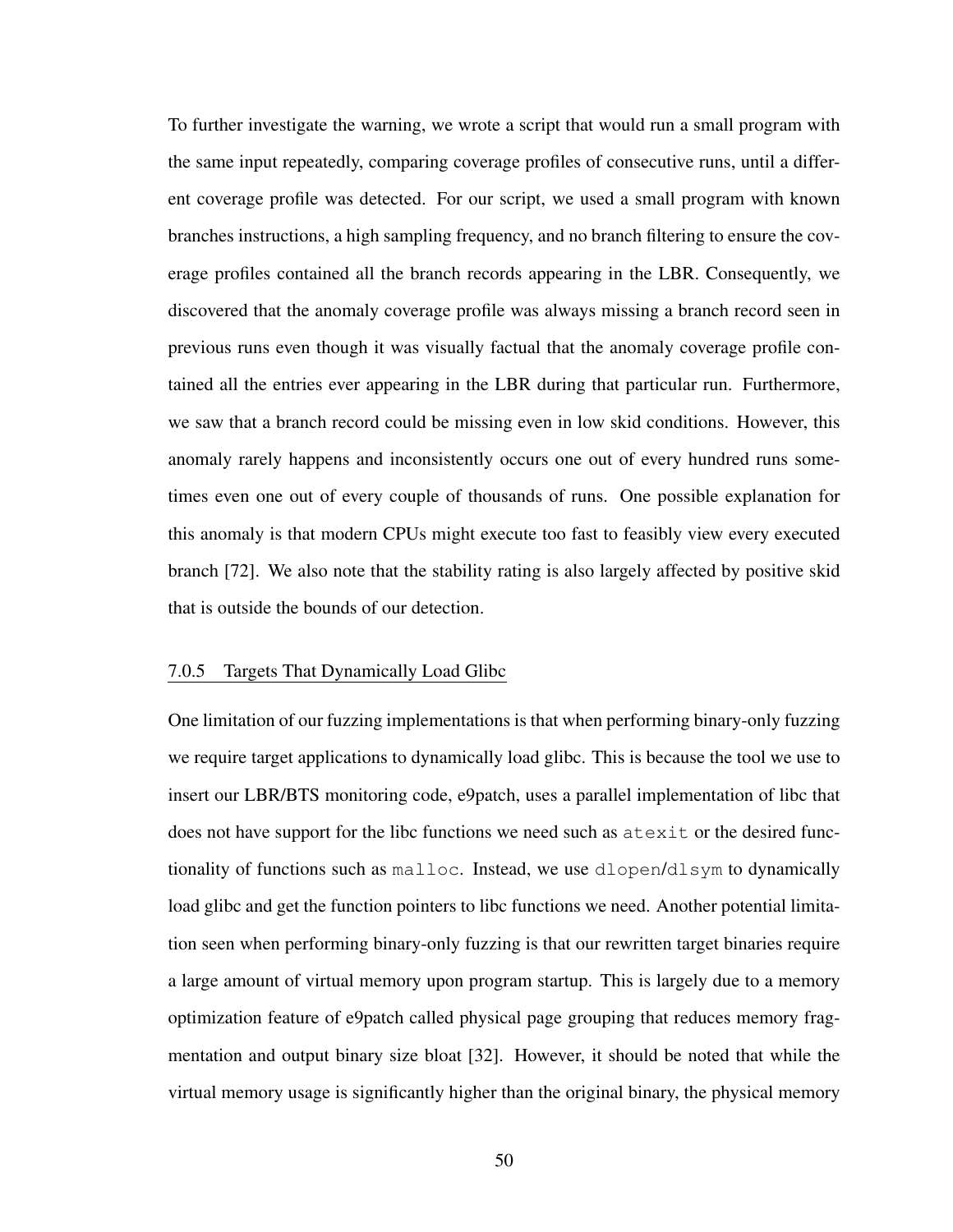To further investigate the warning, we wrote a script that would run a small program with the same input repeatedly, comparing coverage profiles of consecutive runs, until a different coverage profile was detected. For our script, we used a small program with known branches instructions, a high sampling frequency, and no branch filtering to ensure the coverage profiles contained all the branch records appearing in the LBR. Consequently, we discovered that the anomaly coverage profile was always missing a branch record seen in previous runs even though it was visually factual that the anomaly coverage profile contained all the entries ever appearing in the LBR during that particular run. Furthermore, we saw that a branch record could be missing even in low skid conditions. However, this anomaly rarely happens and inconsistently occurs one out of every hundred runs sometimes even one out of every couple of thousands of runs. One possible explanation for this anomaly is that modern CPUs might execute too fast to feasibly view every executed branch [\[72\]](#page-70-9). We also note that the stability rating is also largely affected by positive skid that is outside the bounds of our detection.

## 7.0.5 Targets That Dynamically Load Glibc

One limitation of our fuzzing implementations is that when performing binary-only fuzzing we require target applications to dynamically load glibc. This is because the tool we use to insert our LBR/BTS monitoring code, e9patch, uses a parallel implementation of libc that does not have support for the libc functions we need such as atexit or the desired functionality of functions such as malloc. Instead, we use dlopen/dlsym to dynamically load glibc and get the function pointers to libc functions we need. Another potential limitation seen when performing binary-only fuzzing is that our rewritten target binaries require a large amount of virtual memory upon program startup. This is largely due to a memory optimization feature of e9patch called physical page grouping that reduces memory fragmentation and output binary size bloat [\[32\]](#page-67-1). However, it should be noted that while the virtual memory usage is significantly higher than the original binary, the physical memory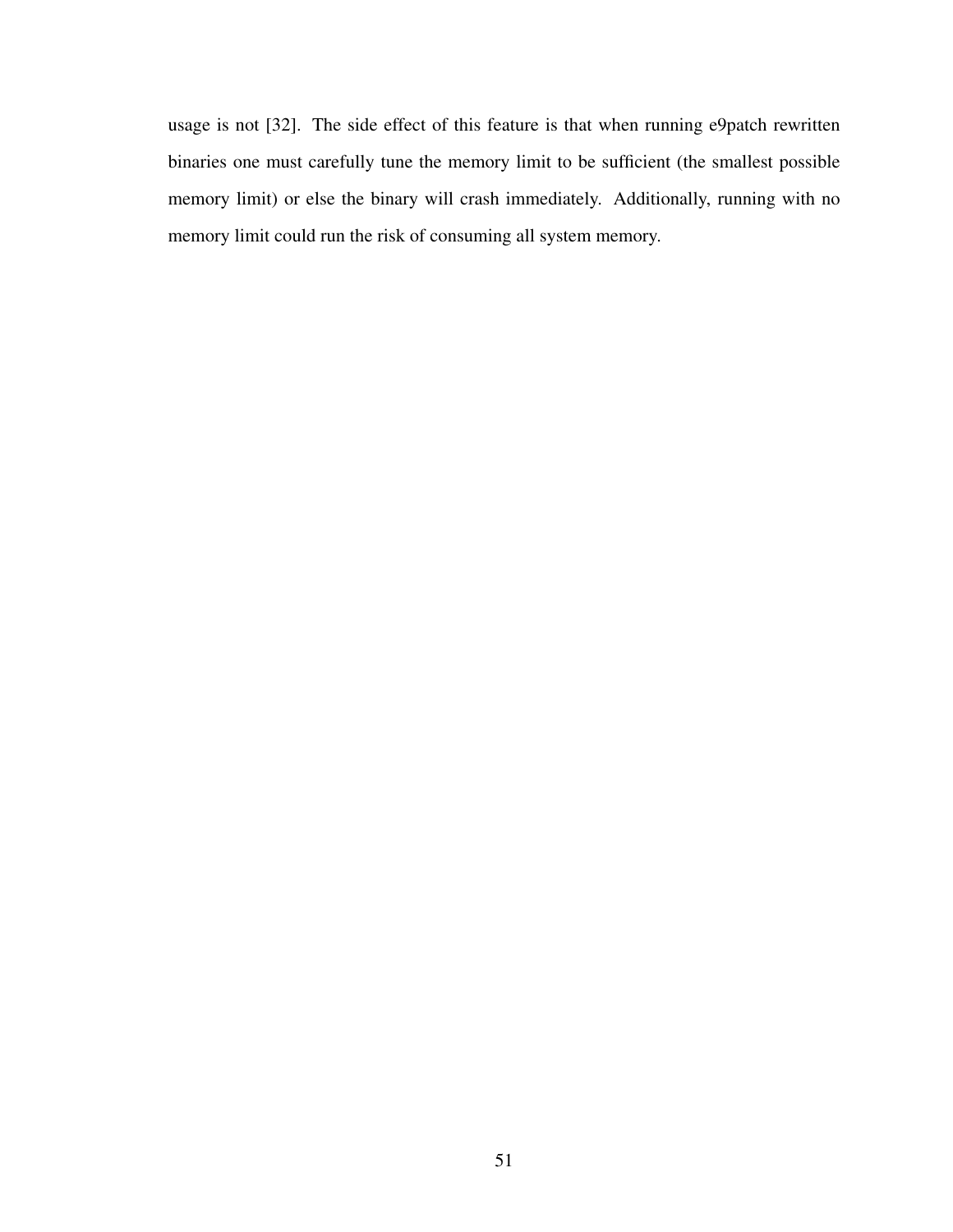usage is not [\[32\]](#page-67-1). The side effect of this feature is that when running e9patch rewritten binaries one must carefully tune the memory limit to be sufficient (the smallest possible memory limit) or else the binary will crash immediately. Additionally, running with no memory limit could run the risk of consuming all system memory.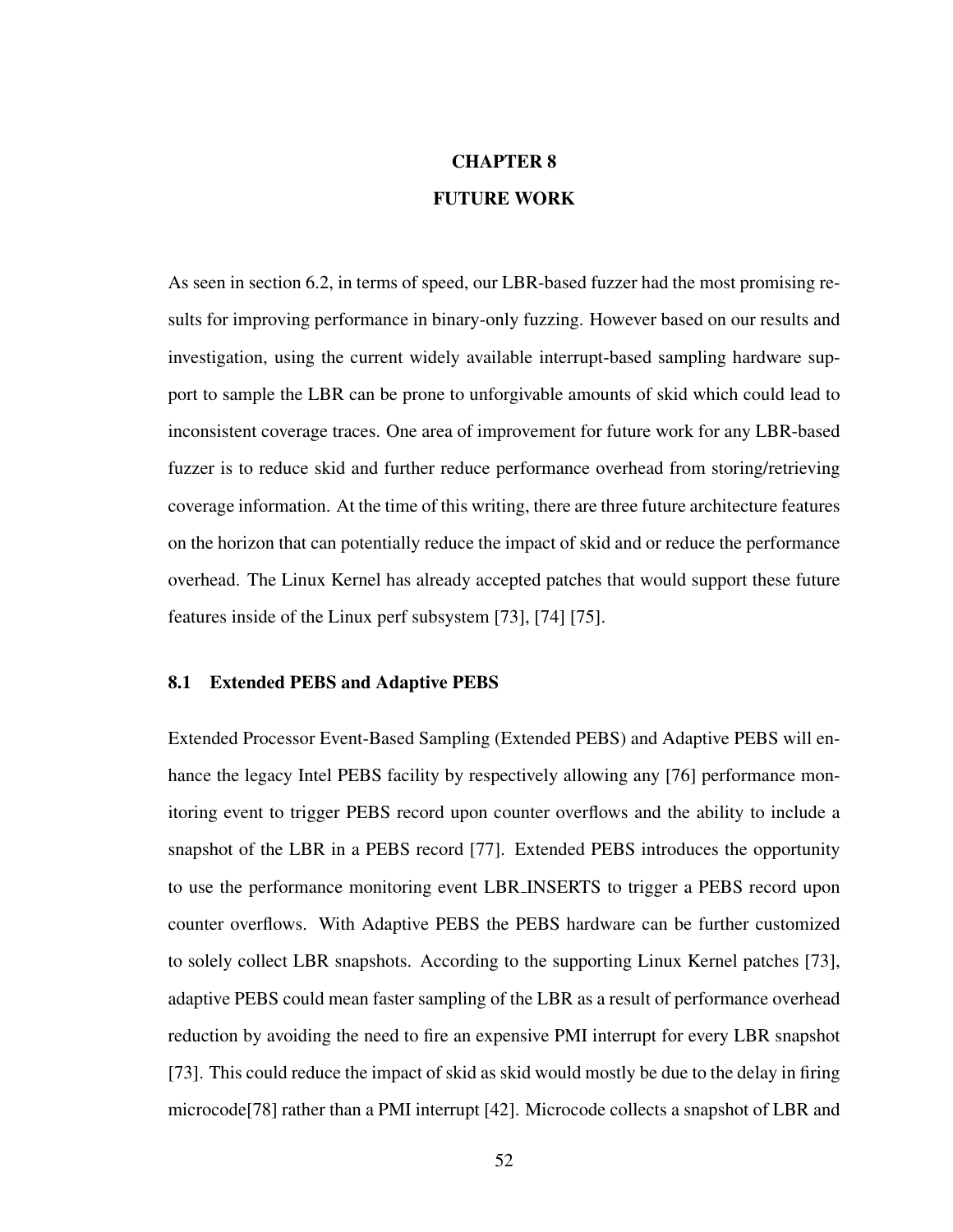# CHAPTER 8 FUTURE WORK

As seen in [section 6.2,](#page-47-1) in terms of speed, our LBR-based fuzzer had the most promising results for improving performance in binary-only fuzzing. However based on our results and investigation, using the current widely available interrupt-based sampling hardware support to sample the LBR can be prone to unforgivable amounts of skid which could lead to inconsistent coverage traces. One area of improvement for future work for any LBR-based fuzzer is to reduce skid and further reduce performance overhead from storing/retrieving coverage information. At the time of this writing, there are three future architecture features on the horizon that can potentially reduce the impact of skid and or reduce the performance overhead. The Linux Kernel has already accepted patches that would support these future features inside of the Linux perf subsystem [\[73\]](#page-70-10), [\[74\]](#page-70-11) [\[75\]](#page-70-12).

#### 8.1 Extended PEBS and Adaptive PEBS

Extended Processor Event-Based Sampling (Extended PEBS) and Adaptive PEBS will enhance the legacy Intel PEBS facility by respectively allowing any [\[76\]](#page-71-0) performance monitoring event to trigger PEBS record upon counter overflows and the ability to include a snapshot of the LBR in a PEBS record [\[77\]](#page-71-1). Extended PEBS introduces the opportunity to use the performance monitoring event LBR INSERTS to trigger a PEBS record upon counter overflows. With Adaptive PEBS the PEBS hardware can be further customized to solely collect LBR snapshots. According to the supporting Linux Kernel patches [\[73\]](#page-70-10), adaptive PEBS could mean faster sampling of the LBR as a result of performance overhead reduction by avoiding the need to fire an expensive PMI interrupt for every LBR snapshot [\[73\]](#page-70-10). This could reduce the impact of skid as skid would mostly be due to the delay in firing microcode[\[78\]](#page-71-2) rather than a PMI interrupt [\[42\]](#page-68-4). Microcode collects a snapshot of LBR and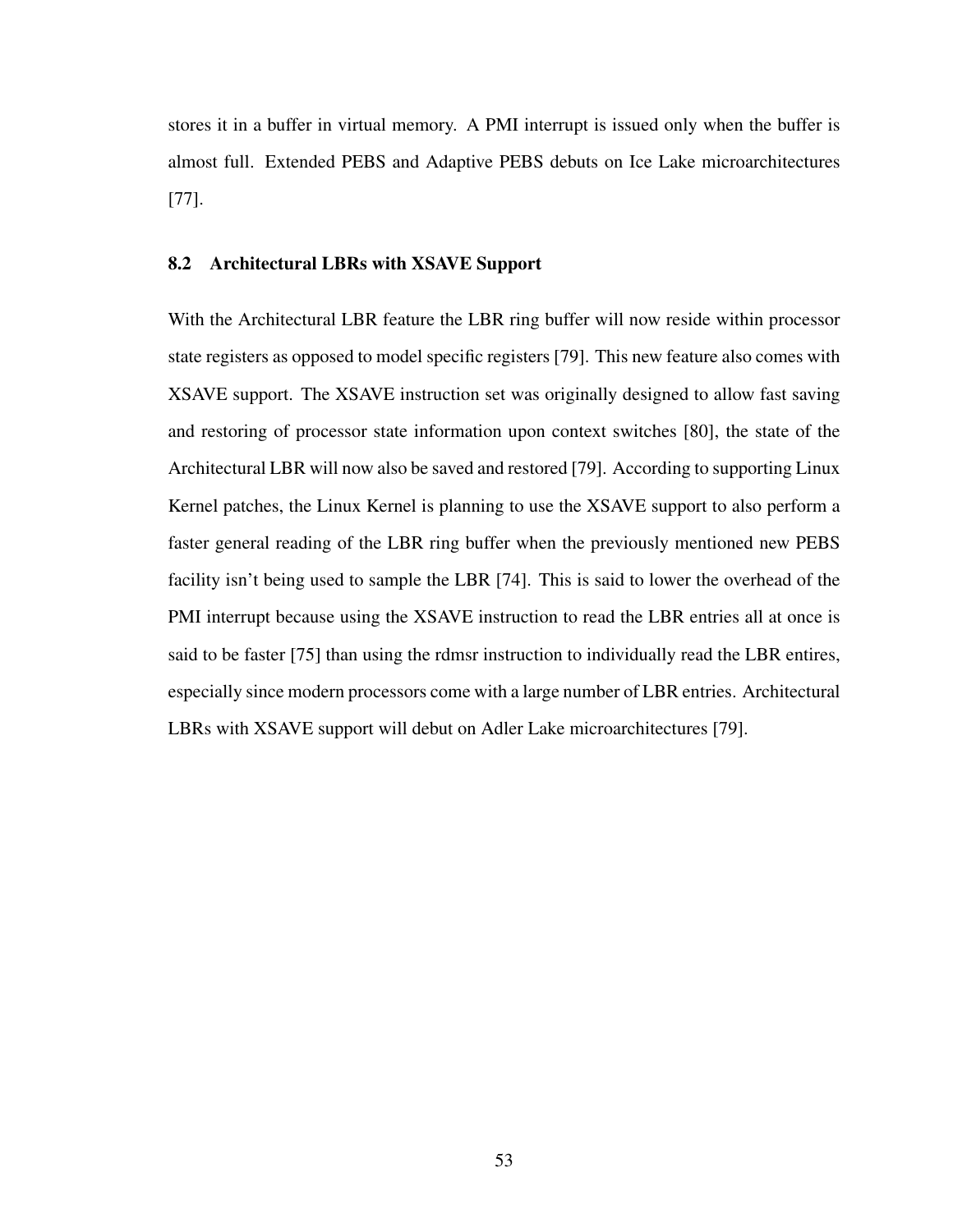stores it in a buffer in virtual memory. A PMI interrupt is issued only when the buffer is almost full. Extended PEBS and Adaptive PEBS debuts on Ice Lake microarchitectures [\[77\]](#page-71-1).

## 8.2 Architectural LBRs with XSAVE Support

With the Architectural LBR feature the LBR ring buffer will now reside within processor state registers as opposed to model specific registers [\[79\]](#page-71-3). This new feature also comes with XSAVE support. The XSAVE instruction set was originally designed to allow fast saving and restoring of processor state information upon context switches [\[80\]](#page-71-4), the state of the Architectural LBR will now also be saved and restored [\[79\]](#page-71-3). According to supporting Linux Kernel patches, the Linux Kernel is planning to use the XSAVE support to also perform a faster general reading of the LBR ring buffer when the previously mentioned new PEBS facility isn't being used to sample the LBR [\[74\]](#page-70-11). This is said to lower the overhead of the PMI interrupt because using the XSAVE instruction to read the LBR entries all at once is said to be faster [\[75\]](#page-70-12) than using the rdmsr instruction to individually read the LBR entires, especially since modern processors come with a large number of LBR entries. Architectural LBRs with XSAVE support will debut on Adler Lake microarchitectures [\[79\]](#page-71-3).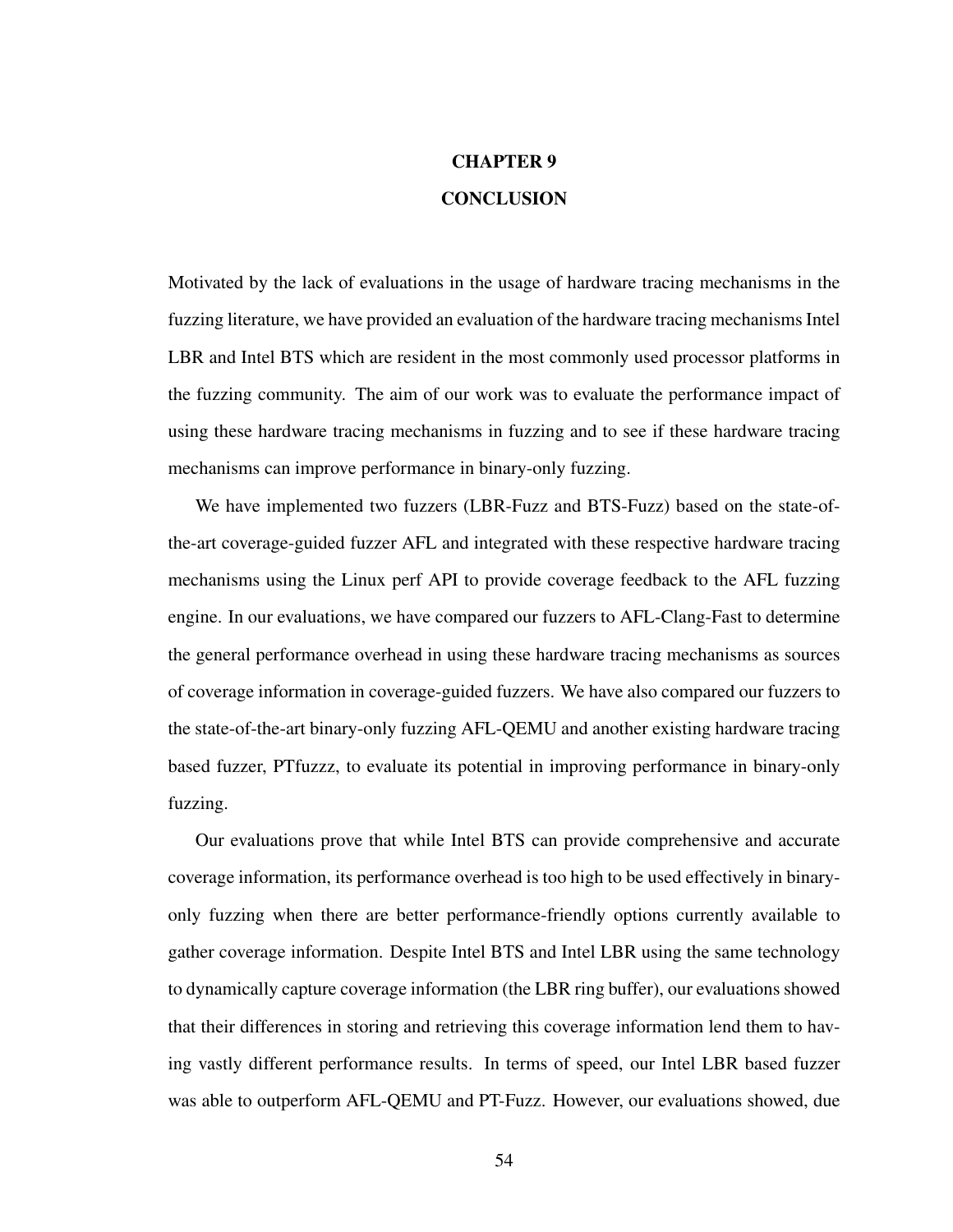## CHAPTER 9 **CONCLUSION**

Motivated by the lack of evaluations in the usage of hardware tracing mechanisms in the fuzzing literature, we have provided an evaluation of the hardware tracing mechanisms Intel LBR and Intel BTS which are resident in the most commonly used processor platforms in the fuzzing community. The aim of our work was to evaluate the performance impact of using these hardware tracing mechanisms in fuzzing and to see if these hardware tracing mechanisms can improve performance in binary-only fuzzing.

We have implemented two fuzzers (LBR-Fuzz and BTS-Fuzz) based on the state-ofthe-art coverage-guided fuzzer AFL and integrated with these respective hardware tracing mechanisms using the Linux perf API to provide coverage feedback to the AFL fuzzing engine. In our evaluations, we have compared our fuzzers to AFL-Clang-Fast to determine the general performance overhead in using these hardware tracing mechanisms as sources of coverage information in coverage-guided fuzzers. We have also compared our fuzzers to the state-of-the-art binary-only fuzzing AFL-QEMU and another existing hardware tracing based fuzzer, PTfuzzz, to evaluate its potential in improving performance in binary-only fuzzing.

Our evaluations prove that while Intel BTS can provide comprehensive and accurate coverage information, its performance overhead is too high to be used effectively in binaryonly fuzzing when there are better performance-friendly options currently available to gather coverage information. Despite Intel BTS and Intel LBR using the same technology to dynamically capture coverage information (the LBR ring buffer), our evaluations showed that their differences in storing and retrieving this coverage information lend them to having vastly different performance results. In terms of speed, our Intel LBR based fuzzer was able to outperform AFL-QEMU and PT-Fuzz. However, our evaluations showed, due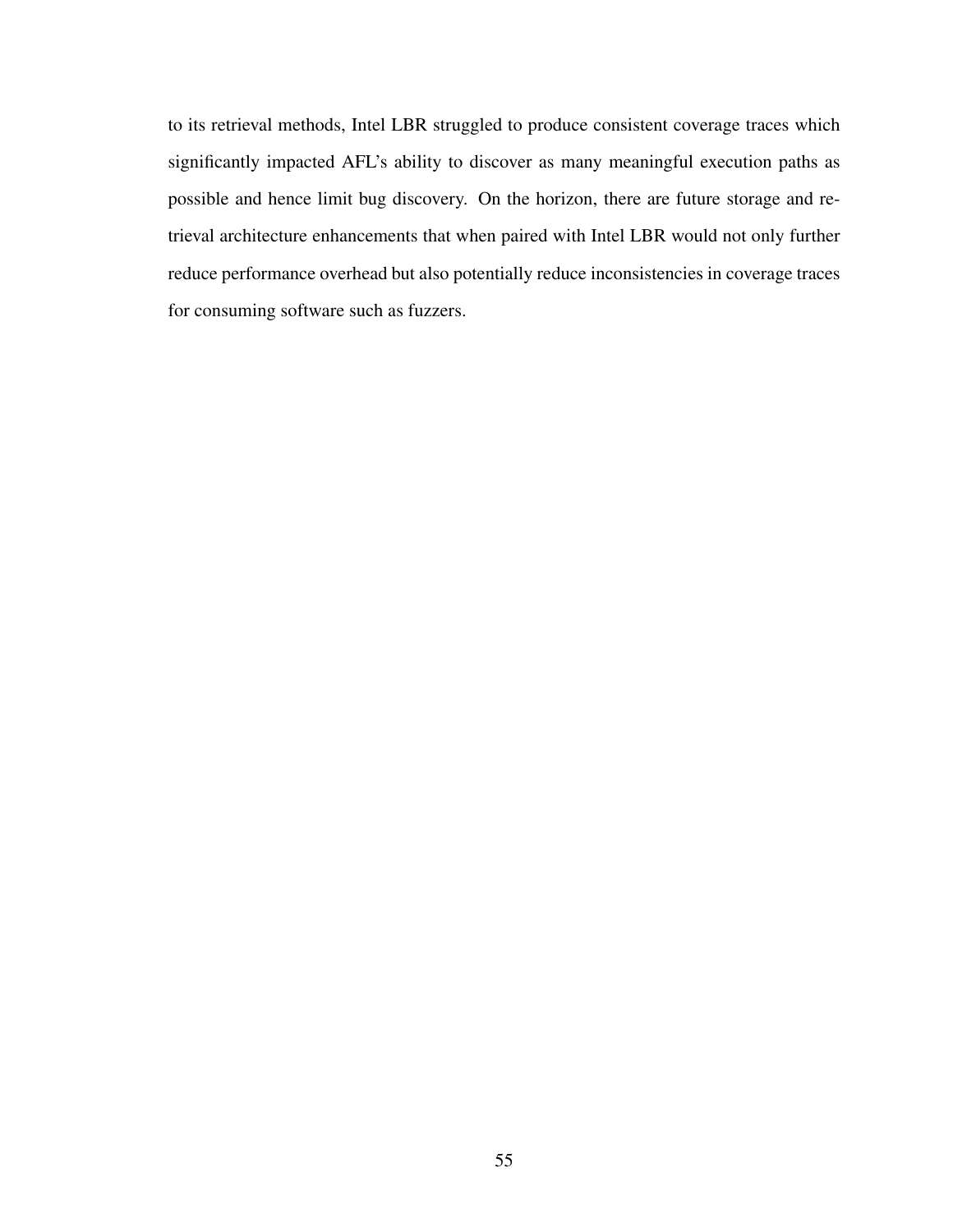to its retrieval methods, Intel LBR struggled to produce consistent coverage traces which significantly impacted AFL's ability to discover as many meaningful execution paths as possible and hence limit bug discovery. On the horizon, there are future storage and retrieval architecture enhancements that when paired with Intel LBR would not only further reduce performance overhead but also potentially reduce inconsistencies in coverage traces for consuming software such as fuzzers.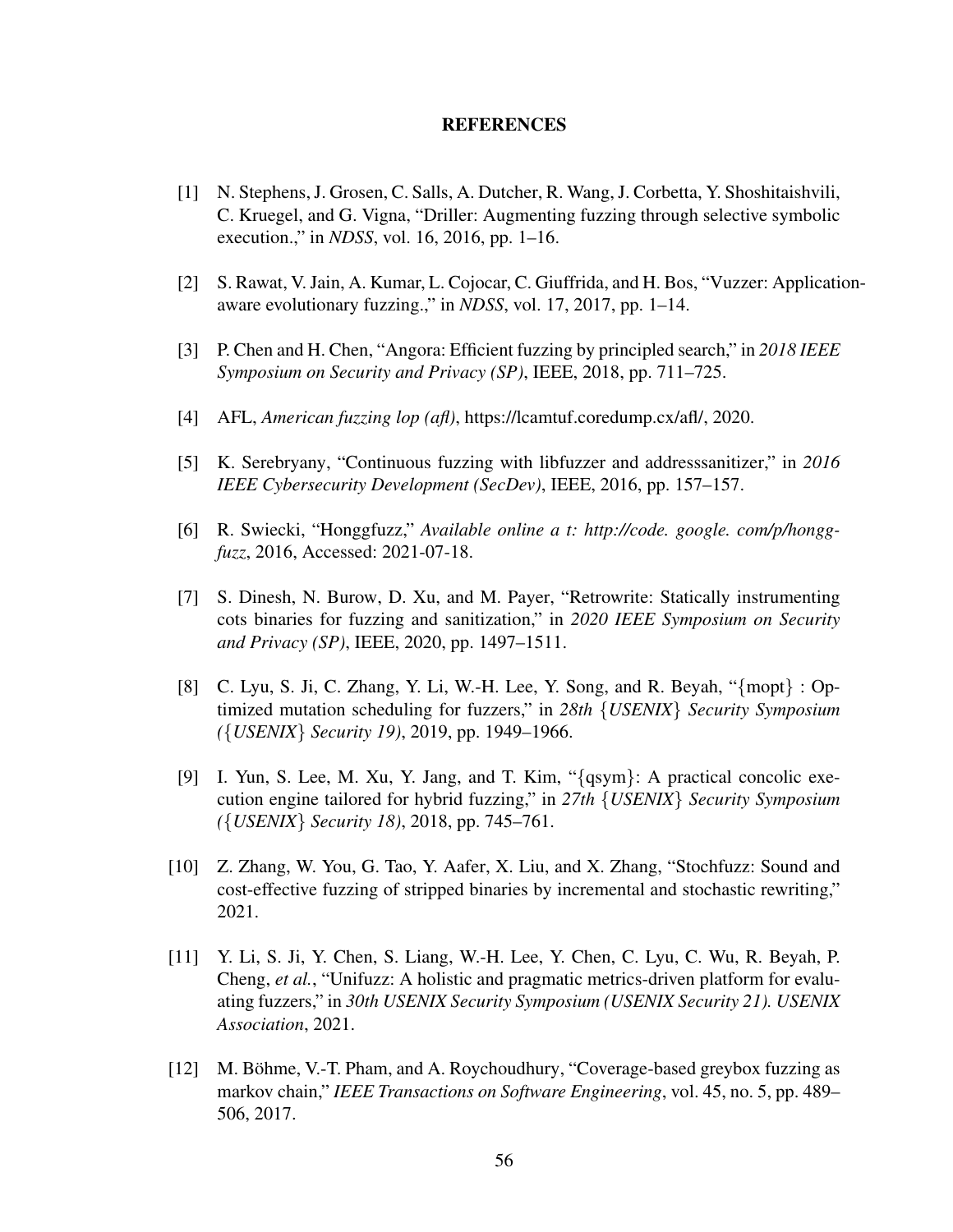#### REFERENCES

- [1] N. Stephens, J. Grosen, C. Salls, A. Dutcher, R. Wang, J. Corbetta, Y. Shoshitaishvili, C. Kruegel, and G. Vigna, "Driller: Augmenting fuzzing through selective symbolic execution.," in *NDSS*, vol. 16, 2016, pp. 1–16.
- [2] S. Rawat, V. Jain, A. Kumar, L. Cojocar, C. Giuffrida, and H. Bos, "Vuzzer: Applicationaware evolutionary fuzzing.," in *NDSS*, vol. 17, 2017, pp. 1–14.
- [3] P. Chen and H. Chen, "Angora: Efficient fuzzing by principled search," in *2018 IEEE Symposium on Security and Privacy (SP)*, IEEE, 2018, pp. 711–725.
- <span id="page-65-0"></span>[4] AFL, *American fuzzing lop (afl)*, [https://lcamtuf.coredump.cx/afl/,](https://lcamtuf.coredump.cx/afl/) 2020.
- [5] K. Serebryany, "Continuous fuzzing with libfuzzer and addresssanitizer," in *2016 IEEE Cybersecurity Development (SecDev)*, IEEE, 2016, pp. 157–157.
- <span id="page-65-1"></span>[6] R. Swiecki, "Honggfuzz," *Available online a t: http://code. google. com/p/honggfuzz*, 2016, Accessed: 2021-07-18.
- [7] S. Dinesh, N. Burow, D. Xu, and M. Payer, "Retrowrite: Statically instrumenting cots binaries for fuzzing and sanitization," in *2020 IEEE Symposium on Security and Privacy (SP)*, IEEE, 2020, pp. 1497–1511.
- <span id="page-65-3"></span>[8] C. Lyu, S. Ji, C. Zhang, Y. Li, W.-H. Lee, Y. Song, and R. Beyah, "{mopt} : Optimized mutation scheduling for fuzzers," in *28th* {*USENIX*} *Security Symposium (*{*USENIX*} *Security 19)*, 2019, pp. 1949–1966.
- [9] I. Yun, S. Lee, M. Xu, Y. Jang, and T. Kim, "{qsym}: A practical concolic execution engine tailored for hybrid fuzzing," in *27th* {*USENIX*} *Security Symposium (*{*USENIX*} *Security 18)*, 2018, pp. 745–761.
- [10] Z. Zhang, W. You, G. Tao, Y. Aafer, X. Liu, and X. Zhang, "Stochfuzz: Sound and cost-effective fuzzing of stripped binaries by incremental and stochastic rewriting," 2021.
- <span id="page-65-2"></span>[11] Y. Li, S. Ji, Y. Chen, S. Liang, W.-H. Lee, Y. Chen, C. Lyu, C. Wu, R. Beyah, P. Cheng, *et al.*, "Unifuzz: A holistic and pragmatic metrics-driven platform for evaluating fuzzers," in *30th USENIX Security Symposium (USENIX Security 21). USENIX Association*, 2021.
- [12] M. Böhme, V.-T. Pham, and A. Roychoudhury, "Coverage-based greybox fuzzing as markov chain," *IEEE Transactions on Software Engineering*, vol. 45, no. 5, pp. 489– 506, 2017.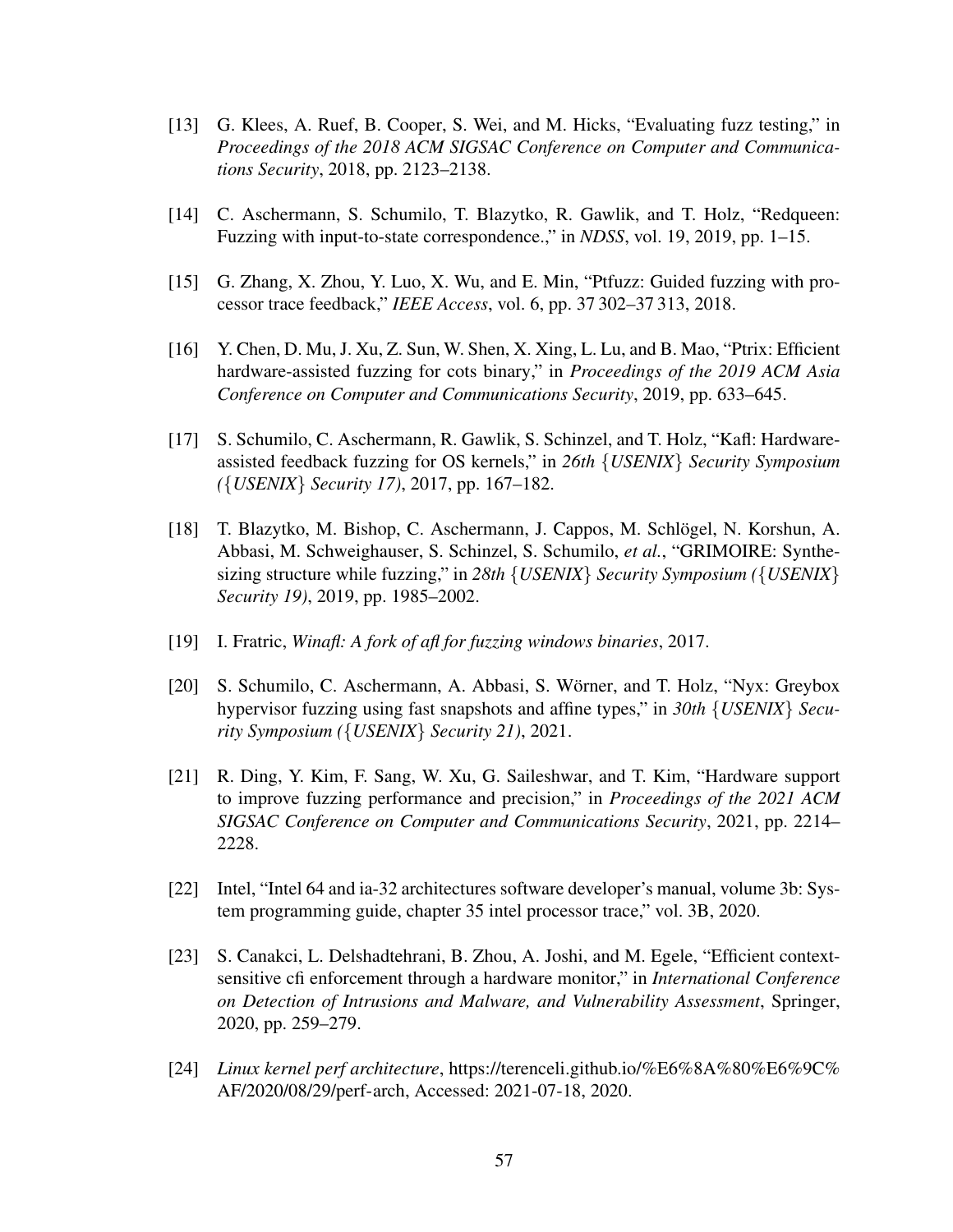- <span id="page-66-6"></span>[13] G. Klees, A. Ruef, B. Cooper, S. Wei, and M. Hicks, "Evaluating fuzz testing," in *Proceedings of the 2018 ACM SIGSAC Conference on Computer and Communications Security*, 2018, pp. 2123–2138.
- <span id="page-66-2"></span>[14] C. Aschermann, S. Schumilo, T. Blazytko, R. Gawlik, and T. Holz, "Redqueen: Fuzzing with input-to-state correspondence.," in *NDSS*, vol. 19, 2019, pp. 1–15.
- <span id="page-66-0"></span>[15] G. Zhang, X. Zhou, Y. Luo, X. Wu, and E. Min, "Ptfuzz: Guided fuzzing with processor trace feedback," *IEEE Access*, vol. 6, pp. 37 302–37 313, 2018.
- <span id="page-66-5"></span>[16] Y. Chen, D. Mu, J. Xu, Z. Sun, W. Shen, X. Xing, L. Lu, and B. Mao, "Ptrix: Efficient hardware-assisted fuzzing for cots binary," in *Proceedings of the 2019 ACM Asia Conference on Computer and Communications Security*, 2019, pp. 633–645.
- <span id="page-66-1"></span>[17] S. Schumilo, C. Aschermann, R. Gawlik, S. Schinzel, and T. Holz, "Kafl: Hardwareassisted feedback fuzzing for OS kernels," in *26th* {*USENIX*} *Security Symposium (*{*USENIX*} *Security 17)*, 2017, pp. 167–182.
- <span id="page-66-3"></span>[18] T. Blazytko, M. Bishop, C. Aschermann, J. Cappos, M. Schlogel, N. Korshun, A. ¨ Abbasi, M. Schweighauser, S. Schinzel, S. Schumilo, *et al.*, "GRIMOIRE: Synthesizing structure while fuzzing," in *28th* {*USENIX*} *Security Symposium (*{*USENIX*} *Security 19)*, 2019, pp. 1985–2002.
- [19] I. Fratric, *Winafl: A fork of afl for fuzzing windows binaries*, 2017.
- <span id="page-66-4"></span>[20] S. Schumilo, C. Aschermann, A. Abbasi, S. Wörner, and T. Holz, "Nyx: Greybox hypervisor fuzzing using fast snapshots and affine types," in *30th* {*USENIX*} *Security Symposium (*{*USENIX*} *Security 21)*, 2021.
- [21] R. Ding, Y. Kim, F. Sang, W. Xu, G. Saileshwar, and T. Kim, "Hardware support to improve fuzzing performance and precision," in *Proceedings of the 2021 ACM SIGSAC Conference on Computer and Communications Security*, 2021, pp. 2214– 2228.
- [22] Intel, "Intel 64 and ia-32 architectures software developer's manual, volume 3b: System programming guide, chapter 35 intel processor trace," vol. 3B, 2020.
- [23] S. Canakci, L. Delshadtehrani, B. Zhou, A. Joshi, and M. Egele, "Efficient contextsensitive cfi enforcement through a hardware monitor," in *International Conference on Detection of Intrusions and Malware, and Vulnerability Assessment*, Springer, 2020, pp. 259–279.
- [24] *Linux kernel perf architecture*, [https://terenceli.github.io/%E6%8A%80%E6%9C%](https://terenceli.github.io/%E6%8A%80%E6%9C%AF/2020/08/29/perf-arch) [AF/2020/08/29/perf-arch,](https://terenceli.github.io/%E6%8A%80%E6%9C%AF/2020/08/29/perf-arch) Accessed: 2021-07-18, 2020.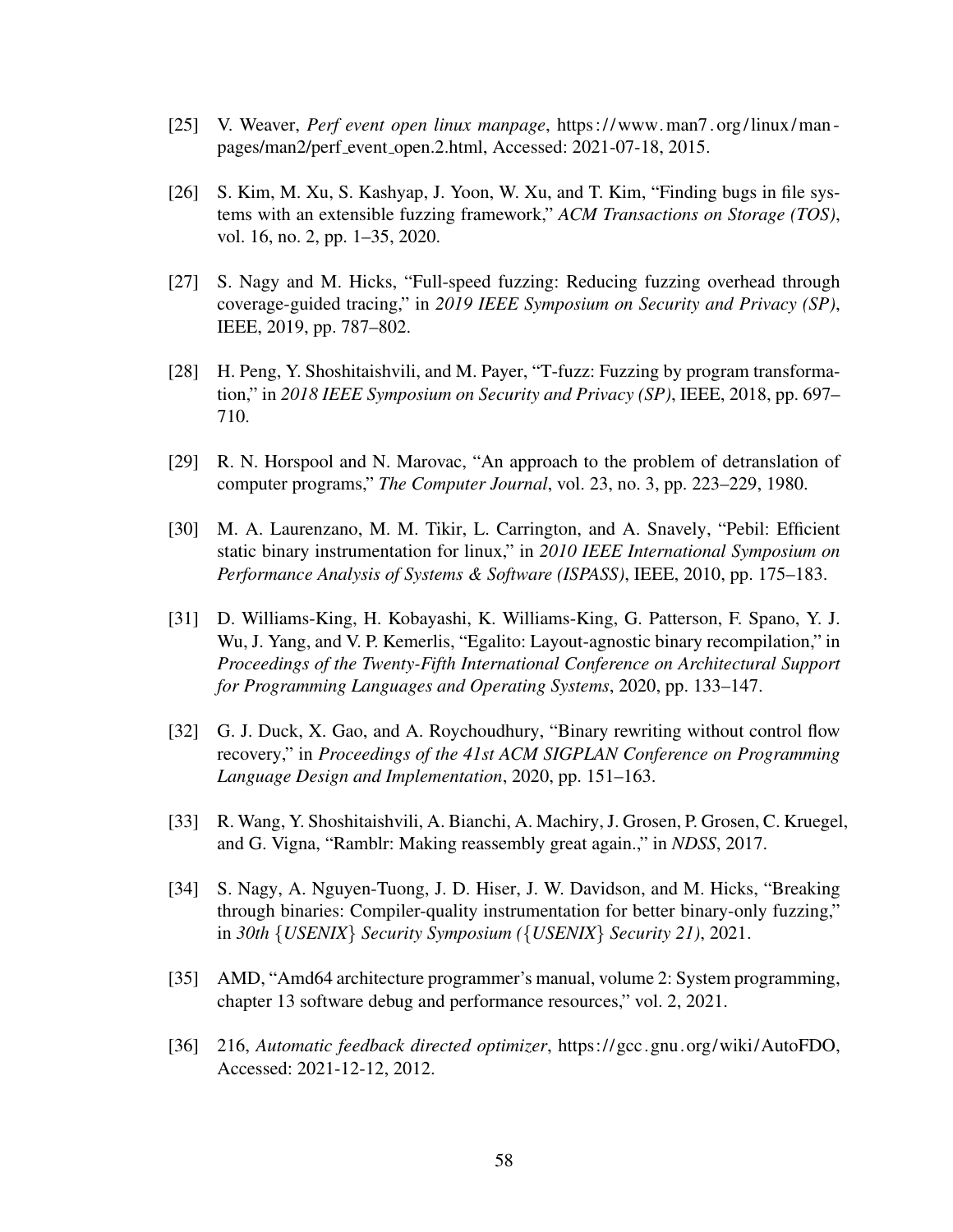- <span id="page-67-0"></span>[25] V. Weaver, *Perf event open linux manpage*, [https:// www.man7. org/linux/man](https://www.man7.org/linux/man-pages/man2/perf_event_open.2.html)  [pages/man2/perf](https://www.man7.org/linux/man-pages/man2/perf_event_open.2.html) event open.2.html, Accessed: 2021-07-18, 2015.
- [26] S. Kim, M. Xu, S. Kashyap, J. Yoon, W. Xu, and T. Kim, "Finding bugs in file systems with an extensible fuzzing framework," *ACM Transactions on Storage (TOS)*, vol. 16, no. 2, pp. 1–35, 2020.
- <span id="page-67-2"></span>[27] S. Nagy and M. Hicks, "Full-speed fuzzing: Reducing fuzzing overhead through coverage-guided tracing," in *2019 IEEE Symposium on Security and Privacy (SP)*, IEEE, 2019, pp. 787–802.
- [28] H. Peng, Y. Shoshitaishvili, and M. Payer, "T-fuzz: Fuzzing by program transformation," in *2018 IEEE Symposium on Security and Privacy (SP)*, IEEE, 2018, pp. 697– 710.
- [29] R. N. Horspool and N. Marovac, "An approach to the problem of detranslation of computer programs," *The Computer Journal*, vol. 23, no. 3, pp. 223–229, 1980.
- [30] M. A. Laurenzano, M. M. Tikir, L. Carrington, and A. Snavely, "Pebil: Efficient static binary instrumentation for linux," in *2010 IEEE International Symposium on Performance Analysis of Systems & Software (ISPASS)*, IEEE, 2010, pp. 175–183.
- [31] D. Williams-King, H. Kobayashi, K. Williams-King, G. Patterson, F. Spano, Y. J. Wu, J. Yang, and V. P. Kemerlis, "Egalito: Layout-agnostic binary recompilation," in *Proceedings of the Twenty-Fifth International Conference on Architectural Support for Programming Languages and Operating Systems*, 2020, pp. 133–147.
- <span id="page-67-1"></span>[32] G. J. Duck, X. Gao, and A. Roychoudhury, "Binary rewriting without control flow recovery," in *Proceedings of the 41st ACM SIGPLAN Conference on Programming Language Design and Implementation*, 2020, pp. 151–163.
- [33] R. Wang, Y. Shoshitaishvili, A. Bianchi, A. Machiry, J. Grosen, P. Grosen, C. Kruegel, and G. Vigna, "Ramblr: Making reassembly great again.," in *NDSS*, 2017.
- [34] S. Nagy, A. Nguyen-Tuong, J. D. Hiser, J. W. Davidson, and M. Hicks, "Breaking through binaries: Compiler-quality instrumentation for better binary-only fuzzing," in *30th* {*USENIX*} *Security Symposium (*{*USENIX*} *Security 21)*, 2021.
- [35] AMD, "Amd64 architecture programmer's manual, volume 2: System programming, chapter 13 software debug and performance resources," vol. 2, 2021.
- [36] 216, *Automatic feedback directed optimizer*, [https://gcc.gnu.org/wiki/AutoFDO,](https://gcc.gnu.org/wiki/AutoFDO) Accessed: 2021-12-12, 2012.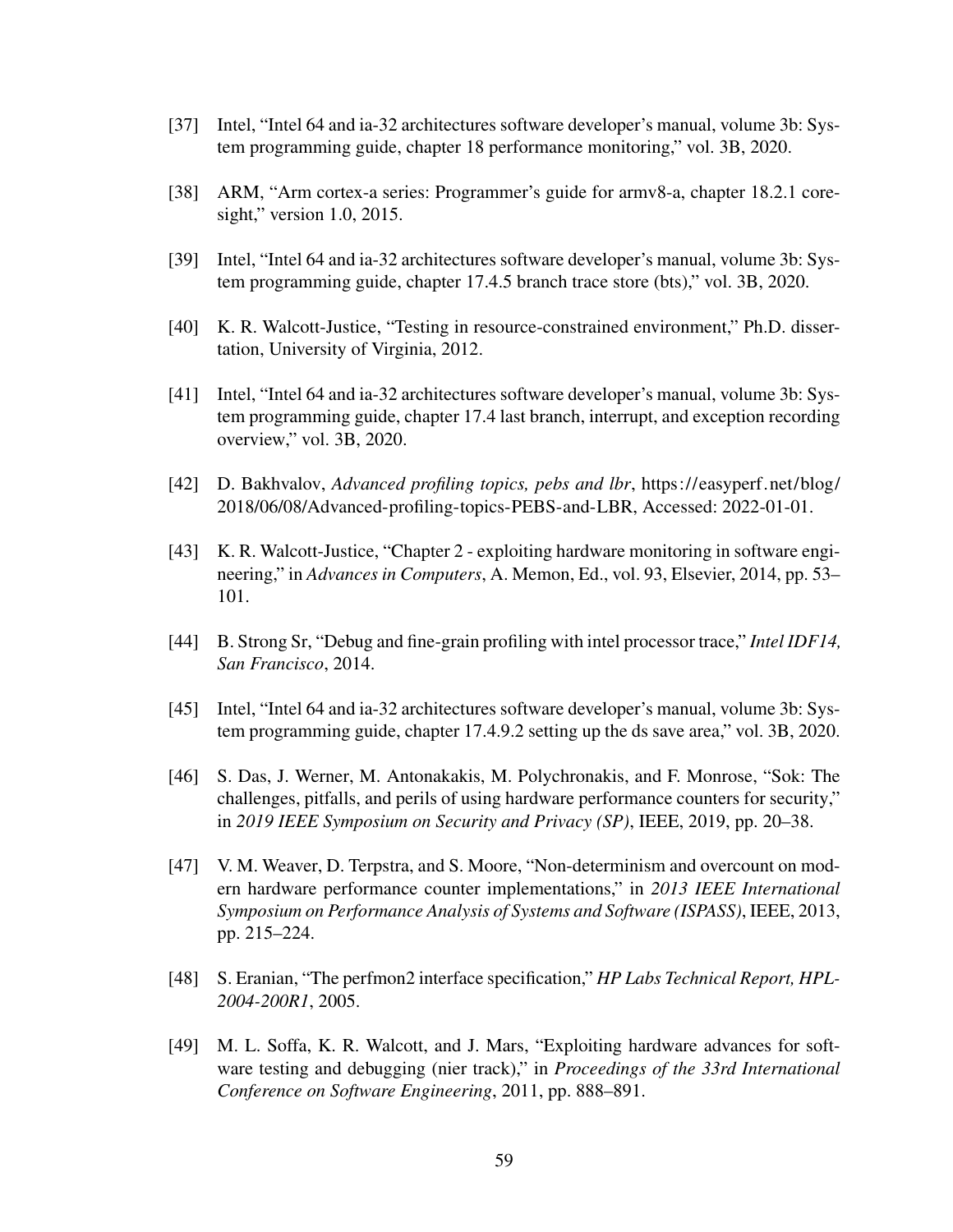- [37] Intel, "Intel 64 and ia-32 architectures software developer's manual, volume 3b: System programming guide, chapter 18 performance monitoring," vol. 3B, 2020.
- [38] ARM, "Arm cortex-a series: Programmer's guide for armv8-a, chapter 18.2.1 coresight," version 1.0, 2015.
- <span id="page-68-1"></span>[39] Intel, "Intel 64 and ia-32 architectures software developer's manual, volume 3b: System programming guide, chapter 17.4.5 branch trace store (bts)," vol. 3B, 2020.
- [40] K. R. Walcott-Justice, "Testing in resource-constrained environment," Ph.D. dissertation, University of Virginia, 2012.
- [41] Intel, "Intel 64 and ia-32 architectures software developer's manual, volume 3b: System programming guide, chapter 17.4 last branch, interrupt, and exception recording overview," vol. 3B, 2020.
- <span id="page-68-4"></span>[42] D. Bakhvalov, *Advanced profiling topics, pebs and lbr*, [https://easyperf.net/blog/](https://easyperf.net/blog/2018/06/08/Advanced-profiling-topics-PEBS-and-LBR) [2018/06/08/Advanced-profiling-topics-PEBS-and-LBR,](https://easyperf.net/blog/2018/06/08/Advanced-profiling-topics-PEBS-and-LBR) Accessed: 2022-01-01.
- [43] K. R. Walcott-Justice, "Chapter 2 exploiting hardware monitoring in software engineering," in *Advances in Computers*, A. Memon, Ed., vol. 93, Elsevier, 2014, pp. 53– 101.
- [44] B. Strong Sr, "Debug and fine-grain profiling with intel processor trace," *Intel IDF14, San Francisco*, 2014.
- <span id="page-68-0"></span>[45] Intel, "Intel 64 and ia-32 architectures software developer's manual, volume 3b: System programming guide, chapter 17.4.9.2 setting up the ds save area," vol. 3B, 2020.
- <span id="page-68-3"></span>[46] S. Das, J. Werner, M. Antonakakis, M. Polychronakis, and F. Monrose, "Sok: The challenges, pitfalls, and perils of using hardware performance counters for security," in *2019 IEEE Symposium on Security and Privacy (SP)*, IEEE, 2019, pp. 20–38.
- <span id="page-68-2"></span>[47] V. M. Weaver, D. Terpstra, and S. Moore, "Non-determinism and overcount on modern hardware performance counter implementations," in *2013 IEEE International Symposium on Performance Analysis of Systems and Software (ISPASS)*, IEEE, 2013, pp. 215–224.
- [48] S. Eranian, "The perfmon2 interface specification," *HP Labs Technical Report, HPL-2004-200R1*, 2005.
- [49] M. L. Soffa, K. R. Walcott, and J. Mars, "Exploiting hardware advances for software testing and debugging (nier track)," in *Proceedings of the 33rd International Conference on Software Engineering*, 2011, pp. 888–891.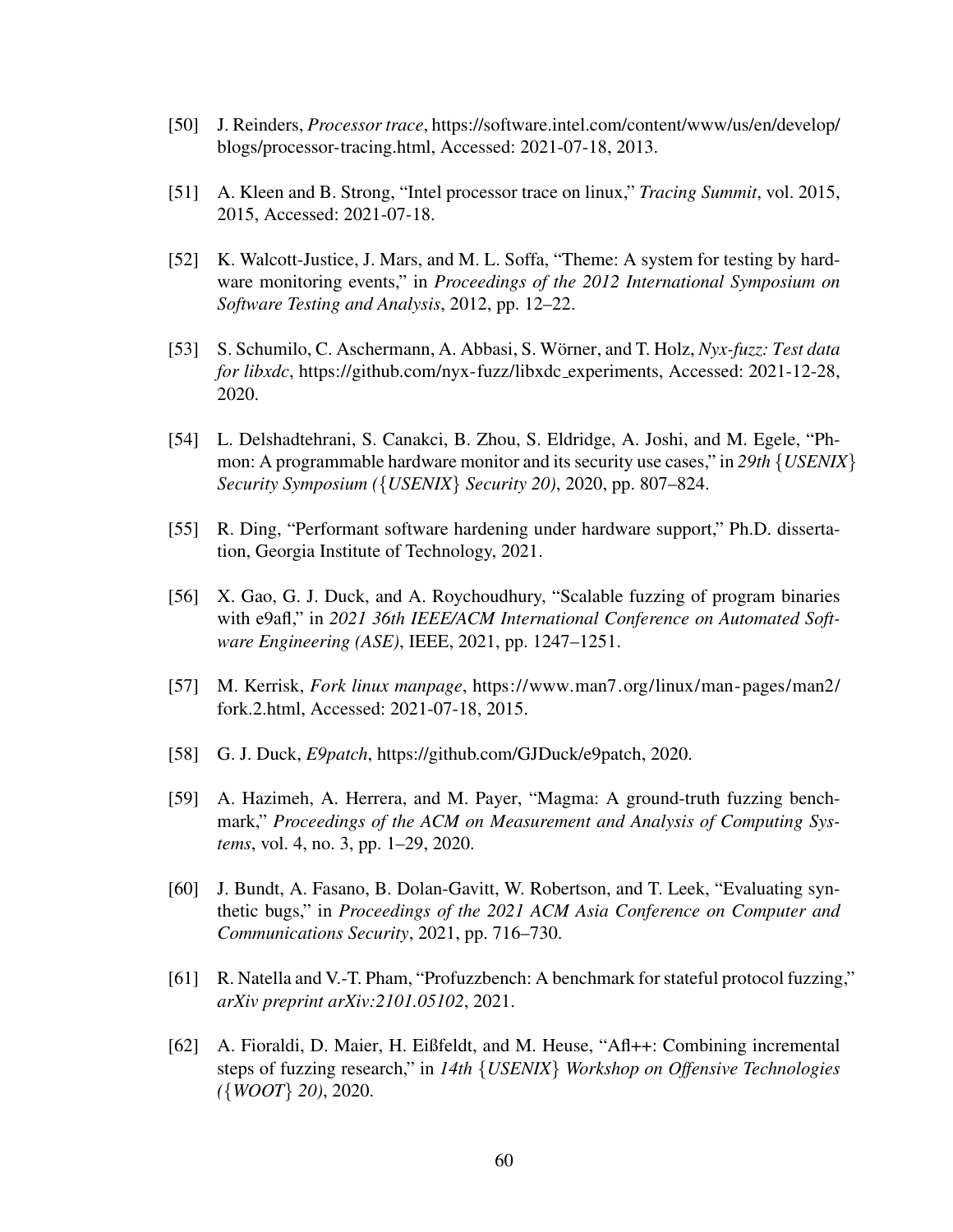- [50] J. Reinders, *Processor trace*, [https://software.intel.com/content/www/us/en/develop/](https://software.intel.com/content/www/us/en/develop/blogs/processor-tracing.html) [blogs/processor-tracing.html,](https://software.intel.com/content/www/us/en/develop/blogs/processor-tracing.html) Accessed: 2021-07-18, 2013.
- [51] A. Kleen and B. Strong, "Intel processor trace on linux," *Tracing Summit*, vol. 2015, 2015, Accessed: 2021-07-18.
- [52] K. Walcott-Justice, J. Mars, and M. L. Soffa, "Theme: A system for testing by hardware monitoring events," in *Proceedings of the 2012 International Symposium on Software Testing and Analysis*, 2012, pp. 12–22.
- <span id="page-69-3"></span>[53] S. Schumilo, C. Aschermann, A. Abbasi, S. Wörner, and T. Holz, Nyx-fuzz: Test data *for libxdc*, [https://github.com/nyx-fuzz/libxdc](https://github.com/nyx-fuzz/libxdc_experiments) experiments, Accessed: 2021-12-28, 2020.
- [54] L. Delshadtehrani, S. Canakci, B. Zhou, S. Eldridge, A. Joshi, and M. Egele, "Phmon: A programmable hardware monitor and its security use cases," in *29th* {*USENIX*} *Security Symposium (*{*USENIX*} *Security 20)*, 2020, pp. 807–824.
- [55] R. Ding, "Performant software hardening under hardware support," Ph.D. dissertation, Georgia Institute of Technology, 2021.
- <span id="page-69-2"></span>[56] X. Gao, G. J. Duck, and A. Roychoudhury, "Scalable fuzzing of program binaries with e9afl," in *2021 36th IEEE/ACM International Conference on Automated Software Engineering (ASE)*, IEEE, 2021, pp. 1247–1251.
- <span id="page-69-0"></span>[57] M. Kerrisk, *Fork linux manpage*, [https://www.man7.org/linux/man- pages/man2/](https://www.man7.org/linux/man-pages/man2/fork.2.html) [fork.2.html,](https://www.man7.org/linux/man-pages/man2/fork.2.html) Accessed: 2021-07-18, 2015.
- <span id="page-69-1"></span>[58] G. J. Duck, *E9patch*, [https://github.com/GJDuck/e9patch,](https://github.com/GJDuck/e9patch) 2020.
- <span id="page-69-4"></span>[59] A. Hazimeh, A. Herrera, and M. Payer, "Magma: A ground-truth fuzzing benchmark," *Proceedings of the ACM on Measurement and Analysis of Computing Systems*, vol. 4, no. 3, pp. 1–29, 2020.
- <span id="page-69-5"></span>[60] J. Bundt, A. Fasano, B. Dolan-Gavitt, W. Robertson, and T. Leek, "Evaluating synthetic bugs," in *Proceedings of the 2021 ACM Asia Conference on Computer and Communications Security*, 2021, pp. 716–730.
- <span id="page-69-6"></span>[61] R. Natella and V.-T. Pham, "Profuzzbench: A benchmark for stateful protocol fuzzing," *arXiv preprint arXiv:2101.05102*, 2021.
- <span id="page-69-7"></span>[62] A. Fioraldi, D. Maier, H. Eißfeldt, and M. Heuse, "Afl++: Combining incremental steps of fuzzing research," in *14th* {*USENIX*} *Workshop on Offensive Technologies (*{*WOOT*} *20)*, 2020.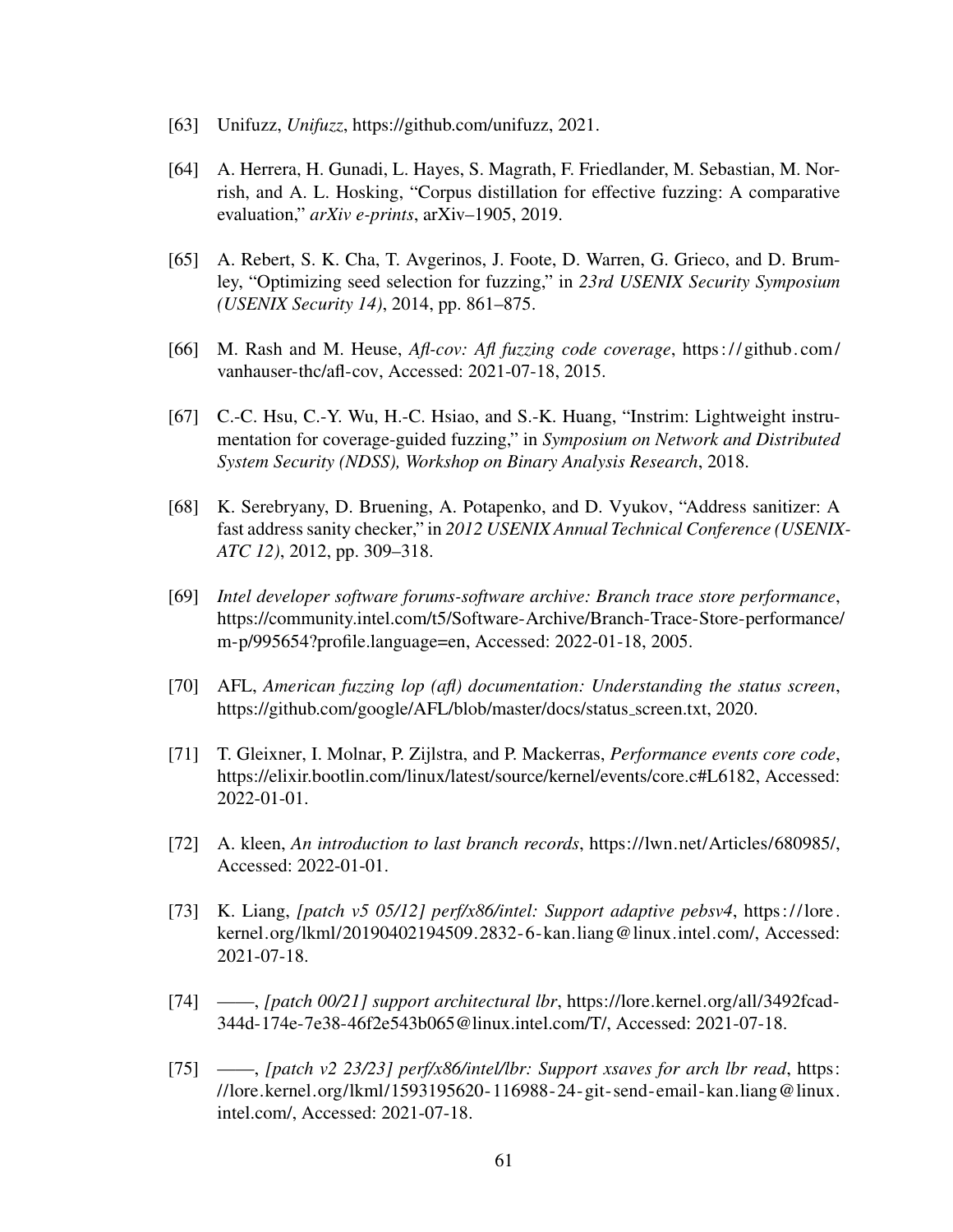- <span id="page-70-0"></span>[63] Unifuzz, *Unifuzz*, [https://github.com/unifuzz,](https://github.com/unifuzz) 2021.
- <span id="page-70-1"></span>[64] A. Herrera, H. Gunadi, L. Hayes, S. Magrath, F. Friedlander, M. Sebastian, M. Norrish, and A. L. Hosking, "Corpus distillation for effective fuzzing: A comparative evaluation," *arXiv e-prints*, arXiv–1905, 2019.
- <span id="page-70-2"></span>[65] A. Rebert, S. K. Cha, T. Avgerinos, J. Foote, D. Warren, G. Grieco, and D. Brumley, "Optimizing seed selection for fuzzing," in *23rd USENIX Security Symposium (USENIX Security 14)*, 2014, pp. 861–875.
- <span id="page-70-3"></span>[66] M. Rash and M. Heuse, *Afl-cov: Afl fuzzing code coverage*, [https:// github. com/](https://github.com/vanhauser-thc/afl-cov) [vanhauser-thc/afl-cov,](https://github.com/vanhauser-thc/afl-cov) Accessed: 2021-07-18, 2015.
- <span id="page-70-4"></span>[67] C.-C. Hsu, C.-Y. Wu, H.-C. Hsiao, and S.-K. Huang, "Instrim: Lightweight instrumentation for coverage-guided fuzzing," in *Symposium on Network and Distributed System Security (NDSS), Workshop on Binary Analysis Research*, 2018.
- <span id="page-70-5"></span>[68] K. Serebryany, D. Bruening, A. Potapenko, and D. Vyukov, "Address sanitizer: A fast address sanity checker," in *2012 USENIX Annual Technical Conference (USENIX-ATC 12)*, 2012, pp. 309–318.
- <span id="page-70-6"></span>[69] *Intel developer software forums-software archive: Branch trace store performance*, [https://community.intel.com/t5/Software-Archive/Branch-Trace-Store-performance/](https://community.intel.com/t5/Software-Archive/Branch-Trace-Store-performance/m-p/995654?profile.language=en) [m-p/995654?profile.language=en,](https://community.intel.com/t5/Software-Archive/Branch-Trace-Store-performance/m-p/995654?profile.language=en) Accessed: 2022-01-18, 2005.
- <span id="page-70-7"></span>[70] AFL, *American fuzzing lop (afl) documentation: Understanding the status screen*, [https://github.com/google/AFL/blob/master/docs/status](https://github.com/google/AFL/blob/master/docs/status_screen.txt)\_screen.txt, 2020.
- <span id="page-70-8"></span>[71] T. Gleixner, I. Molnar, P. Zijlstra, and P. Mackerras, *Performance events core code*, [https://elixir.bootlin.com/linux/latest/source/kernel/events/core.c#L6182,](https://elixir.bootlin.com/linux/latest/source/kernel/events/core.c#L6182) Accessed: 2022-01-01.
- <span id="page-70-9"></span>[72] A. kleen, *An introduction to last branch records*, [https://lwn.net/Articles/680985/,](https://lwn.net/Articles/680985/) Accessed: 2022-01-01.
- <span id="page-70-10"></span>[73] K. Liang, *[patch v5 05/12] perf/x86/intel: Support adaptive pebsv4*, [https://lore.](https://lore.kernel.org/lkml/20190402194509.2832-6-kan.liang@linux.intel.com/) [kernel.org/lkml/20190402194509.2832-6-kan.liang@linux.intel.com/,](https://lore.kernel.org/lkml/20190402194509.2832-6-kan.liang@linux.intel.com/) Accessed: 2021-07-18.
- <span id="page-70-11"></span>[74] ——, *[patch 00/21] support architectural lbr*, [https://lore.kernel.org/all/3492fcad-](https://lore.kernel.org/all/3492fcad-344d-174e-7e38-46f2e543b065@linux.intel.com/T/)[344d-174e-7e38-46f2e543b065@linux.intel.com/T/,](https://lore.kernel.org/all/3492fcad-344d-174e-7e38-46f2e543b065@linux.intel.com/T/) Accessed: 2021-07-18.
- <span id="page-70-12"></span>[75] ——, *[patch v2 23/23] perf/x86/intel/lbr: Support xsaves for arch lbr read*, [https:](https://lore.kernel.org/lkml/1593195620-116988-24-git-send-email-kan.liang@linux.intel.com/) [//lore.kernel.org/lkml/1593195620-116988-24-git-send-email-kan.liang@linux.](https://lore.kernel.org/lkml/1593195620-116988-24-git-send-email-kan.liang@linux.intel.com/) [intel.com/,](https://lore.kernel.org/lkml/1593195620-116988-24-git-send-email-kan.liang@linux.intel.com/) Accessed: 2021-07-18.